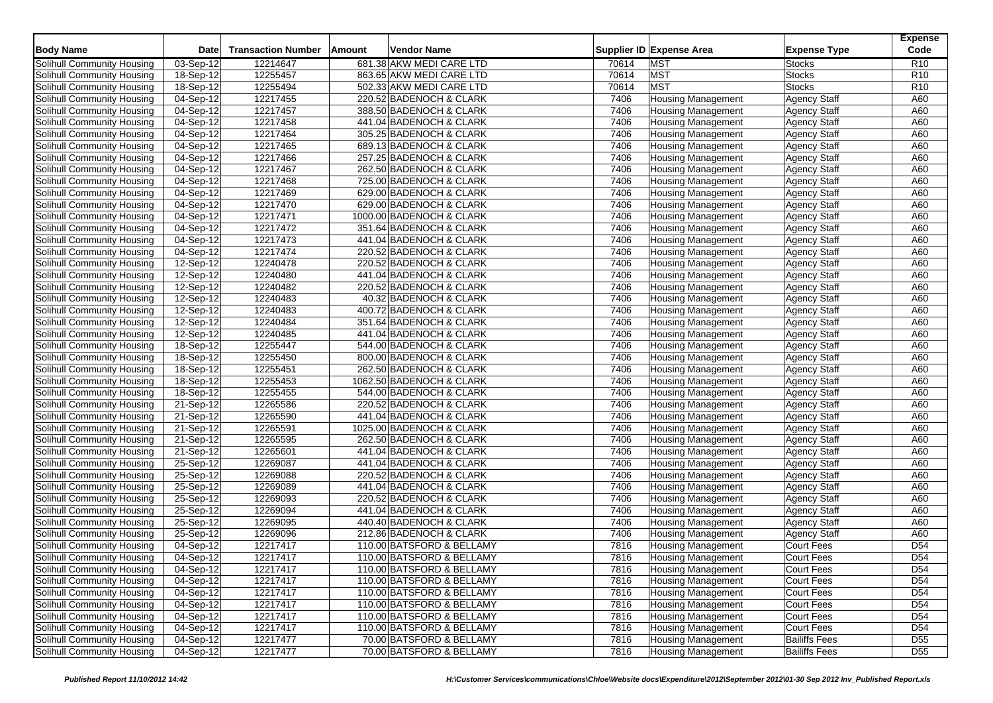|                                   |                         |                           |        |                           |       |                           |                      | <b>Expense</b>  |
|-----------------------------------|-------------------------|---------------------------|--------|---------------------------|-------|---------------------------|----------------------|-----------------|
| <b>Body Name</b>                  | <b>Date</b>             | <b>Transaction Number</b> | Amount | <b>Vendor Name</b>        |       | Supplier ID Expense Area  | <b>Expense Type</b>  | Code            |
| <b>Solihull Community Housing</b> | 03-Sep-12               | 12214647                  |        | 681.38 AKW MEDI CARE LTD  | 70614 | <b>MST</b>                | <b>Stocks</b>        | R <sub>10</sub> |
| Solihull Community Housing        | 18-Sep-12               | 12255457                  |        | 863.65 AKW MEDI CARE LTD  | 70614 | <b>MST</b>                | <b>Stocks</b>        | R <sub>10</sub> |
| Solihull Community Housing        | $\overline{18}$ -Sep-12 | 12255494                  |        | 502.33 AKW MEDI CARE LTD  | 70614 | <b>MST</b>                | <b>Stocks</b>        | R <sub>10</sub> |
| Solihull Community Housing        | 04-Sep-12               | 12217455                  |        | 220.52 BADENOCH & CLARK   | 7406  | <b>Housing Management</b> | <b>Agency Staff</b>  | A60             |
| Solihull Community Housing        | 04-Sep-12               | 12217457                  |        | 388.50 BADENOCH & CLARK   | 7406  | <b>Housing Management</b> | <b>Agency Staff</b>  | A60             |
| Solihull Community Housing        | 04-Sep-12               | 12217458                  |        | 441.04 BADENOCH & CLARK   | 7406  | <b>Housing Management</b> | Agency Staff         | A60             |
| Solihull Community Housing        | 04-Sep-12               | 12217464                  |        | 305.25 BADENOCH & CLARK   | 7406  | <b>Housing Management</b> | <b>Agency Staff</b>  | A60             |
| Solihull Community Housing        | 04-Sep-12               | 12217465                  |        | 689.13 BADENOCH & CLARK   | 7406  | <b>Housing Management</b> | <b>Agency Staff</b>  | A60             |
| Solihull Community Housing        | 04-Sep-12               | 12217466                  |        | 257.25 BADENOCH & CLARK   | 7406  | <b>Housing Management</b> | Agency Staff         | A60             |
| Solihull Community Housing        | 04-Sep-12               | 12217467                  |        | 262.50 BADENOCH & CLARK   | 7406  | <b>Housing Management</b> | <b>Agency Staff</b>  | A60             |
| Solihull Community Housing        | 04-Sep-12               | 12217468                  |        | 725.00 BADENOCH & CLARK   | 7406  | <b>Housing Management</b> | <b>Agency Staff</b>  | A60             |
| Solihull Community Housing        | 04-Sep-12               | 12217469                  |        | 629.00 BADENOCH & CLARK   | 7406  | <b>Housing Management</b> | <b>Agency Staff</b>  | A60             |
| Solihull Community Housing        | 04-Sep-12               | 12217470                  |        | 629.00 BADENOCH & CLARK   | 7406  | <b>Housing Management</b> | <b>Agency Staff</b>  | A60             |
| Solihull Community Housing        | 04-Sep-12               | 12217471                  |        | 1000.00 BADENOCH & CLARK  | 7406  | <b>Housing Management</b> | <b>Agency Staff</b>  | A60             |
| Solihull Community Housing        | $\overline{04-Sep-12}$  | 12217472                  |        | 351.64 BADENOCH & CLARK   | 7406  | <b>Housing Management</b> | <b>Agency Staff</b>  | A60             |
| Solihull Community Housing        | 04-Sep-12               | 12217473                  |        | 441.04 BADENOCH & CLARK   | 7406  | <b>Housing Management</b> | <b>Agency Staff</b>  | A60             |
| Solihull Community Housing        | 04-Sep-12               | 12217474                  |        | 220.52 BADENOCH & CLARK   | 7406  | <b>Housing Management</b> | <b>Agency Staff</b>  | A60             |
| Solihull Community Housing        | 12-Sep-12               | 12240478                  |        | 220.52 BADENOCH & CLARK   | 7406  | <b>Housing Management</b> | <b>Agency Staff</b>  | A60             |
| Solihull Community Housing        | 12-Sep-12               | 12240480                  |        | 441.04 BADENOCH & CLARK   | 7406  | <b>Housing Management</b> | <b>Agency Staff</b>  | A60             |
| Solihull Community Housing        | $\overline{12}$ -Sep-12 | 12240482                  |        | 220.52 BADENOCH & CLARK   | 7406  | <b>Housing Management</b> | <b>Agency Staff</b>  | A60             |
| Solihull Community Housing        | 12-Sep-12               | 12240483                  |        | 40.32 BADENOCH & CLARK    | 7406  | <b>Housing Management</b> | <b>Agency Staff</b>  | A60             |
| Solihull Community Housing        | 12-Sep-12               | 12240483                  |        | 400.72 BADENOCH & CLARK   | 7406  | <b>Housing Management</b> | <b>Agency Staff</b>  | A60             |
| Solihull Community Housing        | 12-Sep-12               | 12240484                  |        | 351.64 BADENOCH & CLARK   | 7406  | <b>Housing Management</b> | <b>Agency Staff</b>  | A60             |
| Solihull Community Housing        | 12-Sep-12               | 12240485                  |        | 441.04 BADENOCH & CLARK   | 7406  | <b>Housing Management</b> | <b>Agency Staff</b>  | A60             |
| Solihull Community Housing        | 18-Sep-12               | 12255447                  |        | 544.00 BADENOCH & CLARK   | 7406  | <b>Housing Management</b> | <b>Agency Staff</b>  | A60             |
| Solihull Community Housing        | 18-Sep-12               | 12255450                  |        | 800.00 BADENOCH & CLARK   | 7406  | <b>Housing Management</b> | <b>Agency Staff</b>  | A60             |
| Solihull Community Housing        | 18-Sep-12               | 12255451                  |        | 262.50 BADENOCH & CLARK   | 7406  | <b>Housing Management</b> | <b>Agency Staff</b>  | A60             |
| Solihull Community Housing        | 18-Sep-12               | 12255453                  |        | 1062.50 BADENOCH & CLARK  | 7406  | <b>Housing Management</b> | <b>Agency Staff</b>  | A60             |
| Solihull Community Housing        | 18-Sep-12               | 12255455                  |        | 544.00 BADENOCH & CLARK   | 7406  | <b>Housing Management</b> | <b>Agency Staff</b>  | A60             |
| Solihull Community Housing        | 21-Sep-12               | 12265586                  |        | 220.52 BADENOCH & CLARK   | 7406  | <b>Housing Management</b> | <b>Agency Staff</b>  | A60             |
| Solihull Community Housing        | 21-Sep-12               | 12265590                  |        | 441.04 BADENOCH & CLARK   | 7406  | <b>Housing Management</b> | <b>Agency Staff</b>  | A60             |
| Solihull Community Housing        | 21-Sep-12               | 12265591                  |        | 1025.00 BADENOCH & CLARK  | 7406  | <b>Housing Management</b> | <b>Agency Staff</b>  | A60             |
| Solihull Community Housing        | 21-Sep-12               | 12265595                  |        | 262.50 BADENOCH & CLARK   | 7406  | <b>Housing Management</b> | <b>Agency Staff</b>  | A60             |
| Solihull Community Housing        | $21-$ Sep-12            | 12265601                  |        | 441.04 BADENOCH & CLARK   | 7406  | <b>Housing Management</b> | <b>Agency Staff</b>  | A60             |
| Solihull Community Housing        | $25$ -Sep-12            | 12269087                  |        | 441.04 BADENOCH & CLARK   | 7406  | <b>Housing Management</b> | <b>Agency Staff</b>  | A60             |
| <b>Solihull Community Housing</b> | $25-Sep-12$             | 12269088                  |        | 220.52 BADENOCH & CLARK   | 7406  | <b>Housing Management</b> | <b>Agency Staff</b>  | A60             |
| Solihull Community Housing        | $25-Sep-12$             | 12269089                  |        | 441.04 BADENOCH & CLARK   | 7406  | <b>Housing Management</b> | <b>Agency Staff</b>  | A60             |
| Solihull Community Housing        | 25-Sep-12               | 12269093                  |        | 220.52 BADENOCH & CLARK   | 7406  | <b>Housing Management</b> | <b>Agency Staff</b>  | A60             |
| Solihull Community Housing        | 25-Sep-12               | 12269094                  |        | 441.04 BADENOCH & CLARK   | 7406  | <b>Housing Management</b> | <b>Agency Staff</b>  | A60             |
| Solihull Community Housing        | 25-Sep-12               | 12269095                  |        | 440.40 BADENOCH & CLARK   | 7406  | <b>Housing Management</b> | <b>Agency Staff</b>  | A60             |
| Solihull Community Housing        | 25-Sep-12               | 12269096                  |        | 212.86 BADENOCH & CLARK   | 7406  | <b>Housing Management</b> | <b>Agency Staff</b>  | A60             |
| Solihull Community Housing        | 04-Sep-12               | 12217417                  |        | 110.00 BATSFORD & BELLAMY | 7816  | <b>Housing Management</b> | <b>Court Fees</b>    | D <sub>54</sub> |
| Solihull Community Housing        | 04-Sep-12               | 12217417                  |        | 110.00 BATSFORD & BELLAMY | 7816  | <b>Housing Management</b> | <b>Court Fees</b>    | D <sub>54</sub> |
| Solihull Community Housing        | 04-Sep-12               | 12217417                  |        | 110.00 BATSFORD & BELLAMY | 7816  | <b>Housing Management</b> | Court Fees           | D <sub>54</sub> |
| Solihull Community Housing        | 04-Sep-12               | 12217417                  |        | 110.00 BATSFORD & BELLAMY | 7816  | <b>Housing Management</b> | <b>Court Fees</b>    | D <sub>54</sub> |
| Solihull Community Housing        | 04-Sep-12               | 12217417                  |        | 110.00 BATSFORD & BELLAMY | 7816  | <b>Housing Management</b> | <b>Court Fees</b>    | D <sub>54</sub> |
| Solihull Community Housing        | 04-Sep-12               | 12217417                  |        | 110.00 BATSFORD & BELLAMY | 7816  | <b>Housing Management</b> | <b>Court Fees</b>    | D <sub>54</sub> |
| Solihull Community Housing        | 04-Sep-12               | 12217417                  |        | 110.00 BATSFORD & BELLAMY | 7816  | <b>Housing Management</b> | <b>Court Fees</b>    | D <sub>54</sub> |
| Solihull Community Housing        | 04-Sep-12               | 12217417                  |        | 110.00 BATSFORD & BELLAMY | 7816  | <b>Housing Management</b> | <b>Court Fees</b>    | D <sub>54</sub> |
| Solihull Community Housing        | 04-Sep-12               | 12217477                  |        | 70.00 BATSFORD & BELLAMY  | 7816  | <b>Housing Management</b> | <b>Bailiffs Fees</b> | D <sub>55</sub> |
| Solihull Community Housing        | 04-Sep-12               | 12217477                  |        | 70.00 BATSFORD & BELLAMY  | 7816  | <b>Housing Management</b> | <b>Bailiffs Fees</b> | D <sub>55</sub> |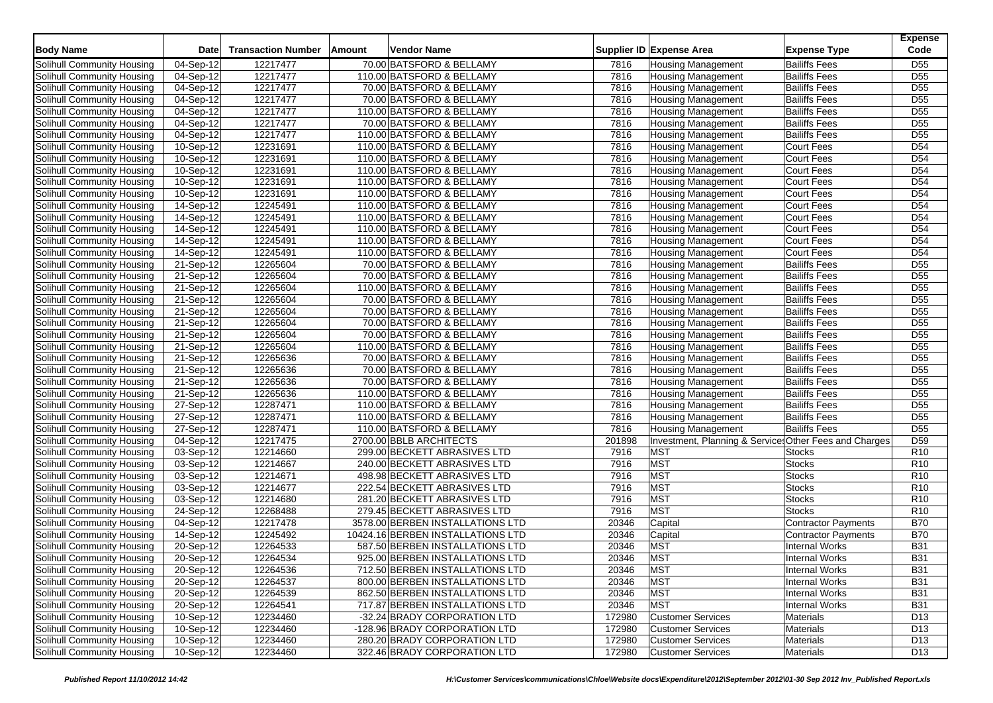| 70.00 BATSFORD & BELLAMY<br>$\overline{04}$ -Sep-12<br>12217477<br><b>Housing Management</b><br><b>Bailiffs Fees</b><br>D <sub>55</sub><br>Solihull Community Housing<br>7816<br>D <sub>55</sub><br>04-Sep-12<br>12217477<br>110.00 BATSFORD & BELLAMY<br>7816<br>Solihull Community Housing<br><b>Housing Management</b><br><b>Bailiffs Fees</b><br>12217477<br>70.00 BATSFORD & BELLAMY<br><b>Bailiffs Fees</b><br>D <sub>55</sub><br>Solihull Community Housing<br>04-Sep-12<br>7816<br><b>Housing Management</b><br>04-Sep-12<br>12217477<br>70.00 BATSFORD & BELLAMY<br>7816<br><b>Bailiffs Fees</b><br>D <sub>55</sub><br>Solihull Community Housing<br><b>Housing Management</b><br>D <sub>55</sub><br>04-Sep-12<br>12217477<br>110.00 BATSFORD & BELLAMY<br>7816<br>Solihull Community Housing<br><b>Housing Management</b><br><b>Bailiffs Fees</b><br>12217477<br><b>Bailiffs Fees</b><br>70.00 BATSFORD & BELLAMY<br>7816<br>D <sub>55</sub><br>Solihull Community Housing<br>04-Sep-12<br><b>Housing Management</b><br>04-Sep-12<br>12217477<br>110.00 BATSFORD & BELLAMY<br>7816<br><b>Bailiffs Fees</b><br>D <sub>55</sub><br>Solihull Community Housing<br><b>Housing Management</b><br>12231691<br>7816<br><b>Court Fees</b><br>D <sub>54</sub><br>Solihull Community Housing<br>10-Sep-12<br>110.00 BATSFORD & BELLAMY<br><b>Housing Management</b><br>10-Sep-12<br>12231691<br>7816<br><b>Court Fees</b><br>D <sub>54</sub><br>Solihull Community Housing<br>110.00 BATSFORD & BELLAMY<br><b>Housing Management</b><br>10-Sep-12<br>12231691<br>110.00 BATSFORD & BELLAMY<br>7816<br><b>Housing Management</b><br><b>Court Fees</b><br>D <sub>54</sub><br>Solihull Community Housing<br>10-Sep-12<br>12231691<br>110.00 BATSFORD & BELLAMY<br>7816<br><b>Court Fees</b><br>D <sub>54</sub><br>Solihull Community Housing<br><b>Housing Management</b><br>12231691<br>10-Sep-12<br>110.00 BATSFORD & BELLAMY<br>7816<br><b>Court Fees</b><br>D <sub>54</sub><br>Solihull Community Housing<br><b>Housing Management</b><br>$\overline{14}$ -Sep-12<br>12245491<br>110.00 BATSFORD & BELLAMY<br>7816<br><b>Court Fees</b><br>D <sub>54</sub><br>Solihull Community Housing<br><b>Housing Management</b><br>14-Sep-12<br>12245491<br>110.00 BATSFORD & BELLAMY<br>7816<br><b>Court Fees</b><br>D <sub>54</sub><br>Solihull Community Housing<br><b>Housing Management</b><br>12245491<br>7816<br><b>Court Fees</b><br>D <sub>54</sub><br>Solihull Community Housing<br>14-Sep-12<br>110.00 BATSFORD & BELLAMY<br><b>Housing Management</b><br>14-Sep-12<br>12245491<br>110.00 BATSFORD & BELLAMY<br>7816<br><b>Court Fees</b><br>D <sub>54</sub><br>Solihull Community Housing<br><b>Housing Management</b><br>$14-Sep-12$<br>12245491<br>110.00 BATSFORD & BELLAMY<br>7816<br><b>Court Fees</b><br>D <sub>54</sub><br>Solihull Community Housing<br><b>Housing Management</b><br>$\overline{21}$ -Sep-12<br>12265604<br>70.00 BATSFORD & BELLAMY<br><b>Bailiffs Fees</b><br>D <sub>55</sub><br>Solihull Community Housing<br>7816<br><b>Housing Management</b><br>21-Sep-12<br>12265604<br>70.00 BATSFORD & BELLAMY<br>7816<br><b>Bailiffs Fees</b><br>D <sub>55</sub><br>Solihull Community Housing<br><b>Housing Management</b><br>12265604<br>7816<br><b>Bailiffs Fees</b><br>D <sub>55</sub><br>Solihull Community Housing<br>21-Sep-12<br>110.00 BATSFORD & BELLAMY<br><b>Housing Management</b><br>12265604<br>70.00 BATSFORD & BELLAMY<br><b>Bailiffs Fees</b><br>D <sub>55</sub><br>Solihull Community Housing<br>21-Sep-12<br>7816<br><b>Housing Management</b><br>12265604<br>70.00 BATSFORD & BELLAMY<br>7816<br>D <sub>55</sub><br>Solihull Community Housing<br>21-Sep-12<br><b>Housing Management</b><br><b>Bailiffs Fees</b><br>12265604<br>21-Sep-12<br>70.00 BATSFORD & BELLAMY<br>7816<br><b>Housing Management</b><br><b>Bailiffs Fees</b><br>D <sub>55</sub><br>Solihull Community Housing<br>21-Sep-12<br>12265604<br>70.00 BATSFORD & BELLAMY<br>7816<br><b>Bailiffs Fees</b><br>D <sub>55</sub><br>Solihull Community Housing<br><b>Housing Management</b><br>21-Sep-12<br>12265604<br>110.00 BATSFORD & BELLAMY<br>7816<br><b>Bailiffs Fees</b><br>D <sub>55</sub><br>Solihull Community Housing<br><b>Housing Management</b><br>12265636<br>70.00 BATSFORD & BELLAMY<br>7816<br><b>Bailiffs Fees</b><br>D <sub>55</sub><br>Solihull Community Housing<br>21-Sep-12<br><b>Housing Management</b><br>$\overline{21}$ -Sep-12<br>12265636<br>70.00 BATSFORD & BELLAMY<br>7816<br><b>Bailiffs Fees</b><br>D <sub>55</sub><br>Solihull Community Housing<br>Housing Management<br>$\overline{D55}$<br>12265636<br>70.00 BATSFORD & BELLAMY<br>7816<br>Solihull Community Housing<br>21-Sep-12<br><b>Housing Management</b><br><b>Bailiffs Fees</b><br>D <sub>55</sub><br>12265636<br>7816<br><b>Bailiffs Fees</b><br>Solihull Community Housing<br>21-Sep-12<br>110.00 BATSFORD & BELLAMY<br><b>Housing Management</b><br>12287471<br>D <sub>55</sub><br>27-Sep-12<br>110.00 BATSFORD & BELLAMY<br>7816<br><b>Bailiffs Fees</b><br>Solihull Community Housing<br><b>Housing Management</b><br>D <sub>55</sub><br>$\overline{27}$ -Sep-12<br>12287471<br>110.00 BATSFORD & BELLAMY<br>7816<br><b>Bailiffs Fees</b><br>Solihull Community Housing<br><b>Housing Management</b><br>12287471<br>7816<br><b>Bailiffs Fees</b><br>D <sub>55</sub><br>Solihull Community Housing<br>27-Sep-12<br>110.00 BATSFORD & BELLAMY<br>Housing Management<br>12217475<br>D <sub>59</sub><br>04-Sep-12<br>2700.00 BBLB ARCHITECTS<br>201898<br>Investment, Planning & Services Other Fees and Charges<br>Solihull Community Housing<br>12214660<br>7916<br><b>MST</b><br>R <sub>10</sub><br>Solihull Community Housing<br>03-Sep-12<br>299.00 BECKETT ABRASIVES LTD<br><b>Stocks</b><br><b>MST</b><br>12214667<br>7916<br>Stocks<br>R <sub>10</sub><br>Solihull Community Housing<br>03-Sep-12<br>240.00 BECKETT ABRASIVES LTD<br><b>MST</b><br>$\overline{03-Sep-12}$<br>12214671<br>7916<br><b>Stocks</b><br>R <sub>10</sub><br>Solihull Community Housing<br>498.98 BECKETT ABRASIVES LTD<br><b>MST</b><br>03-Sep-12<br>12214677<br>222.54 BECKETT ABRASIVES LTD<br>7916<br><b>Stocks</b><br>R <sub>10</sub><br>Solihull Community Housing<br><b>MST</b><br>12214680<br>7916<br>Stocks<br>R <sub>10</sub><br>Solihull Community Housing<br>03-Sep-12<br>281.20 BECKETT ABRASIVES LTD<br><b>MST</b><br>24-Sep-12<br>12268488<br>279.45 BECKETT ABRASIVES LTD<br>7916<br>R <sub>10</sub><br>Solihull Community Housing<br><b>Stocks</b><br>12217478<br>20346<br><b>B70</b><br>Solihull Community Housing<br>04-Sep-12<br>3578.00 BERBEN INSTALLATIONS LTD<br>Capital<br>Contractor Payments<br>12245492<br><b>B70</b><br>Solihull Community Housing<br>14-Sep-12<br>10424.16 BERBEN INSTALLATIONS LTD<br>20346<br>Capital<br><b>Contractor Payments</b><br>20346<br><b>MST</b><br><b>B31</b><br>20-Sep-12<br>12264533<br>587.50 BERBEN INSTALLATIONS LTD<br><b>Internal Works</b><br>Solihull Community Housing<br>12264534<br>MST<br><b>B31</b><br>Solihull Community Housing<br>20-Sep-12<br>925.00 BERBEN INSTALLATIONS LTD<br>20346<br><b>Internal Works</b><br>Solihull Community Housing<br>12264536<br>712.50 BERBEN INSTALLATIONS LTD<br><b>MST</b><br>Internal Works<br><b>B31</b><br>20-Sep-12<br>20346<br>Solihull Community Housing<br>20-Sep-12<br>12264537<br>800.00 BERBEN INSTALLATIONS LTD<br>20346<br><b>MST</b><br><b>Internal Works</b><br><b>B31</b><br>Solihull Community Housing<br>20-Sep-12<br><b>MST</b><br>12264539<br>862.50 BERBEN INSTALLATIONS LTD<br>20346<br><b>Internal Works</b><br><b>B31</b><br>Solihull Community Housing<br>20-Sep-12<br>12264541<br>717.87 BERBEN INSTALLATIONS LTD<br><b>MST</b><br><b>Internal Works</b><br><b>B31</b><br>20346<br>Solihull Community Housing<br>10-Sep-12<br>12234460<br>-32.24 BRADY CORPORATION LTD<br>172980<br><b>Customer Services</b><br>D <sub>13</sub><br>Materials<br>Solihull Community Housing<br>10-Sep-12<br>-128.96 BRADY CORPORATION LTD<br>12234460<br><b>Customer Services</b><br>Materials<br>D <sub>13</sub><br>172980<br>10-Sep-12<br>12234460<br>280.20 BRADY CORPORATION LTD<br>172980<br>D <sub>13</sub><br>Solihull Community Housing<br><b>Customer Services</b><br>Materials<br>Solihull Community Housing<br>10-Sep-12<br>12234460<br>322.46 BRADY CORPORATION LTD<br>172980<br>Customer Services<br>D <sub>13</sub><br>Materials | <b>Body Name</b> | <b>Date</b> | <b>Transaction Number</b> | Amount | <b>Vendor Name</b> | Supplier ID Expense Area | <b>Expense Type</b> | <b>Expense</b><br>Code |
|------------------------------------------------------------------------------------------------------------------------------------------------------------------------------------------------------------------------------------------------------------------------------------------------------------------------------------------------------------------------------------------------------------------------------------------------------------------------------------------------------------------------------------------------------------------------------------------------------------------------------------------------------------------------------------------------------------------------------------------------------------------------------------------------------------------------------------------------------------------------------------------------------------------------------------------------------------------------------------------------------------------------------------------------------------------------------------------------------------------------------------------------------------------------------------------------------------------------------------------------------------------------------------------------------------------------------------------------------------------------------------------------------------------------------------------------------------------------------------------------------------------------------------------------------------------------------------------------------------------------------------------------------------------------------------------------------------------------------------------------------------------------------------------------------------------------------------------------------------------------------------------------------------------------------------------------------------------------------------------------------------------------------------------------------------------------------------------------------------------------------------------------------------------------------------------------------------------------------------------------------------------------------------------------------------------------------------------------------------------------------------------------------------------------------------------------------------------------------------------------------------------------------------------------------------------------------------------------------------------------------------------------------------------------------------------------------------------------------------------------------------------------------------------------------------------------------------------------------------------------------------------------------------------------------------------------------------------------------------------------------------------------------------------------------------------------------------------------------------------------------------------------------------------------------------------------------------------------------------------------------------------------------------------------------------------------------------------------------------------------------------------------------------------------------------------------------------------------------------------------------------------------------------------------------------------------------------------------------------------------------------------------------------------------------------------------------------------------------------------------------------------------------------------------------------------------------------------------------------------------------------------------------------------------------------------------------------------------------------------------------------------------------------------------------------------------------------------------------------------------------------------------------------------------------------------------------------------------------------------------------------------------------------------------------------------------------------------------------------------------------------------------------------------------------------------------------------------------------------------------------------------------------------------------------------------------------------------------------------------------------------------------------------------------------------------------------------------------------------------------------------------------------------------------------------------------------------------------------------------------------------------------------------------------------------------------------------------------------------------------------------------------------------------------------------------------------------------------------------------------------------------------------------------------------------------------------------------------------------------------------------------------------------------------------------------------------------------------------------------------------------------------------------------------------------------------------------------------------------------------------------------------------------------------------------------------------------------------------------------------------------------------------------------------------------------------------------------------------------------------------------------------------------------------------------------------------------------------------------------------------------------------------------------------------------------------------------------------------------------------------------------------------------------------------------------------------------------------------------------------------------------------------------------------------------------------------------------------------------------------------------------------------------------------------------------------------------------------------------------------------------------------------------------------------------------------------------------------------------------------------------------------------------------------------------------------------------------------------------------------------------------------------------------------------------------------------------------------------------------------------------------------------------------------------------------------------------------------------------------------------------------------------------------------------------------------------------------------------------------------------------------------------------------------------------------------------------------------------------------------------------------------------------------------------------------------------------------------------------------------------------------------------------------------------------------------------------------------------------------------------------------------------------------------------------------------------------------------------------------------------------------------------------------------------------------------------------------------------------------------------------------------------------------------------------------------------------------------------------------------------------------------------------------------------------------------------------------------------------------------------------------------------------------------------------------------------------------------------------------------------------------------------------------------------------------------------------------------------------------------------------------------------------------------------------------------------------------------------------------------------------------------------------------------------------------------------------------------------------------------------------------------------------------------------------------------------------|------------------|-------------|---------------------------|--------|--------------------|--------------------------|---------------------|------------------------|
|                                                                                                                                                                                                                                                                                                                                                                                                                                                                                                                                                                                                                                                                                                                                                                                                                                                                                                                                                                                                                                                                                                                                                                                                                                                                                                                                                                                                                                                                                                                                                                                                                                                                                                                                                                                                                                                                                                                                                                                                                                                                                                                                                                                                                                                                                                                                                                                                                                                                                                                                                                                                                                                                                                                                                                                                                                                                                                                                                                                                                                                                                                                                                                                                                                                                                                                                                                                                                                                                                                                                                                                                                                                                                                                                                                                                                                                                                                                                                                                                                                                                                                                                                                                                                                                                                                                                                                                                                                                                                                                                                                                                                                                                                                                                                                                                                                                                                                                                                                                                                                                                                                                                                                                                                                                                                                                                                                                                                                                                                                                                                                                                                                                                                                                                                                                                                                                                                                                                                                                                                                                                                                                                                                                                                                                                                                                                                                                                                                                                                                                                                                                                                                                                                                                                                                                                                                                                                                                                                                                                                                                                                                                                                                                                                                                                                                                                                                                                                                                                                                                                                                                                                                                                                                                                                                                                                                                                                                                                                                                                                                                                                                                                                                                                                                                                                                                                                                                                                                                            |                  |             |                           |        |                    |                          |                     |                        |
|                                                                                                                                                                                                                                                                                                                                                                                                                                                                                                                                                                                                                                                                                                                                                                                                                                                                                                                                                                                                                                                                                                                                                                                                                                                                                                                                                                                                                                                                                                                                                                                                                                                                                                                                                                                                                                                                                                                                                                                                                                                                                                                                                                                                                                                                                                                                                                                                                                                                                                                                                                                                                                                                                                                                                                                                                                                                                                                                                                                                                                                                                                                                                                                                                                                                                                                                                                                                                                                                                                                                                                                                                                                                                                                                                                                                                                                                                                                                                                                                                                                                                                                                                                                                                                                                                                                                                                                                                                                                                                                                                                                                                                                                                                                                                                                                                                                                                                                                                                                                                                                                                                                                                                                                                                                                                                                                                                                                                                                                                                                                                                                                                                                                                                                                                                                                                                                                                                                                                                                                                                                                                                                                                                                                                                                                                                                                                                                                                                                                                                                                                                                                                                                                                                                                                                                                                                                                                                                                                                                                                                                                                                                                                                                                                                                                                                                                                                                                                                                                                                                                                                                                                                                                                                                                                                                                                                                                                                                                                                                                                                                                                                                                                                                                                                                                                                                                                                                                                                                            |                  |             |                           |        |                    |                          |                     |                        |
|                                                                                                                                                                                                                                                                                                                                                                                                                                                                                                                                                                                                                                                                                                                                                                                                                                                                                                                                                                                                                                                                                                                                                                                                                                                                                                                                                                                                                                                                                                                                                                                                                                                                                                                                                                                                                                                                                                                                                                                                                                                                                                                                                                                                                                                                                                                                                                                                                                                                                                                                                                                                                                                                                                                                                                                                                                                                                                                                                                                                                                                                                                                                                                                                                                                                                                                                                                                                                                                                                                                                                                                                                                                                                                                                                                                                                                                                                                                                                                                                                                                                                                                                                                                                                                                                                                                                                                                                                                                                                                                                                                                                                                                                                                                                                                                                                                                                                                                                                                                                                                                                                                                                                                                                                                                                                                                                                                                                                                                                                                                                                                                                                                                                                                                                                                                                                                                                                                                                                                                                                                                                                                                                                                                                                                                                                                                                                                                                                                                                                                                                                                                                                                                                                                                                                                                                                                                                                                                                                                                                                                                                                                                                                                                                                                                                                                                                                                                                                                                                                                                                                                                                                                                                                                                                                                                                                                                                                                                                                                                                                                                                                                                                                                                                                                                                                                                                                                                                                                                            |                  |             |                           |        |                    |                          |                     |                        |
|                                                                                                                                                                                                                                                                                                                                                                                                                                                                                                                                                                                                                                                                                                                                                                                                                                                                                                                                                                                                                                                                                                                                                                                                                                                                                                                                                                                                                                                                                                                                                                                                                                                                                                                                                                                                                                                                                                                                                                                                                                                                                                                                                                                                                                                                                                                                                                                                                                                                                                                                                                                                                                                                                                                                                                                                                                                                                                                                                                                                                                                                                                                                                                                                                                                                                                                                                                                                                                                                                                                                                                                                                                                                                                                                                                                                                                                                                                                                                                                                                                                                                                                                                                                                                                                                                                                                                                                                                                                                                                                                                                                                                                                                                                                                                                                                                                                                                                                                                                                                                                                                                                                                                                                                                                                                                                                                                                                                                                                                                                                                                                                                                                                                                                                                                                                                                                                                                                                                                                                                                                                                                                                                                                                                                                                                                                                                                                                                                                                                                                                                                                                                                                                                                                                                                                                                                                                                                                                                                                                                                                                                                                                                                                                                                                                                                                                                                                                                                                                                                                                                                                                                                                                                                                                                                                                                                                                                                                                                                                                                                                                                                                                                                                                                                                                                                                                                                                                                                                                            |                  |             |                           |        |                    |                          |                     |                        |
|                                                                                                                                                                                                                                                                                                                                                                                                                                                                                                                                                                                                                                                                                                                                                                                                                                                                                                                                                                                                                                                                                                                                                                                                                                                                                                                                                                                                                                                                                                                                                                                                                                                                                                                                                                                                                                                                                                                                                                                                                                                                                                                                                                                                                                                                                                                                                                                                                                                                                                                                                                                                                                                                                                                                                                                                                                                                                                                                                                                                                                                                                                                                                                                                                                                                                                                                                                                                                                                                                                                                                                                                                                                                                                                                                                                                                                                                                                                                                                                                                                                                                                                                                                                                                                                                                                                                                                                                                                                                                                                                                                                                                                                                                                                                                                                                                                                                                                                                                                                                                                                                                                                                                                                                                                                                                                                                                                                                                                                                                                                                                                                                                                                                                                                                                                                                                                                                                                                                                                                                                                                                                                                                                                                                                                                                                                                                                                                                                                                                                                                                                                                                                                                                                                                                                                                                                                                                                                                                                                                                                                                                                                                                                                                                                                                                                                                                                                                                                                                                                                                                                                                                                                                                                                                                                                                                                                                                                                                                                                                                                                                                                                                                                                                                                                                                                                                                                                                                                                                            |                  |             |                           |        |                    |                          |                     |                        |
|                                                                                                                                                                                                                                                                                                                                                                                                                                                                                                                                                                                                                                                                                                                                                                                                                                                                                                                                                                                                                                                                                                                                                                                                                                                                                                                                                                                                                                                                                                                                                                                                                                                                                                                                                                                                                                                                                                                                                                                                                                                                                                                                                                                                                                                                                                                                                                                                                                                                                                                                                                                                                                                                                                                                                                                                                                                                                                                                                                                                                                                                                                                                                                                                                                                                                                                                                                                                                                                                                                                                                                                                                                                                                                                                                                                                                                                                                                                                                                                                                                                                                                                                                                                                                                                                                                                                                                                                                                                                                                                                                                                                                                                                                                                                                                                                                                                                                                                                                                                                                                                                                                                                                                                                                                                                                                                                                                                                                                                                                                                                                                                                                                                                                                                                                                                                                                                                                                                                                                                                                                                                                                                                                                                                                                                                                                                                                                                                                                                                                                                                                                                                                                                                                                                                                                                                                                                                                                                                                                                                                                                                                                                                                                                                                                                                                                                                                                                                                                                                                                                                                                                                                                                                                                                                                                                                                                                                                                                                                                                                                                                                                                                                                                                                                                                                                                                                                                                                                                                            |                  |             |                           |        |                    |                          |                     |                        |
|                                                                                                                                                                                                                                                                                                                                                                                                                                                                                                                                                                                                                                                                                                                                                                                                                                                                                                                                                                                                                                                                                                                                                                                                                                                                                                                                                                                                                                                                                                                                                                                                                                                                                                                                                                                                                                                                                                                                                                                                                                                                                                                                                                                                                                                                                                                                                                                                                                                                                                                                                                                                                                                                                                                                                                                                                                                                                                                                                                                                                                                                                                                                                                                                                                                                                                                                                                                                                                                                                                                                                                                                                                                                                                                                                                                                                                                                                                                                                                                                                                                                                                                                                                                                                                                                                                                                                                                                                                                                                                                                                                                                                                                                                                                                                                                                                                                                                                                                                                                                                                                                                                                                                                                                                                                                                                                                                                                                                                                                                                                                                                                                                                                                                                                                                                                                                                                                                                                                                                                                                                                                                                                                                                                                                                                                                                                                                                                                                                                                                                                                                                                                                                                                                                                                                                                                                                                                                                                                                                                                                                                                                                                                                                                                                                                                                                                                                                                                                                                                                                                                                                                                                                                                                                                                                                                                                                                                                                                                                                                                                                                                                                                                                                                                                                                                                                                                                                                                                                                            |                  |             |                           |        |                    |                          |                     |                        |
|                                                                                                                                                                                                                                                                                                                                                                                                                                                                                                                                                                                                                                                                                                                                                                                                                                                                                                                                                                                                                                                                                                                                                                                                                                                                                                                                                                                                                                                                                                                                                                                                                                                                                                                                                                                                                                                                                                                                                                                                                                                                                                                                                                                                                                                                                                                                                                                                                                                                                                                                                                                                                                                                                                                                                                                                                                                                                                                                                                                                                                                                                                                                                                                                                                                                                                                                                                                                                                                                                                                                                                                                                                                                                                                                                                                                                                                                                                                                                                                                                                                                                                                                                                                                                                                                                                                                                                                                                                                                                                                                                                                                                                                                                                                                                                                                                                                                                                                                                                                                                                                                                                                                                                                                                                                                                                                                                                                                                                                                                                                                                                                                                                                                                                                                                                                                                                                                                                                                                                                                                                                                                                                                                                                                                                                                                                                                                                                                                                                                                                                                                                                                                                                                                                                                                                                                                                                                                                                                                                                                                                                                                                                                                                                                                                                                                                                                                                                                                                                                                                                                                                                                                                                                                                                                                                                                                                                                                                                                                                                                                                                                                                                                                                                                                                                                                                                                                                                                                                                            |                  |             |                           |        |                    |                          |                     |                        |
|                                                                                                                                                                                                                                                                                                                                                                                                                                                                                                                                                                                                                                                                                                                                                                                                                                                                                                                                                                                                                                                                                                                                                                                                                                                                                                                                                                                                                                                                                                                                                                                                                                                                                                                                                                                                                                                                                                                                                                                                                                                                                                                                                                                                                                                                                                                                                                                                                                                                                                                                                                                                                                                                                                                                                                                                                                                                                                                                                                                                                                                                                                                                                                                                                                                                                                                                                                                                                                                                                                                                                                                                                                                                                                                                                                                                                                                                                                                                                                                                                                                                                                                                                                                                                                                                                                                                                                                                                                                                                                                                                                                                                                                                                                                                                                                                                                                                                                                                                                                                                                                                                                                                                                                                                                                                                                                                                                                                                                                                                                                                                                                                                                                                                                                                                                                                                                                                                                                                                                                                                                                                                                                                                                                                                                                                                                                                                                                                                                                                                                                                                                                                                                                                                                                                                                                                                                                                                                                                                                                                                                                                                                                                                                                                                                                                                                                                                                                                                                                                                                                                                                                                                                                                                                                                                                                                                                                                                                                                                                                                                                                                                                                                                                                                                                                                                                                                                                                                                                                            |                  |             |                           |        |                    |                          |                     |                        |
|                                                                                                                                                                                                                                                                                                                                                                                                                                                                                                                                                                                                                                                                                                                                                                                                                                                                                                                                                                                                                                                                                                                                                                                                                                                                                                                                                                                                                                                                                                                                                                                                                                                                                                                                                                                                                                                                                                                                                                                                                                                                                                                                                                                                                                                                                                                                                                                                                                                                                                                                                                                                                                                                                                                                                                                                                                                                                                                                                                                                                                                                                                                                                                                                                                                                                                                                                                                                                                                                                                                                                                                                                                                                                                                                                                                                                                                                                                                                                                                                                                                                                                                                                                                                                                                                                                                                                                                                                                                                                                                                                                                                                                                                                                                                                                                                                                                                                                                                                                                                                                                                                                                                                                                                                                                                                                                                                                                                                                                                                                                                                                                                                                                                                                                                                                                                                                                                                                                                                                                                                                                                                                                                                                                                                                                                                                                                                                                                                                                                                                                                                                                                                                                                                                                                                                                                                                                                                                                                                                                                                                                                                                                                                                                                                                                                                                                                                                                                                                                                                                                                                                                                                                                                                                                                                                                                                                                                                                                                                                                                                                                                                                                                                                                                                                                                                                                                                                                                                                                            |                  |             |                           |        |                    |                          |                     |                        |
|                                                                                                                                                                                                                                                                                                                                                                                                                                                                                                                                                                                                                                                                                                                                                                                                                                                                                                                                                                                                                                                                                                                                                                                                                                                                                                                                                                                                                                                                                                                                                                                                                                                                                                                                                                                                                                                                                                                                                                                                                                                                                                                                                                                                                                                                                                                                                                                                                                                                                                                                                                                                                                                                                                                                                                                                                                                                                                                                                                                                                                                                                                                                                                                                                                                                                                                                                                                                                                                                                                                                                                                                                                                                                                                                                                                                                                                                                                                                                                                                                                                                                                                                                                                                                                                                                                                                                                                                                                                                                                                                                                                                                                                                                                                                                                                                                                                                                                                                                                                                                                                                                                                                                                                                                                                                                                                                                                                                                                                                                                                                                                                                                                                                                                                                                                                                                                                                                                                                                                                                                                                                                                                                                                                                                                                                                                                                                                                                                                                                                                                                                                                                                                                                                                                                                                                                                                                                                                                                                                                                                                                                                                                                                                                                                                                                                                                                                                                                                                                                                                                                                                                                                                                                                                                                                                                                                                                                                                                                                                                                                                                                                                                                                                                                                                                                                                                                                                                                                                                            |                  |             |                           |        |                    |                          |                     |                        |
|                                                                                                                                                                                                                                                                                                                                                                                                                                                                                                                                                                                                                                                                                                                                                                                                                                                                                                                                                                                                                                                                                                                                                                                                                                                                                                                                                                                                                                                                                                                                                                                                                                                                                                                                                                                                                                                                                                                                                                                                                                                                                                                                                                                                                                                                                                                                                                                                                                                                                                                                                                                                                                                                                                                                                                                                                                                                                                                                                                                                                                                                                                                                                                                                                                                                                                                                                                                                                                                                                                                                                                                                                                                                                                                                                                                                                                                                                                                                                                                                                                                                                                                                                                                                                                                                                                                                                                                                                                                                                                                                                                                                                                                                                                                                                                                                                                                                                                                                                                                                                                                                                                                                                                                                                                                                                                                                                                                                                                                                                                                                                                                                                                                                                                                                                                                                                                                                                                                                                                                                                                                                                                                                                                                                                                                                                                                                                                                                                                                                                                                                                                                                                                                                                                                                                                                                                                                                                                                                                                                                                                                                                                                                                                                                                                                                                                                                                                                                                                                                                                                                                                                                                                                                                                                                                                                                                                                                                                                                                                                                                                                                                                                                                                                                                                                                                                                                                                                                                                                            |                  |             |                           |        |                    |                          |                     |                        |
|                                                                                                                                                                                                                                                                                                                                                                                                                                                                                                                                                                                                                                                                                                                                                                                                                                                                                                                                                                                                                                                                                                                                                                                                                                                                                                                                                                                                                                                                                                                                                                                                                                                                                                                                                                                                                                                                                                                                                                                                                                                                                                                                                                                                                                                                                                                                                                                                                                                                                                                                                                                                                                                                                                                                                                                                                                                                                                                                                                                                                                                                                                                                                                                                                                                                                                                                                                                                                                                                                                                                                                                                                                                                                                                                                                                                                                                                                                                                                                                                                                                                                                                                                                                                                                                                                                                                                                                                                                                                                                                                                                                                                                                                                                                                                                                                                                                                                                                                                                                                                                                                                                                                                                                                                                                                                                                                                                                                                                                                                                                                                                                                                                                                                                                                                                                                                                                                                                                                                                                                                                                                                                                                                                                                                                                                                                                                                                                                                                                                                                                                                                                                                                                                                                                                                                                                                                                                                                                                                                                                                                                                                                                                                                                                                                                                                                                                                                                                                                                                                                                                                                                                                                                                                                                                                                                                                                                                                                                                                                                                                                                                                                                                                                                                                                                                                                                                                                                                                                                            |                  |             |                           |        |                    |                          |                     |                        |
|                                                                                                                                                                                                                                                                                                                                                                                                                                                                                                                                                                                                                                                                                                                                                                                                                                                                                                                                                                                                                                                                                                                                                                                                                                                                                                                                                                                                                                                                                                                                                                                                                                                                                                                                                                                                                                                                                                                                                                                                                                                                                                                                                                                                                                                                                                                                                                                                                                                                                                                                                                                                                                                                                                                                                                                                                                                                                                                                                                                                                                                                                                                                                                                                                                                                                                                                                                                                                                                                                                                                                                                                                                                                                                                                                                                                                                                                                                                                                                                                                                                                                                                                                                                                                                                                                                                                                                                                                                                                                                                                                                                                                                                                                                                                                                                                                                                                                                                                                                                                                                                                                                                                                                                                                                                                                                                                                                                                                                                                                                                                                                                                                                                                                                                                                                                                                                                                                                                                                                                                                                                                                                                                                                                                                                                                                                                                                                                                                                                                                                                                                                                                                                                                                                                                                                                                                                                                                                                                                                                                                                                                                                                                                                                                                                                                                                                                                                                                                                                                                                                                                                                                                                                                                                                                                                                                                                                                                                                                                                                                                                                                                                                                                                                                                                                                                                                                                                                                                                                            |                  |             |                           |        |                    |                          |                     |                        |
|                                                                                                                                                                                                                                                                                                                                                                                                                                                                                                                                                                                                                                                                                                                                                                                                                                                                                                                                                                                                                                                                                                                                                                                                                                                                                                                                                                                                                                                                                                                                                                                                                                                                                                                                                                                                                                                                                                                                                                                                                                                                                                                                                                                                                                                                                                                                                                                                                                                                                                                                                                                                                                                                                                                                                                                                                                                                                                                                                                                                                                                                                                                                                                                                                                                                                                                                                                                                                                                                                                                                                                                                                                                                                                                                                                                                                                                                                                                                                                                                                                                                                                                                                                                                                                                                                                                                                                                                                                                                                                                                                                                                                                                                                                                                                                                                                                                                                                                                                                                                                                                                                                                                                                                                                                                                                                                                                                                                                                                                                                                                                                                                                                                                                                                                                                                                                                                                                                                                                                                                                                                                                                                                                                                                                                                                                                                                                                                                                                                                                                                                                                                                                                                                                                                                                                                                                                                                                                                                                                                                                                                                                                                                                                                                                                                                                                                                                                                                                                                                                                                                                                                                                                                                                                                                                                                                                                                                                                                                                                                                                                                                                                                                                                                                                                                                                                                                                                                                                                                            |                  |             |                           |        |                    |                          |                     |                        |
|                                                                                                                                                                                                                                                                                                                                                                                                                                                                                                                                                                                                                                                                                                                                                                                                                                                                                                                                                                                                                                                                                                                                                                                                                                                                                                                                                                                                                                                                                                                                                                                                                                                                                                                                                                                                                                                                                                                                                                                                                                                                                                                                                                                                                                                                                                                                                                                                                                                                                                                                                                                                                                                                                                                                                                                                                                                                                                                                                                                                                                                                                                                                                                                                                                                                                                                                                                                                                                                                                                                                                                                                                                                                                                                                                                                                                                                                                                                                                                                                                                                                                                                                                                                                                                                                                                                                                                                                                                                                                                                                                                                                                                                                                                                                                                                                                                                                                                                                                                                                                                                                                                                                                                                                                                                                                                                                                                                                                                                                                                                                                                                                                                                                                                                                                                                                                                                                                                                                                                                                                                                                                                                                                                                                                                                                                                                                                                                                                                                                                                                                                                                                                                                                                                                                                                                                                                                                                                                                                                                                                                                                                                                                                                                                                                                                                                                                                                                                                                                                                                                                                                                                                                                                                                                                                                                                                                                                                                                                                                                                                                                                                                                                                                                                                                                                                                                                                                                                                                                            |                  |             |                           |        |                    |                          |                     |                        |
|                                                                                                                                                                                                                                                                                                                                                                                                                                                                                                                                                                                                                                                                                                                                                                                                                                                                                                                                                                                                                                                                                                                                                                                                                                                                                                                                                                                                                                                                                                                                                                                                                                                                                                                                                                                                                                                                                                                                                                                                                                                                                                                                                                                                                                                                                                                                                                                                                                                                                                                                                                                                                                                                                                                                                                                                                                                                                                                                                                                                                                                                                                                                                                                                                                                                                                                                                                                                                                                                                                                                                                                                                                                                                                                                                                                                                                                                                                                                                                                                                                                                                                                                                                                                                                                                                                                                                                                                                                                                                                                                                                                                                                                                                                                                                                                                                                                                                                                                                                                                                                                                                                                                                                                                                                                                                                                                                                                                                                                                                                                                                                                                                                                                                                                                                                                                                                                                                                                                                                                                                                                                                                                                                                                                                                                                                                                                                                                                                                                                                                                                                                                                                                                                                                                                                                                                                                                                                                                                                                                                                                                                                                                                                                                                                                                                                                                                                                                                                                                                                                                                                                                                                                                                                                                                                                                                                                                                                                                                                                                                                                                                                                                                                                                                                                                                                                                                                                                                                                                            |                  |             |                           |        |                    |                          |                     |                        |
|                                                                                                                                                                                                                                                                                                                                                                                                                                                                                                                                                                                                                                                                                                                                                                                                                                                                                                                                                                                                                                                                                                                                                                                                                                                                                                                                                                                                                                                                                                                                                                                                                                                                                                                                                                                                                                                                                                                                                                                                                                                                                                                                                                                                                                                                                                                                                                                                                                                                                                                                                                                                                                                                                                                                                                                                                                                                                                                                                                                                                                                                                                                                                                                                                                                                                                                                                                                                                                                                                                                                                                                                                                                                                                                                                                                                                                                                                                                                                                                                                                                                                                                                                                                                                                                                                                                                                                                                                                                                                                                                                                                                                                                                                                                                                                                                                                                                                                                                                                                                                                                                                                                                                                                                                                                                                                                                                                                                                                                                                                                                                                                                                                                                                                                                                                                                                                                                                                                                                                                                                                                                                                                                                                                                                                                                                                                                                                                                                                                                                                                                                                                                                                                                                                                                                                                                                                                                                                                                                                                                                                                                                                                                                                                                                                                                                                                                                                                                                                                                                                                                                                                                                                                                                                                                                                                                                                                                                                                                                                                                                                                                                                                                                                                                                                                                                                                                                                                                                                                            |                  |             |                           |        |                    |                          |                     |                        |
|                                                                                                                                                                                                                                                                                                                                                                                                                                                                                                                                                                                                                                                                                                                                                                                                                                                                                                                                                                                                                                                                                                                                                                                                                                                                                                                                                                                                                                                                                                                                                                                                                                                                                                                                                                                                                                                                                                                                                                                                                                                                                                                                                                                                                                                                                                                                                                                                                                                                                                                                                                                                                                                                                                                                                                                                                                                                                                                                                                                                                                                                                                                                                                                                                                                                                                                                                                                                                                                                                                                                                                                                                                                                                                                                                                                                                                                                                                                                                                                                                                                                                                                                                                                                                                                                                                                                                                                                                                                                                                                                                                                                                                                                                                                                                                                                                                                                                                                                                                                                                                                                                                                                                                                                                                                                                                                                                                                                                                                                                                                                                                                                                                                                                                                                                                                                                                                                                                                                                                                                                                                                                                                                                                                                                                                                                                                                                                                                                                                                                                                                                                                                                                                                                                                                                                                                                                                                                                                                                                                                                                                                                                                                                                                                                                                                                                                                                                                                                                                                                                                                                                                                                                                                                                                                                                                                                                                                                                                                                                                                                                                                                                                                                                                                                                                                                                                                                                                                                                                            |                  |             |                           |        |                    |                          |                     |                        |
|                                                                                                                                                                                                                                                                                                                                                                                                                                                                                                                                                                                                                                                                                                                                                                                                                                                                                                                                                                                                                                                                                                                                                                                                                                                                                                                                                                                                                                                                                                                                                                                                                                                                                                                                                                                                                                                                                                                                                                                                                                                                                                                                                                                                                                                                                                                                                                                                                                                                                                                                                                                                                                                                                                                                                                                                                                                                                                                                                                                                                                                                                                                                                                                                                                                                                                                                                                                                                                                                                                                                                                                                                                                                                                                                                                                                                                                                                                                                                                                                                                                                                                                                                                                                                                                                                                                                                                                                                                                                                                                                                                                                                                                                                                                                                                                                                                                                                                                                                                                                                                                                                                                                                                                                                                                                                                                                                                                                                                                                                                                                                                                                                                                                                                                                                                                                                                                                                                                                                                                                                                                                                                                                                                                                                                                                                                                                                                                                                                                                                                                                                                                                                                                                                                                                                                                                                                                                                                                                                                                                                                                                                                                                                                                                                                                                                                                                                                                                                                                                                                                                                                                                                                                                                                                                                                                                                                                                                                                                                                                                                                                                                                                                                                                                                                                                                                                                                                                                                                                            |                  |             |                           |        |                    |                          |                     |                        |
|                                                                                                                                                                                                                                                                                                                                                                                                                                                                                                                                                                                                                                                                                                                                                                                                                                                                                                                                                                                                                                                                                                                                                                                                                                                                                                                                                                                                                                                                                                                                                                                                                                                                                                                                                                                                                                                                                                                                                                                                                                                                                                                                                                                                                                                                                                                                                                                                                                                                                                                                                                                                                                                                                                                                                                                                                                                                                                                                                                                                                                                                                                                                                                                                                                                                                                                                                                                                                                                                                                                                                                                                                                                                                                                                                                                                                                                                                                                                                                                                                                                                                                                                                                                                                                                                                                                                                                                                                                                                                                                                                                                                                                                                                                                                                                                                                                                                                                                                                                                                                                                                                                                                                                                                                                                                                                                                                                                                                                                                                                                                                                                                                                                                                                                                                                                                                                                                                                                                                                                                                                                                                                                                                                                                                                                                                                                                                                                                                                                                                                                                                                                                                                                                                                                                                                                                                                                                                                                                                                                                                                                                                                                                                                                                                                                                                                                                                                                                                                                                                                                                                                                                                                                                                                                                                                                                                                                                                                                                                                                                                                                                                                                                                                                                                                                                                                                                                                                                                                                            |                  |             |                           |        |                    |                          |                     |                        |
|                                                                                                                                                                                                                                                                                                                                                                                                                                                                                                                                                                                                                                                                                                                                                                                                                                                                                                                                                                                                                                                                                                                                                                                                                                                                                                                                                                                                                                                                                                                                                                                                                                                                                                                                                                                                                                                                                                                                                                                                                                                                                                                                                                                                                                                                                                                                                                                                                                                                                                                                                                                                                                                                                                                                                                                                                                                                                                                                                                                                                                                                                                                                                                                                                                                                                                                                                                                                                                                                                                                                                                                                                                                                                                                                                                                                                                                                                                                                                                                                                                                                                                                                                                                                                                                                                                                                                                                                                                                                                                                                                                                                                                                                                                                                                                                                                                                                                                                                                                                                                                                                                                                                                                                                                                                                                                                                                                                                                                                                                                                                                                                                                                                                                                                                                                                                                                                                                                                                                                                                                                                                                                                                                                                                                                                                                                                                                                                                                                                                                                                                                                                                                                                                                                                                                                                                                                                                                                                                                                                                                                                                                                                                                                                                                                                                                                                                                                                                                                                                                                                                                                                                                                                                                                                                                                                                                                                                                                                                                                                                                                                                                                                                                                                                                                                                                                                                                                                                                                                            |                  |             |                           |        |                    |                          |                     |                        |
|                                                                                                                                                                                                                                                                                                                                                                                                                                                                                                                                                                                                                                                                                                                                                                                                                                                                                                                                                                                                                                                                                                                                                                                                                                                                                                                                                                                                                                                                                                                                                                                                                                                                                                                                                                                                                                                                                                                                                                                                                                                                                                                                                                                                                                                                                                                                                                                                                                                                                                                                                                                                                                                                                                                                                                                                                                                                                                                                                                                                                                                                                                                                                                                                                                                                                                                                                                                                                                                                                                                                                                                                                                                                                                                                                                                                                                                                                                                                                                                                                                                                                                                                                                                                                                                                                                                                                                                                                                                                                                                                                                                                                                                                                                                                                                                                                                                                                                                                                                                                                                                                                                                                                                                                                                                                                                                                                                                                                                                                                                                                                                                                                                                                                                                                                                                                                                                                                                                                                                                                                                                                                                                                                                                                                                                                                                                                                                                                                                                                                                                                                                                                                                                                                                                                                                                                                                                                                                                                                                                                                                                                                                                                                                                                                                                                                                                                                                                                                                                                                                                                                                                                                                                                                                                                                                                                                                                                                                                                                                                                                                                                                                                                                                                                                                                                                                                                                                                                                                                            |                  |             |                           |        |                    |                          |                     |                        |
|                                                                                                                                                                                                                                                                                                                                                                                                                                                                                                                                                                                                                                                                                                                                                                                                                                                                                                                                                                                                                                                                                                                                                                                                                                                                                                                                                                                                                                                                                                                                                                                                                                                                                                                                                                                                                                                                                                                                                                                                                                                                                                                                                                                                                                                                                                                                                                                                                                                                                                                                                                                                                                                                                                                                                                                                                                                                                                                                                                                                                                                                                                                                                                                                                                                                                                                                                                                                                                                                                                                                                                                                                                                                                                                                                                                                                                                                                                                                                                                                                                                                                                                                                                                                                                                                                                                                                                                                                                                                                                                                                                                                                                                                                                                                                                                                                                                                                                                                                                                                                                                                                                                                                                                                                                                                                                                                                                                                                                                                                                                                                                                                                                                                                                                                                                                                                                                                                                                                                                                                                                                                                                                                                                                                                                                                                                                                                                                                                                                                                                                                                                                                                                                                                                                                                                                                                                                                                                                                                                                                                                                                                                                                                                                                                                                                                                                                                                                                                                                                                                                                                                                                                                                                                                                                                                                                                                                                                                                                                                                                                                                                                                                                                                                                                                                                                                                                                                                                                                                            |                  |             |                           |        |                    |                          |                     |                        |
|                                                                                                                                                                                                                                                                                                                                                                                                                                                                                                                                                                                                                                                                                                                                                                                                                                                                                                                                                                                                                                                                                                                                                                                                                                                                                                                                                                                                                                                                                                                                                                                                                                                                                                                                                                                                                                                                                                                                                                                                                                                                                                                                                                                                                                                                                                                                                                                                                                                                                                                                                                                                                                                                                                                                                                                                                                                                                                                                                                                                                                                                                                                                                                                                                                                                                                                                                                                                                                                                                                                                                                                                                                                                                                                                                                                                                                                                                                                                                                                                                                                                                                                                                                                                                                                                                                                                                                                                                                                                                                                                                                                                                                                                                                                                                                                                                                                                                                                                                                                                                                                                                                                                                                                                                                                                                                                                                                                                                                                                                                                                                                                                                                                                                                                                                                                                                                                                                                                                                                                                                                                                                                                                                                                                                                                                                                                                                                                                                                                                                                                                                                                                                                                                                                                                                                                                                                                                                                                                                                                                                                                                                                                                                                                                                                                                                                                                                                                                                                                                                                                                                                                                                                                                                                                                                                                                                                                                                                                                                                                                                                                                                                                                                                                                                                                                                                                                                                                                                                                            |                  |             |                           |        |                    |                          |                     |                        |
|                                                                                                                                                                                                                                                                                                                                                                                                                                                                                                                                                                                                                                                                                                                                                                                                                                                                                                                                                                                                                                                                                                                                                                                                                                                                                                                                                                                                                                                                                                                                                                                                                                                                                                                                                                                                                                                                                                                                                                                                                                                                                                                                                                                                                                                                                                                                                                                                                                                                                                                                                                                                                                                                                                                                                                                                                                                                                                                                                                                                                                                                                                                                                                                                                                                                                                                                                                                                                                                                                                                                                                                                                                                                                                                                                                                                                                                                                                                                                                                                                                                                                                                                                                                                                                                                                                                                                                                                                                                                                                                                                                                                                                                                                                                                                                                                                                                                                                                                                                                                                                                                                                                                                                                                                                                                                                                                                                                                                                                                                                                                                                                                                                                                                                                                                                                                                                                                                                                                                                                                                                                                                                                                                                                                                                                                                                                                                                                                                                                                                                                                                                                                                                                                                                                                                                                                                                                                                                                                                                                                                                                                                                                                                                                                                                                                                                                                                                                                                                                                                                                                                                                                                                                                                                                                                                                                                                                                                                                                                                                                                                                                                                                                                                                                                                                                                                                                                                                                                                                            |                  |             |                           |        |                    |                          |                     |                        |
|                                                                                                                                                                                                                                                                                                                                                                                                                                                                                                                                                                                                                                                                                                                                                                                                                                                                                                                                                                                                                                                                                                                                                                                                                                                                                                                                                                                                                                                                                                                                                                                                                                                                                                                                                                                                                                                                                                                                                                                                                                                                                                                                                                                                                                                                                                                                                                                                                                                                                                                                                                                                                                                                                                                                                                                                                                                                                                                                                                                                                                                                                                                                                                                                                                                                                                                                                                                                                                                                                                                                                                                                                                                                                                                                                                                                                                                                                                                                                                                                                                                                                                                                                                                                                                                                                                                                                                                                                                                                                                                                                                                                                                                                                                                                                                                                                                                                                                                                                                                                                                                                                                                                                                                                                                                                                                                                                                                                                                                                                                                                                                                                                                                                                                                                                                                                                                                                                                                                                                                                                                                                                                                                                                                                                                                                                                                                                                                                                                                                                                                                                                                                                                                                                                                                                                                                                                                                                                                                                                                                                                                                                                                                                                                                                                                                                                                                                                                                                                                                                                                                                                                                                                                                                                                                                                                                                                                                                                                                                                                                                                                                                                                                                                                                                                                                                                                                                                                                                                                            |                  |             |                           |        |                    |                          |                     |                        |
|                                                                                                                                                                                                                                                                                                                                                                                                                                                                                                                                                                                                                                                                                                                                                                                                                                                                                                                                                                                                                                                                                                                                                                                                                                                                                                                                                                                                                                                                                                                                                                                                                                                                                                                                                                                                                                                                                                                                                                                                                                                                                                                                                                                                                                                                                                                                                                                                                                                                                                                                                                                                                                                                                                                                                                                                                                                                                                                                                                                                                                                                                                                                                                                                                                                                                                                                                                                                                                                                                                                                                                                                                                                                                                                                                                                                                                                                                                                                                                                                                                                                                                                                                                                                                                                                                                                                                                                                                                                                                                                                                                                                                                                                                                                                                                                                                                                                                                                                                                                                                                                                                                                                                                                                                                                                                                                                                                                                                                                                                                                                                                                                                                                                                                                                                                                                                                                                                                                                                                                                                                                                                                                                                                                                                                                                                                                                                                                                                                                                                                                                                                                                                                                                                                                                                                                                                                                                                                                                                                                                                                                                                                                                                                                                                                                                                                                                                                                                                                                                                                                                                                                                                                                                                                                                                                                                                                                                                                                                                                                                                                                                                                                                                                                                                                                                                                                                                                                                                                                            |                  |             |                           |        |                    |                          |                     |                        |
|                                                                                                                                                                                                                                                                                                                                                                                                                                                                                                                                                                                                                                                                                                                                                                                                                                                                                                                                                                                                                                                                                                                                                                                                                                                                                                                                                                                                                                                                                                                                                                                                                                                                                                                                                                                                                                                                                                                                                                                                                                                                                                                                                                                                                                                                                                                                                                                                                                                                                                                                                                                                                                                                                                                                                                                                                                                                                                                                                                                                                                                                                                                                                                                                                                                                                                                                                                                                                                                                                                                                                                                                                                                                                                                                                                                                                                                                                                                                                                                                                                                                                                                                                                                                                                                                                                                                                                                                                                                                                                                                                                                                                                                                                                                                                                                                                                                                                                                                                                                                                                                                                                                                                                                                                                                                                                                                                                                                                                                                                                                                                                                                                                                                                                                                                                                                                                                                                                                                                                                                                                                                                                                                                                                                                                                                                                                                                                                                                                                                                                                                                                                                                                                                                                                                                                                                                                                                                                                                                                                                                                                                                                                                                                                                                                                                                                                                                                                                                                                                                                                                                                                                                                                                                                                                                                                                                                                                                                                                                                                                                                                                                                                                                                                                                                                                                                                                                                                                                                                            |                  |             |                           |        |                    |                          |                     |                        |
|                                                                                                                                                                                                                                                                                                                                                                                                                                                                                                                                                                                                                                                                                                                                                                                                                                                                                                                                                                                                                                                                                                                                                                                                                                                                                                                                                                                                                                                                                                                                                                                                                                                                                                                                                                                                                                                                                                                                                                                                                                                                                                                                                                                                                                                                                                                                                                                                                                                                                                                                                                                                                                                                                                                                                                                                                                                                                                                                                                                                                                                                                                                                                                                                                                                                                                                                                                                                                                                                                                                                                                                                                                                                                                                                                                                                                                                                                                                                                                                                                                                                                                                                                                                                                                                                                                                                                                                                                                                                                                                                                                                                                                                                                                                                                                                                                                                                                                                                                                                                                                                                                                                                                                                                                                                                                                                                                                                                                                                                                                                                                                                                                                                                                                                                                                                                                                                                                                                                                                                                                                                                                                                                                                                                                                                                                                                                                                                                                                                                                                                                                                                                                                                                                                                                                                                                                                                                                                                                                                                                                                                                                                                                                                                                                                                                                                                                                                                                                                                                                                                                                                                                                                                                                                                                                                                                                                                                                                                                                                                                                                                                                                                                                                                                                                                                                                                                                                                                                                                            |                  |             |                           |        |                    |                          |                     |                        |
|                                                                                                                                                                                                                                                                                                                                                                                                                                                                                                                                                                                                                                                                                                                                                                                                                                                                                                                                                                                                                                                                                                                                                                                                                                                                                                                                                                                                                                                                                                                                                                                                                                                                                                                                                                                                                                                                                                                                                                                                                                                                                                                                                                                                                                                                                                                                                                                                                                                                                                                                                                                                                                                                                                                                                                                                                                                                                                                                                                                                                                                                                                                                                                                                                                                                                                                                                                                                                                                                                                                                                                                                                                                                                                                                                                                                                                                                                                                                                                                                                                                                                                                                                                                                                                                                                                                                                                                                                                                                                                                                                                                                                                                                                                                                                                                                                                                                                                                                                                                                                                                                                                                                                                                                                                                                                                                                                                                                                                                                                                                                                                                                                                                                                                                                                                                                                                                                                                                                                                                                                                                                                                                                                                                                                                                                                                                                                                                                                                                                                                                                                                                                                                                                                                                                                                                                                                                                                                                                                                                                                                                                                                                                                                                                                                                                                                                                                                                                                                                                                                                                                                                                                                                                                                                                                                                                                                                                                                                                                                                                                                                                                                                                                                                                                                                                                                                                                                                                                                                            |                  |             |                           |        |                    |                          |                     |                        |
|                                                                                                                                                                                                                                                                                                                                                                                                                                                                                                                                                                                                                                                                                                                                                                                                                                                                                                                                                                                                                                                                                                                                                                                                                                                                                                                                                                                                                                                                                                                                                                                                                                                                                                                                                                                                                                                                                                                                                                                                                                                                                                                                                                                                                                                                                                                                                                                                                                                                                                                                                                                                                                                                                                                                                                                                                                                                                                                                                                                                                                                                                                                                                                                                                                                                                                                                                                                                                                                                                                                                                                                                                                                                                                                                                                                                                                                                                                                                                                                                                                                                                                                                                                                                                                                                                                                                                                                                                                                                                                                                                                                                                                                                                                                                                                                                                                                                                                                                                                                                                                                                                                                                                                                                                                                                                                                                                                                                                                                                                                                                                                                                                                                                                                                                                                                                                                                                                                                                                                                                                                                                                                                                                                                                                                                                                                                                                                                                                                                                                                                                                                                                                                                                                                                                                                                                                                                                                                                                                                                                                                                                                                                                                                                                                                                                                                                                                                                                                                                                                                                                                                                                                                                                                                                                                                                                                                                                                                                                                                                                                                                                                                                                                                                                                                                                                                                                                                                                                                                            |                  |             |                           |        |                    |                          |                     |                        |
|                                                                                                                                                                                                                                                                                                                                                                                                                                                                                                                                                                                                                                                                                                                                                                                                                                                                                                                                                                                                                                                                                                                                                                                                                                                                                                                                                                                                                                                                                                                                                                                                                                                                                                                                                                                                                                                                                                                                                                                                                                                                                                                                                                                                                                                                                                                                                                                                                                                                                                                                                                                                                                                                                                                                                                                                                                                                                                                                                                                                                                                                                                                                                                                                                                                                                                                                                                                                                                                                                                                                                                                                                                                                                                                                                                                                                                                                                                                                                                                                                                                                                                                                                                                                                                                                                                                                                                                                                                                                                                                                                                                                                                                                                                                                                                                                                                                                                                                                                                                                                                                                                                                                                                                                                                                                                                                                                                                                                                                                                                                                                                                                                                                                                                                                                                                                                                                                                                                                                                                                                                                                                                                                                                                                                                                                                                                                                                                                                                                                                                                                                                                                                                                                                                                                                                                                                                                                                                                                                                                                                                                                                                                                                                                                                                                                                                                                                                                                                                                                                                                                                                                                                                                                                                                                                                                                                                                                                                                                                                                                                                                                                                                                                                                                                                                                                                                                                                                                                                                            |                  |             |                           |        |                    |                          |                     |                        |
|                                                                                                                                                                                                                                                                                                                                                                                                                                                                                                                                                                                                                                                                                                                                                                                                                                                                                                                                                                                                                                                                                                                                                                                                                                                                                                                                                                                                                                                                                                                                                                                                                                                                                                                                                                                                                                                                                                                                                                                                                                                                                                                                                                                                                                                                                                                                                                                                                                                                                                                                                                                                                                                                                                                                                                                                                                                                                                                                                                                                                                                                                                                                                                                                                                                                                                                                                                                                                                                                                                                                                                                                                                                                                                                                                                                                                                                                                                                                                                                                                                                                                                                                                                                                                                                                                                                                                                                                                                                                                                                                                                                                                                                                                                                                                                                                                                                                                                                                                                                                                                                                                                                                                                                                                                                                                                                                                                                                                                                                                                                                                                                                                                                                                                                                                                                                                                                                                                                                                                                                                                                                                                                                                                                                                                                                                                                                                                                                                                                                                                                                                                                                                                                                                                                                                                                                                                                                                                                                                                                                                                                                                                                                                                                                                                                                                                                                                                                                                                                                                                                                                                                                                                                                                                                                                                                                                                                                                                                                                                                                                                                                                                                                                                                                                                                                                                                                                                                                                                                            |                  |             |                           |        |                    |                          |                     |                        |
|                                                                                                                                                                                                                                                                                                                                                                                                                                                                                                                                                                                                                                                                                                                                                                                                                                                                                                                                                                                                                                                                                                                                                                                                                                                                                                                                                                                                                                                                                                                                                                                                                                                                                                                                                                                                                                                                                                                                                                                                                                                                                                                                                                                                                                                                                                                                                                                                                                                                                                                                                                                                                                                                                                                                                                                                                                                                                                                                                                                                                                                                                                                                                                                                                                                                                                                                                                                                                                                                                                                                                                                                                                                                                                                                                                                                                                                                                                                                                                                                                                                                                                                                                                                                                                                                                                                                                                                                                                                                                                                                                                                                                                                                                                                                                                                                                                                                                                                                                                                                                                                                                                                                                                                                                                                                                                                                                                                                                                                                                                                                                                                                                                                                                                                                                                                                                                                                                                                                                                                                                                                                                                                                                                                                                                                                                                                                                                                                                                                                                                                                                                                                                                                                                                                                                                                                                                                                                                                                                                                                                                                                                                                                                                                                                                                                                                                                                                                                                                                                                                                                                                                                                                                                                                                                                                                                                                                                                                                                                                                                                                                                                                                                                                                                                                                                                                                                                                                                                                                            |                  |             |                           |        |                    |                          |                     |                        |
|                                                                                                                                                                                                                                                                                                                                                                                                                                                                                                                                                                                                                                                                                                                                                                                                                                                                                                                                                                                                                                                                                                                                                                                                                                                                                                                                                                                                                                                                                                                                                                                                                                                                                                                                                                                                                                                                                                                                                                                                                                                                                                                                                                                                                                                                                                                                                                                                                                                                                                                                                                                                                                                                                                                                                                                                                                                                                                                                                                                                                                                                                                                                                                                                                                                                                                                                                                                                                                                                                                                                                                                                                                                                                                                                                                                                                                                                                                                                                                                                                                                                                                                                                                                                                                                                                                                                                                                                                                                                                                                                                                                                                                                                                                                                                                                                                                                                                                                                                                                                                                                                                                                                                                                                                                                                                                                                                                                                                                                                                                                                                                                                                                                                                                                                                                                                                                                                                                                                                                                                                                                                                                                                                                                                                                                                                                                                                                                                                                                                                                                                                                                                                                                                                                                                                                                                                                                                                                                                                                                                                                                                                                                                                                                                                                                                                                                                                                                                                                                                                                                                                                                                                                                                                                                                                                                                                                                                                                                                                                                                                                                                                                                                                                                                                                                                                                                                                                                                                                                            |                  |             |                           |        |                    |                          |                     |                        |
|                                                                                                                                                                                                                                                                                                                                                                                                                                                                                                                                                                                                                                                                                                                                                                                                                                                                                                                                                                                                                                                                                                                                                                                                                                                                                                                                                                                                                                                                                                                                                                                                                                                                                                                                                                                                                                                                                                                                                                                                                                                                                                                                                                                                                                                                                                                                                                                                                                                                                                                                                                                                                                                                                                                                                                                                                                                                                                                                                                                                                                                                                                                                                                                                                                                                                                                                                                                                                                                                                                                                                                                                                                                                                                                                                                                                                                                                                                                                                                                                                                                                                                                                                                                                                                                                                                                                                                                                                                                                                                                                                                                                                                                                                                                                                                                                                                                                                                                                                                                                                                                                                                                                                                                                                                                                                                                                                                                                                                                                                                                                                                                                                                                                                                                                                                                                                                                                                                                                                                                                                                                                                                                                                                                                                                                                                                                                                                                                                                                                                                                                                                                                                                                                                                                                                                                                                                                                                                                                                                                                                                                                                                                                                                                                                                                                                                                                                                                                                                                                                                                                                                                                                                                                                                                                                                                                                                                                                                                                                                                                                                                                                                                                                                                                                                                                                                                                                                                                                                                            |                  |             |                           |        |                    |                          |                     |                        |
|                                                                                                                                                                                                                                                                                                                                                                                                                                                                                                                                                                                                                                                                                                                                                                                                                                                                                                                                                                                                                                                                                                                                                                                                                                                                                                                                                                                                                                                                                                                                                                                                                                                                                                                                                                                                                                                                                                                                                                                                                                                                                                                                                                                                                                                                                                                                                                                                                                                                                                                                                                                                                                                                                                                                                                                                                                                                                                                                                                                                                                                                                                                                                                                                                                                                                                                                                                                                                                                                                                                                                                                                                                                                                                                                                                                                                                                                                                                                                                                                                                                                                                                                                                                                                                                                                                                                                                                                                                                                                                                                                                                                                                                                                                                                                                                                                                                                                                                                                                                                                                                                                                                                                                                                                                                                                                                                                                                                                                                                                                                                                                                                                                                                                                                                                                                                                                                                                                                                                                                                                                                                                                                                                                                                                                                                                                                                                                                                                                                                                                                                                                                                                                                                                                                                                                                                                                                                                                                                                                                                                                                                                                                                                                                                                                                                                                                                                                                                                                                                                                                                                                                                                                                                                                                                                                                                                                                                                                                                                                                                                                                                                                                                                                                                                                                                                                                                                                                                                                                            |                  |             |                           |        |                    |                          |                     |                        |
|                                                                                                                                                                                                                                                                                                                                                                                                                                                                                                                                                                                                                                                                                                                                                                                                                                                                                                                                                                                                                                                                                                                                                                                                                                                                                                                                                                                                                                                                                                                                                                                                                                                                                                                                                                                                                                                                                                                                                                                                                                                                                                                                                                                                                                                                                                                                                                                                                                                                                                                                                                                                                                                                                                                                                                                                                                                                                                                                                                                                                                                                                                                                                                                                                                                                                                                                                                                                                                                                                                                                                                                                                                                                                                                                                                                                                                                                                                                                                                                                                                                                                                                                                                                                                                                                                                                                                                                                                                                                                                                                                                                                                                                                                                                                                                                                                                                                                                                                                                                                                                                                                                                                                                                                                                                                                                                                                                                                                                                                                                                                                                                                                                                                                                                                                                                                                                                                                                                                                                                                                                                                                                                                                                                                                                                                                                                                                                                                                                                                                                                                                                                                                                                                                                                                                                                                                                                                                                                                                                                                                                                                                                                                                                                                                                                                                                                                                                                                                                                                                                                                                                                                                                                                                                                                                                                                                                                                                                                                                                                                                                                                                                                                                                                                                                                                                                                                                                                                                                                            |                  |             |                           |        |                    |                          |                     |                        |
|                                                                                                                                                                                                                                                                                                                                                                                                                                                                                                                                                                                                                                                                                                                                                                                                                                                                                                                                                                                                                                                                                                                                                                                                                                                                                                                                                                                                                                                                                                                                                                                                                                                                                                                                                                                                                                                                                                                                                                                                                                                                                                                                                                                                                                                                                                                                                                                                                                                                                                                                                                                                                                                                                                                                                                                                                                                                                                                                                                                                                                                                                                                                                                                                                                                                                                                                                                                                                                                                                                                                                                                                                                                                                                                                                                                                                                                                                                                                                                                                                                                                                                                                                                                                                                                                                                                                                                                                                                                                                                                                                                                                                                                                                                                                                                                                                                                                                                                                                                                                                                                                                                                                                                                                                                                                                                                                                                                                                                                                                                                                                                                                                                                                                                                                                                                                                                                                                                                                                                                                                                                                                                                                                                                                                                                                                                                                                                                                                                                                                                                                                                                                                                                                                                                                                                                                                                                                                                                                                                                                                                                                                                                                                                                                                                                                                                                                                                                                                                                                                                                                                                                                                                                                                                                                                                                                                                                                                                                                                                                                                                                                                                                                                                                                                                                                                                                                                                                                                                                            |                  |             |                           |        |                    |                          |                     |                        |
|                                                                                                                                                                                                                                                                                                                                                                                                                                                                                                                                                                                                                                                                                                                                                                                                                                                                                                                                                                                                                                                                                                                                                                                                                                                                                                                                                                                                                                                                                                                                                                                                                                                                                                                                                                                                                                                                                                                                                                                                                                                                                                                                                                                                                                                                                                                                                                                                                                                                                                                                                                                                                                                                                                                                                                                                                                                                                                                                                                                                                                                                                                                                                                                                                                                                                                                                                                                                                                                                                                                                                                                                                                                                                                                                                                                                                                                                                                                                                                                                                                                                                                                                                                                                                                                                                                                                                                                                                                                                                                                                                                                                                                                                                                                                                                                                                                                                                                                                                                                                                                                                                                                                                                                                                                                                                                                                                                                                                                                                                                                                                                                                                                                                                                                                                                                                                                                                                                                                                                                                                                                                                                                                                                                                                                                                                                                                                                                                                                                                                                                                                                                                                                                                                                                                                                                                                                                                                                                                                                                                                                                                                                                                                                                                                                                                                                                                                                                                                                                                                                                                                                                                                                                                                                                                                                                                                                                                                                                                                                                                                                                                                                                                                                                                                                                                                                                                                                                                                                                            |                  |             |                           |        |                    |                          |                     |                        |
|                                                                                                                                                                                                                                                                                                                                                                                                                                                                                                                                                                                                                                                                                                                                                                                                                                                                                                                                                                                                                                                                                                                                                                                                                                                                                                                                                                                                                                                                                                                                                                                                                                                                                                                                                                                                                                                                                                                                                                                                                                                                                                                                                                                                                                                                                                                                                                                                                                                                                                                                                                                                                                                                                                                                                                                                                                                                                                                                                                                                                                                                                                                                                                                                                                                                                                                                                                                                                                                                                                                                                                                                                                                                                                                                                                                                                                                                                                                                                                                                                                                                                                                                                                                                                                                                                                                                                                                                                                                                                                                                                                                                                                                                                                                                                                                                                                                                                                                                                                                                                                                                                                                                                                                                                                                                                                                                                                                                                                                                                                                                                                                                                                                                                                                                                                                                                                                                                                                                                                                                                                                                                                                                                                                                                                                                                                                                                                                                                                                                                                                                                                                                                                                                                                                                                                                                                                                                                                                                                                                                                                                                                                                                                                                                                                                                                                                                                                                                                                                                                                                                                                                                                                                                                                                                                                                                                                                                                                                                                                                                                                                                                                                                                                                                                                                                                                                                                                                                                                                            |                  |             |                           |        |                    |                          |                     |                        |
|                                                                                                                                                                                                                                                                                                                                                                                                                                                                                                                                                                                                                                                                                                                                                                                                                                                                                                                                                                                                                                                                                                                                                                                                                                                                                                                                                                                                                                                                                                                                                                                                                                                                                                                                                                                                                                                                                                                                                                                                                                                                                                                                                                                                                                                                                                                                                                                                                                                                                                                                                                                                                                                                                                                                                                                                                                                                                                                                                                                                                                                                                                                                                                                                                                                                                                                                                                                                                                                                                                                                                                                                                                                                                                                                                                                                                                                                                                                                                                                                                                                                                                                                                                                                                                                                                                                                                                                                                                                                                                                                                                                                                                                                                                                                                                                                                                                                                                                                                                                                                                                                                                                                                                                                                                                                                                                                                                                                                                                                                                                                                                                                                                                                                                                                                                                                                                                                                                                                                                                                                                                                                                                                                                                                                                                                                                                                                                                                                                                                                                                                                                                                                                                                                                                                                                                                                                                                                                                                                                                                                                                                                                                                                                                                                                                                                                                                                                                                                                                                                                                                                                                                                                                                                                                                                                                                                                                                                                                                                                                                                                                                                                                                                                                                                                                                                                                                                                                                                                                            |                  |             |                           |        |                    |                          |                     |                        |
|                                                                                                                                                                                                                                                                                                                                                                                                                                                                                                                                                                                                                                                                                                                                                                                                                                                                                                                                                                                                                                                                                                                                                                                                                                                                                                                                                                                                                                                                                                                                                                                                                                                                                                                                                                                                                                                                                                                                                                                                                                                                                                                                                                                                                                                                                                                                                                                                                                                                                                                                                                                                                                                                                                                                                                                                                                                                                                                                                                                                                                                                                                                                                                                                                                                                                                                                                                                                                                                                                                                                                                                                                                                                                                                                                                                                                                                                                                                                                                                                                                                                                                                                                                                                                                                                                                                                                                                                                                                                                                                                                                                                                                                                                                                                                                                                                                                                                                                                                                                                                                                                                                                                                                                                                                                                                                                                                                                                                                                                                                                                                                                                                                                                                                                                                                                                                                                                                                                                                                                                                                                                                                                                                                                                                                                                                                                                                                                                                                                                                                                                                                                                                                                                                                                                                                                                                                                                                                                                                                                                                                                                                                                                                                                                                                                                                                                                                                                                                                                                                                                                                                                                                                                                                                                                                                                                                                                                                                                                                                                                                                                                                                                                                                                                                                                                                                                                                                                                                                                            |                  |             |                           |        |                    |                          |                     |                        |
|                                                                                                                                                                                                                                                                                                                                                                                                                                                                                                                                                                                                                                                                                                                                                                                                                                                                                                                                                                                                                                                                                                                                                                                                                                                                                                                                                                                                                                                                                                                                                                                                                                                                                                                                                                                                                                                                                                                                                                                                                                                                                                                                                                                                                                                                                                                                                                                                                                                                                                                                                                                                                                                                                                                                                                                                                                                                                                                                                                                                                                                                                                                                                                                                                                                                                                                                                                                                                                                                                                                                                                                                                                                                                                                                                                                                                                                                                                                                                                                                                                                                                                                                                                                                                                                                                                                                                                                                                                                                                                                                                                                                                                                                                                                                                                                                                                                                                                                                                                                                                                                                                                                                                                                                                                                                                                                                                                                                                                                                                                                                                                                                                                                                                                                                                                                                                                                                                                                                                                                                                                                                                                                                                                                                                                                                                                                                                                                                                                                                                                                                                                                                                                                                                                                                                                                                                                                                                                                                                                                                                                                                                                                                                                                                                                                                                                                                                                                                                                                                                                                                                                                                                                                                                                                                                                                                                                                                                                                                                                                                                                                                                                                                                                                                                                                                                                                                                                                                                                                            |                  |             |                           |        |                    |                          |                     |                        |
|                                                                                                                                                                                                                                                                                                                                                                                                                                                                                                                                                                                                                                                                                                                                                                                                                                                                                                                                                                                                                                                                                                                                                                                                                                                                                                                                                                                                                                                                                                                                                                                                                                                                                                                                                                                                                                                                                                                                                                                                                                                                                                                                                                                                                                                                                                                                                                                                                                                                                                                                                                                                                                                                                                                                                                                                                                                                                                                                                                                                                                                                                                                                                                                                                                                                                                                                                                                                                                                                                                                                                                                                                                                                                                                                                                                                                                                                                                                                                                                                                                                                                                                                                                                                                                                                                                                                                                                                                                                                                                                                                                                                                                                                                                                                                                                                                                                                                                                                                                                                                                                                                                                                                                                                                                                                                                                                                                                                                                                                                                                                                                                                                                                                                                                                                                                                                                                                                                                                                                                                                                                                                                                                                                                                                                                                                                                                                                                                                                                                                                                                                                                                                                                                                                                                                                                                                                                                                                                                                                                                                                                                                                                                                                                                                                                                                                                                                                                                                                                                                                                                                                                                                                                                                                                                                                                                                                                                                                                                                                                                                                                                                                                                                                                                                                                                                                                                                                                                                                                            |                  |             |                           |        |                    |                          |                     |                        |
|                                                                                                                                                                                                                                                                                                                                                                                                                                                                                                                                                                                                                                                                                                                                                                                                                                                                                                                                                                                                                                                                                                                                                                                                                                                                                                                                                                                                                                                                                                                                                                                                                                                                                                                                                                                                                                                                                                                                                                                                                                                                                                                                                                                                                                                                                                                                                                                                                                                                                                                                                                                                                                                                                                                                                                                                                                                                                                                                                                                                                                                                                                                                                                                                                                                                                                                                                                                                                                                                                                                                                                                                                                                                                                                                                                                                                                                                                                                                                                                                                                                                                                                                                                                                                                                                                                                                                                                                                                                                                                                                                                                                                                                                                                                                                                                                                                                                                                                                                                                                                                                                                                                                                                                                                                                                                                                                                                                                                                                                                                                                                                                                                                                                                                                                                                                                                                                                                                                                                                                                                                                                                                                                                                                                                                                                                                                                                                                                                                                                                                                                                                                                                                                                                                                                                                                                                                                                                                                                                                                                                                                                                                                                                                                                                                                                                                                                                                                                                                                                                                                                                                                                                                                                                                                                                                                                                                                                                                                                                                                                                                                                                                                                                                                                                                                                                                                                                                                                                                                            |                  |             |                           |        |                    |                          |                     |                        |
|                                                                                                                                                                                                                                                                                                                                                                                                                                                                                                                                                                                                                                                                                                                                                                                                                                                                                                                                                                                                                                                                                                                                                                                                                                                                                                                                                                                                                                                                                                                                                                                                                                                                                                                                                                                                                                                                                                                                                                                                                                                                                                                                                                                                                                                                                                                                                                                                                                                                                                                                                                                                                                                                                                                                                                                                                                                                                                                                                                                                                                                                                                                                                                                                                                                                                                                                                                                                                                                                                                                                                                                                                                                                                                                                                                                                                                                                                                                                                                                                                                                                                                                                                                                                                                                                                                                                                                                                                                                                                                                                                                                                                                                                                                                                                                                                                                                                                                                                                                                                                                                                                                                                                                                                                                                                                                                                                                                                                                                                                                                                                                                                                                                                                                                                                                                                                                                                                                                                                                                                                                                                                                                                                                                                                                                                                                                                                                                                                                                                                                                                                                                                                                                                                                                                                                                                                                                                                                                                                                                                                                                                                                                                                                                                                                                                                                                                                                                                                                                                                                                                                                                                                                                                                                                                                                                                                                                                                                                                                                                                                                                                                                                                                                                                                                                                                                                                                                                                                                                            |                  |             |                           |        |                    |                          |                     |                        |
|                                                                                                                                                                                                                                                                                                                                                                                                                                                                                                                                                                                                                                                                                                                                                                                                                                                                                                                                                                                                                                                                                                                                                                                                                                                                                                                                                                                                                                                                                                                                                                                                                                                                                                                                                                                                                                                                                                                                                                                                                                                                                                                                                                                                                                                                                                                                                                                                                                                                                                                                                                                                                                                                                                                                                                                                                                                                                                                                                                                                                                                                                                                                                                                                                                                                                                                                                                                                                                                                                                                                                                                                                                                                                                                                                                                                                                                                                                                                                                                                                                                                                                                                                                                                                                                                                                                                                                                                                                                                                                                                                                                                                                                                                                                                                                                                                                                                                                                                                                                                                                                                                                                                                                                                                                                                                                                                                                                                                                                                                                                                                                                                                                                                                                                                                                                                                                                                                                                                                                                                                                                                                                                                                                                                                                                                                                                                                                                                                                                                                                                                                                                                                                                                                                                                                                                                                                                                                                                                                                                                                                                                                                                                                                                                                                                                                                                                                                                                                                                                                                                                                                                                                                                                                                                                                                                                                                                                                                                                                                                                                                                                                                                                                                                                                                                                                                                                                                                                                                                            |                  |             |                           |        |                    |                          |                     |                        |
|                                                                                                                                                                                                                                                                                                                                                                                                                                                                                                                                                                                                                                                                                                                                                                                                                                                                                                                                                                                                                                                                                                                                                                                                                                                                                                                                                                                                                                                                                                                                                                                                                                                                                                                                                                                                                                                                                                                                                                                                                                                                                                                                                                                                                                                                                                                                                                                                                                                                                                                                                                                                                                                                                                                                                                                                                                                                                                                                                                                                                                                                                                                                                                                                                                                                                                                                                                                                                                                                                                                                                                                                                                                                                                                                                                                                                                                                                                                                                                                                                                                                                                                                                                                                                                                                                                                                                                                                                                                                                                                                                                                                                                                                                                                                                                                                                                                                                                                                                                                                                                                                                                                                                                                                                                                                                                                                                                                                                                                                                                                                                                                                                                                                                                                                                                                                                                                                                                                                                                                                                                                                                                                                                                                                                                                                                                                                                                                                                                                                                                                                                                                                                                                                                                                                                                                                                                                                                                                                                                                                                                                                                                                                                                                                                                                                                                                                                                                                                                                                                                                                                                                                                                                                                                                                                                                                                                                                                                                                                                                                                                                                                                                                                                                                                                                                                                                                                                                                                                                            |                  |             |                           |        |                    |                          |                     |                        |
|                                                                                                                                                                                                                                                                                                                                                                                                                                                                                                                                                                                                                                                                                                                                                                                                                                                                                                                                                                                                                                                                                                                                                                                                                                                                                                                                                                                                                                                                                                                                                                                                                                                                                                                                                                                                                                                                                                                                                                                                                                                                                                                                                                                                                                                                                                                                                                                                                                                                                                                                                                                                                                                                                                                                                                                                                                                                                                                                                                                                                                                                                                                                                                                                                                                                                                                                                                                                                                                                                                                                                                                                                                                                                                                                                                                                                                                                                                                                                                                                                                                                                                                                                                                                                                                                                                                                                                                                                                                                                                                                                                                                                                                                                                                                                                                                                                                                                                                                                                                                                                                                                                                                                                                                                                                                                                                                                                                                                                                                                                                                                                                                                                                                                                                                                                                                                                                                                                                                                                                                                                                                                                                                                                                                                                                                                                                                                                                                                                                                                                                                                                                                                                                                                                                                                                                                                                                                                                                                                                                                                                                                                                                                                                                                                                                                                                                                                                                                                                                                                                                                                                                                                                                                                                                                                                                                                                                                                                                                                                                                                                                                                                                                                                                                                                                                                                                                                                                                                                                            |                  |             |                           |        |                    |                          |                     |                        |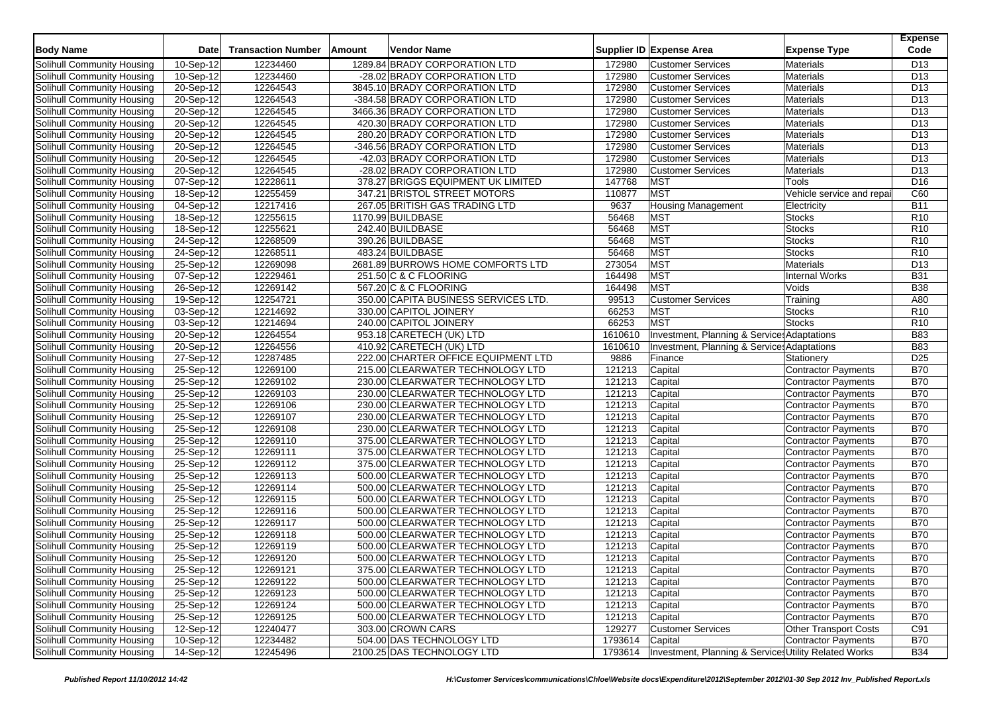| <b>Body Name</b>                                         | <b>Date</b>             | <b>Transaction Number</b> | Amount | <b>Vendor Name</b>                                                   |         | Supplier ID Expense Area                                        | <b>Expense Type</b>           | <b>Expense</b><br>Code |
|----------------------------------------------------------|-------------------------|---------------------------|--------|----------------------------------------------------------------------|---------|-----------------------------------------------------------------|-------------------------------|------------------------|
| Solihull Community Housing                               | $\overline{10}$ -Sep-12 | 12234460                  |        | 1289.84 BRADY CORPORATION LTD                                        | 172980  | <b>Customer Services</b>                                        | <b>Materials</b>              | D <sub>13</sub>        |
| Solihull Community Housing                               | 10-Sep-12               | 12234460                  |        | -28.02 BRADY CORPORATION LTD                                         | 172980  | <b>Customer Services</b>                                        | Materials                     | D <sub>13</sub>        |
| Solihull Community Housing                               | 20-Sep-12               | 12264543                  |        | 3845.10 BRADY CORPORATION LTD                                        | 172980  | <b>Customer Services</b>                                        | <b>Materials</b>              | D <sub>13</sub>        |
| Solihull Community Housing                               | 20-Sep-12               | 12264543                  |        | -384.58 BRADY CORPORATION LTD                                        | 172980  | <b>Customer Services</b>                                        | <b>Materials</b>              | D <sub>13</sub>        |
|                                                          |                         |                           |        |                                                                      | 172980  |                                                                 |                               | D <sub>13</sub>        |
| Solihull Community Housing                               | 20-Sep-12               | 12264545<br>12264545      |        | 3466.36 BRADY CORPORATION LTD<br>420.30 BRADY CORPORATION LTD        | 172980  | <b>Customer Services</b>                                        | Materials<br><b>Materials</b> | D <sub>13</sub>        |
| Solihull Community Housing                               | 20-Sep-12               |                           |        |                                                                      |         | <b>Customer Services</b>                                        |                               |                        |
| Solihull Community Housing                               | 20-Sep-12               | 12264545                  |        | 280.20 BRADY CORPORATION LTD                                         | 172980  | <b>Customer Services</b>                                        | Materials                     | D <sub>13</sub>        |
| Solihull Community Housing                               | 20-Sep-12               | 12264545                  |        | -346.56 BRADY CORPORATION LTD                                        | 172980  | <b>Customer Services</b>                                        | Materials                     | D <sub>13</sub>        |
| Solihull Community Housing                               | 20-Sep-12               | 12264545                  |        | -42.03 BRADY CORPORATION LTD                                         | 172980  | <b>Customer Services</b>                                        | <b>Materials</b>              | D <sub>13</sub>        |
| Solihull Community Housing                               | 20-Sep-12               | 12264545                  |        | -28.02 BRADY CORPORATION LTD                                         | 172980  | <b>Customer Services</b>                                        | Materials                     | D <sub>13</sub>        |
| Solihull Community Housing                               | 07-Sep-12               | 12228611                  |        | 378.27 BRIGGS EQUIPMENT UK LIMITED                                   | 147768  | <b>MST</b>                                                      | Tools                         | D <sub>16</sub>        |
| Solihull Community Housing                               | 18-Sep-12               | 12255459                  |        | 347.21 BRISTOL STREET MOTORS                                         | 110877  | <b>MST</b>                                                      | Vehicle service and repa      | C60                    |
| Solihull Community Housing                               | 04-Sep-12               | 12217416                  |        | 267.05 BRITISH GAS TRADING LTD                                       | 9637    | <b>Housing Management</b>                                       | Electricity                   | <b>B11</b>             |
| Solihull Community Housing                               | 18-Sep-12               | 12255615                  |        | 1170.99 BUILDBASE                                                    | 56468   | <b>MST</b>                                                      | <b>Stocks</b>                 | R <sub>10</sub>        |
| Solihull Community Housing                               | 18-Sep-12               | 12255621                  |        | 242.40 BUILDBASE                                                     | 56468   | <b>MST</b>                                                      | <b>Stocks</b>                 | R10                    |
| Solihull Community Housing                               | 24-Sep-12               | 12268509                  |        | 390.26 BUILDBASE                                                     | 56468   | <b>MST</b>                                                      | <b>Stocks</b>                 | R10                    |
| Solihull Community Housing                               | $24-Sep-12$             | 12268511                  |        | 483.24 BUILDBASE                                                     | 56468   | <b>MST</b>                                                      | <b>Stocks</b>                 | R <sub>10</sub>        |
| Solihull Community Housing                               | $25$ -Sep-12            | 12269098                  |        | 2681.89 BURROWS HOME COMFORTS LTD                                    | 273054  | <b>MST</b>                                                      | <b>Materials</b>              | D <sub>13</sub>        |
| Solihull Community Housing                               | 07-Sep-12               | 12229461                  |        | 251.50 C & C FLOORING                                                | 164498  | <b>MST</b>                                                      | <b>Internal Works</b>         | <b>B31</b>             |
| Solihull Community Housing                               | $26-Sep-12$             | 12269142                  |        | 567.20 C & C FLOORING                                                | 164498  | <b>MST</b>                                                      | Voids                         | <b>B38</b>             |
| Solihull Community Housing                               | 19-Sep-12               | 12254721                  |        | 350.00 CAPITA BUSINESS SERVICES LTD.                                 | 99513   | <b>Customer Services</b>                                        | Training                      | A80                    |
| Solihull Community Housing                               | 03-Sep-12               | 12214692                  |        | 330.00 CAPITOL JOINERY                                               | 66253   | <b>MST</b>                                                      | <b>Stocks</b>                 | R <sub>10</sub>        |
| Solihull Community Housing                               | 03-Sep-12               | 12214694                  |        | 240.00 CAPITOL JOINERY                                               | 66253   | <b>MST</b>                                                      | <b>Stocks</b>                 | R <sub>10</sub>        |
| Solihull Community Housing                               | 20-Sep-12               | 12264554                  |        | 953.18 CARETECH (UK) LTD                                             | 1610610 | Investment, Planning & Service: Adaptations                     |                               | <b>B83</b>             |
| Solihull Community Housing                               | 20-Sep-12               | 12264556                  |        | 410.92 CARETECH (UK) LTD                                             | 1610610 | Investment, Planning & Service: Adaptations                     |                               | <b>B83</b>             |
| Solihull Community Housing                               | 27-Sep-12               | 12287485                  |        | 222.00 CHARTER OFFICE EQUIPMENT LTD                                  | 9886    | Finance                                                         | Stationery                    | D <sub>25</sub>        |
| Solihull Community Housing                               | 25-Sep-12               | 12269100                  |        | 215.00 CLEARWATER TECHNOLOGY LTD                                     | 121213  | Capital                                                         | Contractor Payments           | <b>B70</b>             |
| Solihull Community Housing                               | 25-Sep-12               | 12269102                  |        | 230.00 CLEARWATER TECHNOLOGY LTD                                     | 121213  | Capital                                                         | <b>Contractor Payments</b>    | <b>B70</b>             |
| Solihull Community Housing                               | 25-Sep-12               | 12269103                  |        | 230.00 CLEARWATER TECHNOLOGY LTD                                     | 121213  | Capital                                                         | Contractor Payments           | <b>B70</b>             |
| Solihull Community Housing                               | 25-Sep-12               | 12269106                  |        | 230.00 CLEARWATER TECHNOLOGY LTD                                     | 121213  | Capital                                                         | <b>Contractor Payments</b>    | <b>B70</b>             |
| Solihull Community Housing                               | 25-Sep-12               | 12269107                  |        | 230.00 CLEARWATER TECHNOLOGY LTD                                     | 121213  | Capital                                                         | Contractor Payments           | <b>B70</b>             |
| Solihull Community Housing                               | 25-Sep-12               | 12269108                  |        | 230.00 CLEARWATER TECHNOLOGY LTD                                     | 121213  | Capital                                                         | <b>Contractor Payments</b>    | <b>B70</b>             |
| Solihull Community Housing                               | 25-Sep-12               | 12269110                  |        | 375.00 CLEARWATER TECHNOLOGY LTD                                     | 121213  | Capital                                                         | <b>Contractor Payments</b>    | <b>B70</b>             |
| Solihull Community Housing                               | $\overline{25}$ -Sep-12 | 12269111                  |        | 375.00 CLEARWATER TECHNOLOGY LTD                                     | 121213  | Capital                                                         | Contractor Payments           | <b>B70</b>             |
| Solihull Community Housing                               | 25-Sep-12               | 12269112                  |        | 375.00 CLEARWATER TECHNOLOGY LTD                                     | 121213  | Capital                                                         | Contractor Payments           | <b>B70</b>             |
| Solihull Community Housing                               | 25-Sep-12               | 12269113                  |        | 500.00 CLEARWATER TECHNOLOGY LTD                                     | 121213  | Capital                                                         | Contractor Payments           | <b>B70</b>             |
| Solihull Community Housing                               | 25-Sep-12               | 12269114                  |        | 500.00 CLEARWATER TECHNOLOGY LTD                                     | 121213  | Capital                                                         | <b>Contractor Payments</b>    | <b>B70</b>             |
| Solihull Community Housing                               | 25-Sep-12               | 12269115                  |        | 500.00 CLEARWATER TECHNOLOGY LTD                                     | 121213  | Capital                                                         | Contractor Payments           | <b>B70</b>             |
| Solihull Community Housing                               | 25-Sep-12               | 12269116                  |        | 500.00 CLEARWATER TECHNOLOGY LTD                                     | 121213  | Capital                                                         | <b>Contractor Payments</b>    | <b>B70</b>             |
| Solihull Community Housing                               | 25-Sep-12               | 12269117                  |        | 500.00 CLEARWATER TECHNOLOGY LTD                                     | 121213  | Capital                                                         | Contractor Payments           | <b>B70</b>             |
| Solihull Community Housing                               | $25$ -Sep-12            | 12269118                  |        | 500.00 CLEARWATER TECHNOLOGY LTD                                     | 121213  | Capital                                                         | <b>Contractor Payments</b>    | <b>B70</b>             |
|                                                          | 25-Sep-12               | 12269119                  |        | 500.00 CLEARWATER TECHNOLOGY LTD                                     | 121213  | Capital                                                         | <b>Contractor Payments</b>    | <b>B70</b>             |
| Solihull Community Housing<br>Solihull Community Housing | 25-Sep-12               | 12269120                  |        |                                                                      |         | Capital                                                         | <b>Contractor Payments</b>    | <b>B70</b>             |
| Solihull Community Housing                               | 25-Sep-12               |                           |        | 500.00 CLEARWATER TECHNOLOGY LTD<br>375.00 CLEARWATER TECHNOLOGY LTD | 121213  |                                                                 |                               |                        |
|                                                          |                         | 12269121                  |        |                                                                      | 121213  | Capital                                                         | <b>Contractor Payments</b>    | <b>B70</b>             |
| Solihull Community Housing                               | 25-Sep-12               | 12269122                  |        | 500.00 CLEARWATER TECHNOLOGY LTD                                     | 121213  | Capital                                                         | Contractor Payments           | <b>B70</b>             |
| Solihull Community Housing                               | 25-Sep-12               | 12269123                  |        | 500.00 CLEARWATER TECHNOLOGY LTD                                     | 121213  | Capital                                                         | <b>Contractor Payments</b>    | <b>B70</b>             |
| Solihull Community Housing                               | 25-Sep-12               | 12269124                  |        | 500.00 CLEARWATER TECHNOLOGY LTD                                     | 121213  | Capital                                                         | Contractor Payments           | <b>B70</b>             |
| Solihull Community Housing                               | 25-Sep-12               | 12269125                  |        | 500.00 CLEARWATER TECHNOLOGY LTD                                     | 121213  | Capital                                                         | Contractor Payments           | <b>B70</b>             |
| Solihull Community Housing                               | 12-Sep-12               | 12240477                  |        | 303.00 CROWN CARS                                                    | 129277  | <b>Customer Services</b>                                        | <b>Other Transport Costs</b>  | C91                    |
| <b>Solihull Community Housing</b>                        | 10-Sep-12               | 12234482                  |        | 504.00 DAS TECHNOLOGY LTD                                            | 1793614 | Capital                                                         | Contractor Payments           | <b>B70</b>             |
| Solihull Community Housing                               | 14-Sep-12               | 12245496                  |        | 2100.25 DAS TECHNOLOGY LTD                                           |         | 1793614   Investment, Planning & Services Utility Related Works |                               | <b>B34</b>             |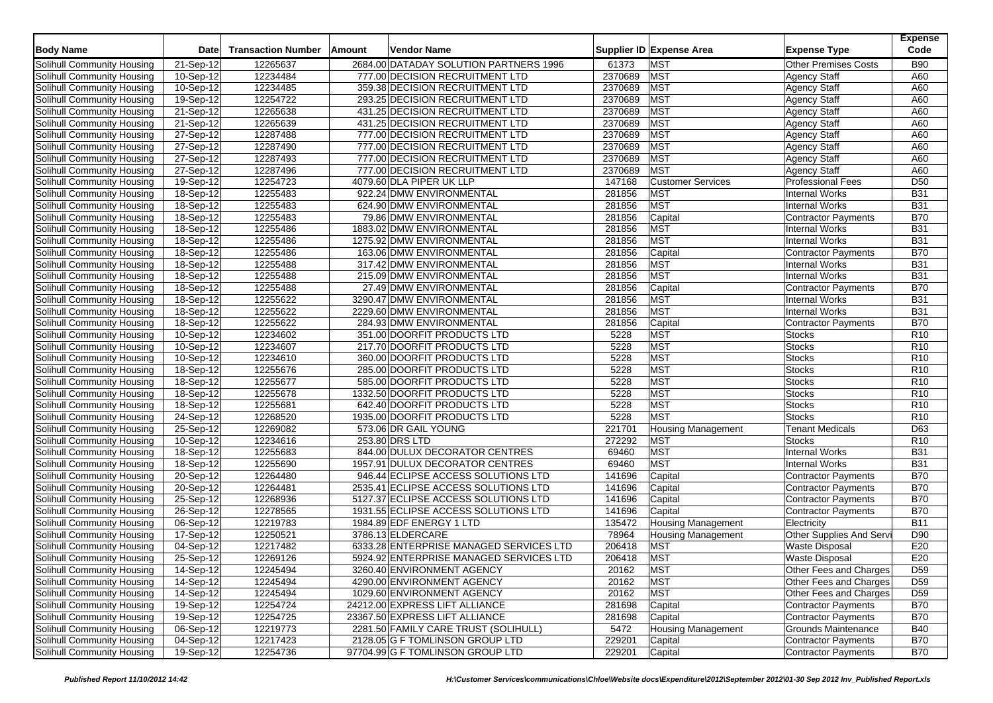| <b>Body Name</b>                  | <b>Date</b>             | <b>Transaction Number</b> | Amount | <b>Vendor Name</b>                      |         | Supplier ID Expense Area  | <b>Expense Type</b>         | <b>Expense</b><br>Code |
|-----------------------------------|-------------------------|---------------------------|--------|-----------------------------------------|---------|---------------------------|-----------------------------|------------------------|
| Solihull Community Housing        | 21-Sep-12               | 12265637                  |        | 2684.00 DATADAY SOLUTION PARTNERS 1996  | 61373   | <b>MST</b>                | <b>Other Premises Costs</b> | <b>B90</b>             |
| Solihull Community Housing        | 10-Sep-12               | 12234484                  |        | 777.00 DECISION RECRUITMENT LTD         | 2370689 | <b>MST</b>                | <b>Agency Staff</b>         | A60                    |
| Solihull Community Housing        | 10-Sep-12               | 12234485                  |        | 359.38 DECISION RECRUITMENT LTD         | 2370689 | <b>MST</b>                | <b>Agency Staff</b>         | A60                    |
| Solihull Community Housing        | 19-Sep-12               | 12254722                  |        | 293.25 DECISION RECRUITMENT LTD         | 2370689 | <b>MST</b>                | <b>Agency Staff</b>         | A60                    |
| Solihull Community Housing        | 21-Sep-12               | 12265638                  |        | 431.25 DECISION RECRUITMENT LTD         | 2370689 | <b>MST</b>                | <b>Agency Staff</b>         | A60                    |
| Solihull Community Housing        | $\overline{21}$ -Sep-12 | 12265639                  |        | 431.25 DECISION RECRUITMENT LTD         | 2370689 | <b>MST</b>                | <b>Agency Staff</b>         | A60                    |
| Solihull Community Housing        | 27-Sep-12               | 12287488                  |        | 777.00 DECISION RECRUITMENT LTD         | 2370689 | <b>MST</b>                | <b>Agency Staff</b>         | A60                    |
| Solihull Community Housing        | 27-Sep-12               | 12287490                  |        | 777.00 DECISION RECRUITMENT LTD         | 2370689 | <b>MST</b>                | <b>Agency Staff</b>         | A60                    |
| Solihull Community Housing        | 27-Sep-12               | 12287493                  |        | 777.00 DECISION RECRUITMENT LTD         | 2370689 | <b>MST</b>                | <b>Agency Staff</b>         | A60                    |
| Solihull Community Housing        | 27-Sep-12               | 12287496                  |        | 777.00 DECISION RECRUITMENT LTD         | 2370689 | <b>MST</b>                | <b>Agency Staff</b>         | A60                    |
| Solihull Community Housing        | 19-Sep-12               | 12254723                  |        | 4079.60 DLA PIPER UK LLP                | 147168  | <b>Customer Services</b>  | <b>Professional Fees</b>    | D <sub>50</sub>        |
| Solihull Community Housing        | 18-Sep-12               | 12255483                  |        | 922.24 DMW ENVIRONMENTAL                | 281856  | <b>MST</b>                | <b>Internal Works</b>       | <b>B31</b>             |
| Solihull Community Housing        | $18-Sep-12$             | 12255483                  |        | 624.90 DMW ENVIRONMENTAL                | 281856  | <b>MST</b>                | <b>Internal Works</b>       | <b>B31</b>             |
| Solihull Community Housing        | 18-Sep-12               | 12255483                  |        | 79.86 DMW ENVIRONMENTAL                 | 281856  | Capital                   | <b>Contractor Payments</b>  | <b>B70</b>             |
| Solihull Community Housing        | 18-Sep-12               | 12255486                  |        | 1883.02 DMW ENVIRONMENTAL               | 281856  | <b>MST</b>                | <b>Internal Works</b>       | <b>B31</b>             |
| Solihull Community Housing        | 18-Sep-12               | 12255486                  |        | 1275.92 DMW ENVIRONMENTAL               | 281856  | <b>MST</b>                | <b>Internal Works</b>       | <b>B31</b>             |
| Solihull Community Housing        | 18-Sep-12               | 12255486                  |        | 163.06 DMW ENVIRONMENTAL                | 281856  | Capital                   | Contractor Payments         | <b>B70</b>             |
| Solihull Community Housing        | 18-Sep-12               | 12255488                  |        | 317.42 DMW ENVIRONMENTAL                | 281856  | <b>MST</b>                | <b>Internal Works</b>       | <b>B31</b>             |
| Solihull Community Housing        | 18-Sep-12               | 12255488                  |        | 215.09 DMW ENVIRONMENTAL                | 281856  | <b>MST</b>                | <b>Internal Works</b>       | <b>B31</b>             |
| Solihull Community Housing        | 18-Sep-12               | 12255488                  |        | 27.49 DMW ENVIRONMENTAL                 | 281856  | Capital                   | <b>Contractor Payments</b>  | <b>B70</b>             |
| Solihull Community Housing        | 18-Sep-12               | 12255622                  |        | 3290.47 DMW ENVIRONMENTAL               | 281856  | <b>MST</b>                | <b>Internal Works</b>       | <b>B31</b>             |
| Solihull Community Housing        | 18-Sep-12               | 12255622                  |        | 2229.60 DMW ENVIRONMENTAL               | 281856  | <b>MST</b>                | <b>Internal Works</b>       | <b>B31</b>             |
| Solihull Community Housing        | 18-Sep-12               | 12255622                  |        | 284.93 DMW ENVIRONMENTAL                | 281856  | Capital                   | <b>Contractor Payments</b>  | <b>B70</b>             |
| Solihull Community Housing        | 10-Sep-12               | 12234602                  |        | 351.00 DOORFIT PRODUCTS LTD             | 5228    | <b>MST</b>                | <b>Stocks</b>               | R <sub>10</sub>        |
| Solihull Community Housing        | 10-Sep-12               | 12234607                  |        | 217.70 DOORFIT PRODUCTS LTD             | 5228    | <b>MST</b>                | <b>Stocks</b>               | R <sub>10</sub>        |
| Solihull Community Housing        | 10-Sep-12               | 12234610                  |        | 360.00 DOORFIT PRODUCTS LTD             | 5228    | <b>MST</b>                | <b>Stocks</b>               | R <sub>10</sub>        |
| Solihull Community Housing        | 18-Sep-12               | 12255676                  |        | 285.00 DOORFIT PRODUCTS LTD             | 5228    | <b>MST</b>                | <b>Stocks</b>               | R <sub>10</sub>        |
| Solihull Community Housing        | $18-Sep-12$             | 12255677                  |        | 585.00 DOORFIT PRODUCTS LTD             | 5228    | <b>MST</b>                | <b>Stocks</b>               | R <sub>10</sub>        |
| Solihull Community Housing        | 18-Sep-12               | 12255678                  |        | 1332.50 DOORFIT PRODUCTS LTD            | 5228    | <b>MST</b>                | <b>Stocks</b>               | R <sub>10</sub>        |
| Solihull Community Housing        | 18-Sep-12               | 12255681                  |        | 642.40 DOORFIT PRODUCTS LTD             | 5228    | <b>MST</b>                | <b>Stocks</b>               | R <sub>10</sub>        |
| Solihull Community Housing        | 24-Sep-12               | 12268520                  |        | 1935.00 DOORFIT PRODUCTS LTD            | 5228    | <b>MST</b>                | <b>Stocks</b>               | R <sub>10</sub>        |
| Solihull Community Housing        | 25-Sep-12               | 12269082                  |        | 573.06 DR GAIL YOUNG                    | 221701  | <b>Housing Management</b> | <b>Tenant Medicals</b>      | D63                    |
| Solihull Community Housing        | 10-Sep-12               | 12234616                  |        | 253.80 DRS LTD                          | 272292  | <b>MST</b>                | <b>Stocks</b>               | R <sub>10</sub>        |
| Solihull Community Housing        | $18-Sep-12$             | 12255683                  |        | 844.00 DULUX DECORATOR CENTRES          | 69460   | <b>MST</b>                | <b>Internal Works</b>       | <b>B31</b>             |
| Solihull Community Housing        | 18-Sep-12               | 12255690                  |        | 1957.91 DULUX DECORATOR CENTRES         | 69460   | <b>MST</b>                | <b>Internal Works</b>       | <b>B31</b>             |
| Solihull Community Housing        | $20-Sep-12$             | 12264480                  |        | 946.44 ECLIPSE ACCESS SOLUTIONS LTD     | 141696  | Capital                   | <b>Contractor Payments</b>  | <b>B70</b>             |
| Solihull Community Housing        | 20-Sep-12               | 12264481                  |        | 2535.41 ECLIPSE ACCESS SOLUTIONS LTD    | 141696  | Capital                   | Contractor Payments         | <b>B70</b>             |
| Solihull Community Housing        | 25-Sep-12               | 12268936                  |        | 5127.37 ECLIPSE ACCESS SOLUTIONS LTD    | 141696  | Capital                   | Contractor Payments         | <b>B70</b>             |
| Solihull Community Housing        | 26-Sep-12               | 12278565                  |        | 1931.55 ECLIPSE ACCESS SOLUTIONS LTD    | 141696  | Capital                   | <b>Contractor Payments</b>  | <b>B70</b>             |
| Solihull Community Housing        | 06-Sep-12               | 12219783                  |        | 1984.89 EDF ENERGY 1 LTD                | 135472  | <b>Housing Management</b> | Electricity                 | <b>B11</b>             |
| Solihull Community Housing        | 17-Sep-12               | 12250521                  |        | 3786.13 ELDERCARE                       | 78964   | <b>Housing Management</b> | Other Supplies And Serv     | D90                    |
| Solihull Community Housing        | 04-Sep-12               | 12217482                  |        | 6333.28 ENTERPRISE MANAGED SERVICES LTD | 206418  | <b>MST</b>                | <b>Waste Disposal</b>       | E20                    |
| Solihull Community Housing        | 25-Sep-12               | 12269126                  |        | 5924.92 ENTERPRISE MANAGED SERVICES LTD | 206418  | <b>MST</b>                | <b>Waste Disposal</b>       | E20                    |
| Solihull Community Housing        | 14-Sep-12               | 12245494                  |        | 3260.40 ENVIRONMENT AGENCY              | 20162   | <b>MST</b>                | Other Fees and Charges      | D <sub>59</sub>        |
| Solihull Community Housing        | 14-Sep-12               | 12245494                  |        | 4290.00 ENVIRONMENT AGENCY              | 20162   | <b>MST</b>                | Other Fees and Charges      | D <sub>59</sub>        |
| Solihull Community Housing        | 14-Sep-12               | 12245494                  |        | 1029.60 ENVIRONMENT AGENCY              | 20162   | MST                       | Other Fees and Charges      | D <sub>59</sub>        |
| Solihull Community Housing        | 19-Sep-12               | 12254724                  |        | 24212.00 EXPRESS LIFT ALLIANCE          | 281698  | Capital                   | Contractor Payments         | <b>B70</b>             |
| Solihull Community Housing        | 19-Sep-12               | 12254725                  |        | 23367.50 EXPRESS LIFT ALLIANCE          | 281698  | Capital                   | Contractor Payments         | <b>B70</b>             |
| Solihull Community Housing        | 06-Sep-12               | 12219773                  |        | 2281.50 FAMILY CARE TRUST (SOLIHULL)    | 5472    | <b>Housing Management</b> | Grounds Maintenance         | <b>B40</b>             |
| <b>Solihull Community Housing</b> | 04-Sep-12               | 12217423                  |        | 2128.05 G F TOMLINSON GROUP LTD         | 229201  | Capital                   | <b>Contractor Payments</b>  | <b>B70</b>             |
| Solihull Community Housing        | 19-Sep-12               | 12254736                  |        | 97704.99 G F TOMLINSON GROUP LTD        | 229201  | Capital                   | Contractor Payments         | <b>B70</b>             |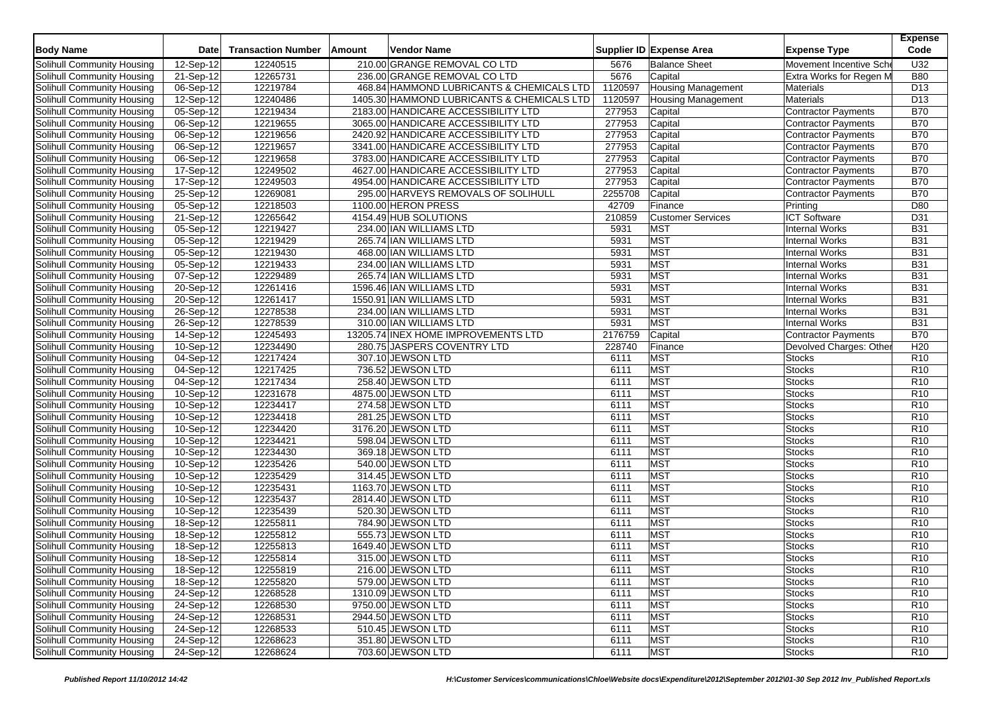| <b>Body Name</b>           | <b>Date</b>             | <b>Transaction Number</b> | Amount | Vendor Name                                |         | Supplier ID Expense Area  | <b>Expense Type</b>        | <b>Expense</b><br>Code |
|----------------------------|-------------------------|---------------------------|--------|--------------------------------------------|---------|---------------------------|----------------------------|------------------------|
| Solihull Community Housing | $\overline{12}$ -Sep-12 | 12240515                  |        | 210.00 GRANGE REMOVAL CO LTD               | 5676    | <b>Balance Sheet</b>      | Movement Incentive Sche    | U32                    |
| Solihull Community Housing | 21-Sep-12               | 12265731                  |        | 236.00 GRANGE REMOVAL CO LTD               | 5676    | Capital                   | Extra Works for Regen M    | <b>B80</b>             |
| Solihull Community Housing | $06-Sep-12$             | 12219784                  |        | 468.84 HAMMOND LUBRICANTS & CHEMICALS LTD  | 1120597 | <b>Housing Management</b> | <b>Materials</b>           | $\overline{D13}$       |
| Solihull Community Housing | $12-Sep-12$             | 12240486                  |        | 1405.30 HAMMOND LUBRICANTS & CHEMICALS LTD | 1120597 | <b>Housing Management</b> | Materials                  | D <sub>13</sub>        |
| Solihull Community Housing | 05-Sep-12               | 12219434                  |        | 2183.00 HANDICARE ACCESSIBILITY LTD        | 277953  | Capital                   | <b>Contractor Payments</b> | <b>B70</b>             |
| Solihull Community Housing | 06-Sep-12               | 12219655                  |        | 3065.00 HANDICARE ACCESSIBILITY LTD        | 277953  | Capital                   | <b>Contractor Payments</b> | <b>B70</b>             |
| Solihull Community Housing | 06-Sep-12               | 12219656                  |        | 2420.92 HANDICARE ACCESSIBILITY LTD        | 277953  | Capital                   | <b>Contractor Payments</b> | <b>B70</b>             |
| Solihull Community Housing | 06-Sep-12               | 12219657                  |        | 3341.00 HANDICARE ACCESSIBILITY LTD        | 277953  | Capital                   | <b>Contractor Payments</b> | <b>B70</b>             |
| Solihull Community Housing | 06-Sep-12               | 12219658                  |        | 3783.00 HANDICARE ACCESSIBILITY LTD        | 277953  | Capital                   | <b>Contractor Payments</b> | <b>B70</b>             |
| Solihull Community Housing | 17-Sep-12               | 12249502                  |        | 4627.00 HANDICARE ACCESSIBILITY LTD        | 277953  | Capital                   | Contractor Payments        | <b>B70</b>             |
| Solihull Community Housing | 17-Sep-12               | 12249503                  |        | 4954.00 HANDICARE ACCESSIBILITY LTD        | 277953  | Capital                   | <b>Contractor Payments</b> | <b>B70</b>             |
| Solihull Community Housing | 25-Sep-12               | 12269081                  |        | 295.00 HARVEYS REMOVALS OF SOLIHULL        | 2255708 | Capital                   | Contractor Payments        | <b>B70</b>             |
| Solihull Community Housing | $05-Sep-12$             | 12218503                  |        | 1100.00 HERON PRESS                        | 42709   | Finance                   | Printing                   | D80                    |
| Solihull Community Housing | 21-Sep-12               | 12265642                  |        | 4154.49 HUB SOLUTIONS                      | 210859  | <b>Customer Services</b>  | <b>ICT Software</b>        | D31                    |
| Solihull Community Housing | 05-Sep-12               | 12219427                  |        | 234.00 IAN WILLIAMS LTD                    | 5931    | <b>MST</b>                | <b>Internal Works</b>      | <b>B31</b>             |
| Solihull Community Housing | 05-Sep-12               | 12219429                  |        | 265.74 IAN WILLIAMS LTD                    | 5931    | <b>MST</b>                | <b>Internal Works</b>      | <b>B31</b>             |
| Solihull Community Housing | $05-Sep-12$             | 12219430                  |        | 468.00 IAN WILLIAMS LTD                    | 5931    | <b>MST</b>                | <b>Internal Works</b>      | <b>B31</b>             |
| Solihull Community Housing | 05-Sep-12               | 12219433                  |        | 234.00 IAN WILLIAMS LTD                    | 5931    | MST                       | <b>Internal Works</b>      | <b>B31</b>             |
| Solihull Community Housing | 07-Sep-12               | 12229489                  |        | 265.74 IAN WILLIAMS LTD                    | 5931    | <b>MST</b>                | <b>Internal Works</b>      | <b>B31</b>             |
| Solihull Community Housing | 20-Sep-12               | 12261416                  |        | 1596.46 IAN WILLIAMS LTD                   | 5931    | <b>MST</b>                | <b>Internal Works</b>      | <b>B31</b>             |
| Solihull Community Housing | 20-Sep-12               | 12261417                  |        | 1550.91 IAN WILLIAMS LTD                   | 5931    | MST                       | <b>Internal Works</b>      | <b>B31</b>             |
| Solihull Community Housing | 26-Sep-12               | 12278538                  |        | 234.00 IAN WILLIAMS LTD                    | 5931    | <b>MST</b>                | <b>Internal Works</b>      | <b>B31</b>             |
| Solihull Community Housing | 26-Sep-12               | 12278539                  |        | 310.00 IAN WILLIAMS LTD                    | 5931    | <b>MST</b>                | <b>Internal Works</b>      | <b>B31</b>             |
| Solihull Community Housing | 14-Sep-12               | 12245493                  |        | 13205.74 INEX HOME IMPROVEMENTS LTD        | 2176759 | Capital                   | Contractor Payments        | <b>B70</b>             |
| Solihull Community Housing | 10-Sep-12               | 12234490                  |        | 280.75 JASPERS COVENTRY LTD                | 228740  | Finance                   | Devolved Charges: Other    | H <sub>20</sub>        |
| Solihull Community Housing | 04-Sep-12               | 12217424                  |        | 307.10 JEWSON LTD                          | 6111    | <b>MST</b>                | <b>Stocks</b>              | R10                    |
| Solihull Community Housing | 04-Sep-12               | 12217425                  |        | 736.52 JEWSON LTD                          | 6111    | MST                       | <b>Stocks</b>              | R10                    |
| Solihull Community Housing | 04-Sep-12               | 12217434                  |        | 258.40 JEWSON LTD                          | 6111    | <b>MST</b>                | <b>Stocks</b>              | R10                    |
| Solihull Community Housing | 10-Sep-12               | 12231678                  |        | 4875.00 JEWSON LTD                         | 6111    | <b>MST</b>                | <b>Stocks</b>              | R <sub>10</sub>        |
| Solihull Community Housing | 10-Sep-12               | 12234417                  |        | 274.58 JEWSON LTD                          | 6111    | MST                       | <b>Stocks</b>              | R <sub>10</sub>        |
| Solihull Community Housing | 10-Sep-12               | 12234418                  |        | 281.25 JEWSON LTD                          | 6111    | <b>MST</b>                | <b>Stocks</b>              | R10                    |
| Solihull Community Housing | 10-Sep-12               | 12234420                  |        | 3176.20 JEWSON LTD                         | 6111    | MST                       | Stocks                     | R <sub>10</sub>        |
| Solihull Community Housing | $10-Sep-12$             | 12234421                  |        | 598.04 JEWSON LTD                          | 6111    | MST                       | <b>Stocks</b>              | R <sub>10</sub>        |
| Solihull Community Housing | 10-Sep-12               | 12234430                  |        | 369.18 JEWSON LTD                          | 6111    | <b>MST</b>                | <b>Stocks</b>              | R <sub>10</sub>        |
| Solihull Community Housing | 10-Sep-12               | 12235426                  |        | 540.00 JEWSON LTD                          | 6111    | MST                       | <b>Stocks</b>              | R <sub>10</sub>        |
| Solihull Community Housing | 10-Sep-12               | 12235429                  |        | 314.45 JEWSON LTD                          | 6111    | MST                       | <b>Stocks</b>              | R <sub>10</sub>        |
| Solihull Community Housing | 10-Sep-12               | 12235431                  |        | 1163.70 JEWSON LTD                         | 6111    | <b>MST</b>                | <b>Stocks</b>              | R <sub>10</sub>        |
| Solihull Community Housing | 10-Sep-12               | 12235437                  |        | 2814.40 JEWSON LTD                         | 6111    | MST                       | <b>Stocks</b>              | R <sub>10</sub>        |
| Solihull Community Housing | 10-Sep-12               | 12235439                  |        | 520.30 JEWSON LTD                          | 6111    | <b>MST</b>                | <b>Stocks</b>              | R <sub>10</sub>        |
| Solihull Community Housing | 18-Sep-12               | 12255811                  |        | 784.90 JEWSON LTD                          | 6111    | <b>MST</b>                | <b>Stocks</b>              | R <sub>10</sub>        |
| Solihull Community Housing | 18-Sep-12               | 12255812                  |        | 555.73 JEWSON LTD                          | 6111    | <b>MST</b>                | <b>Stocks</b>              | R <sub>10</sub>        |
| Solihull Community Housing | 18-Sep-12               | 12255813                  |        | 1649.40 JEWSON LTD                         | 6111    | <b>MST</b>                | <b>Stocks</b>              | R <sub>10</sub>        |
| Solihull Community Housing | 18-Sep-12               | 12255814                  |        | 315.00 JEWSON LTD                          | 6111    | <b>MST</b>                | <b>Stocks</b>              | R <sub>10</sub>        |
| Solihull Community Housing | 18-Sep-12               | 12255819                  |        | 216.00 JEWSON LTD                          | 6111    | <b>MST</b>                | <b>Stocks</b>              | R <sub>10</sub>        |
| Solihull Community Housing | 18-Sep-12               | 12255820                  |        | 579.00 JEWSON LTD                          | 6111    | <b>MST</b>                | <b>Stocks</b>              | R <sub>10</sub>        |
| Solihull Community Housing | 24-Sep-12               | 12268528                  |        | 1310.09 JEWSON LTD                         | 6111    | <b>MST</b>                | <b>Stocks</b>              | R <sub>10</sub>        |
| Solihull Community Housing | 24-Sep-12               | 12268530                  |        | 9750.00 JEWSON LTD                         | 6111    | <b>MST</b>                | <b>Stocks</b>              | R <sub>10</sub>        |
| Solihull Community Housing | 24-Sep-12               | 12268531                  |        | 2944.50 JEWSON LTD                         | 6111    | <b>MST</b>                | <b>Stocks</b>              | R <sub>10</sub>        |
| Solihull Community Housing | 24-Sep-12               | 12268533                  |        | 510.45 JEWSON LTD                          | 6111    | <b>MST</b>                | <b>Stocks</b>              | R <sub>10</sub>        |
| Solihull Community Housing | 24-Sep-12               | 12268623                  |        | 351.80 JEWSON LTD                          | 6111    | <b>MST</b>                | <b>Stocks</b>              | R <sub>10</sub>        |
| Solihull Community Housing | 24-Sep-12               | 12268624                  |        | 703.60 JEWSON LTD                          | 6111    | <b>MST</b>                | <b>Stocks</b>              | R <sub>10</sub>        |
|                            |                         |                           |        |                                            |         |                           |                            |                        |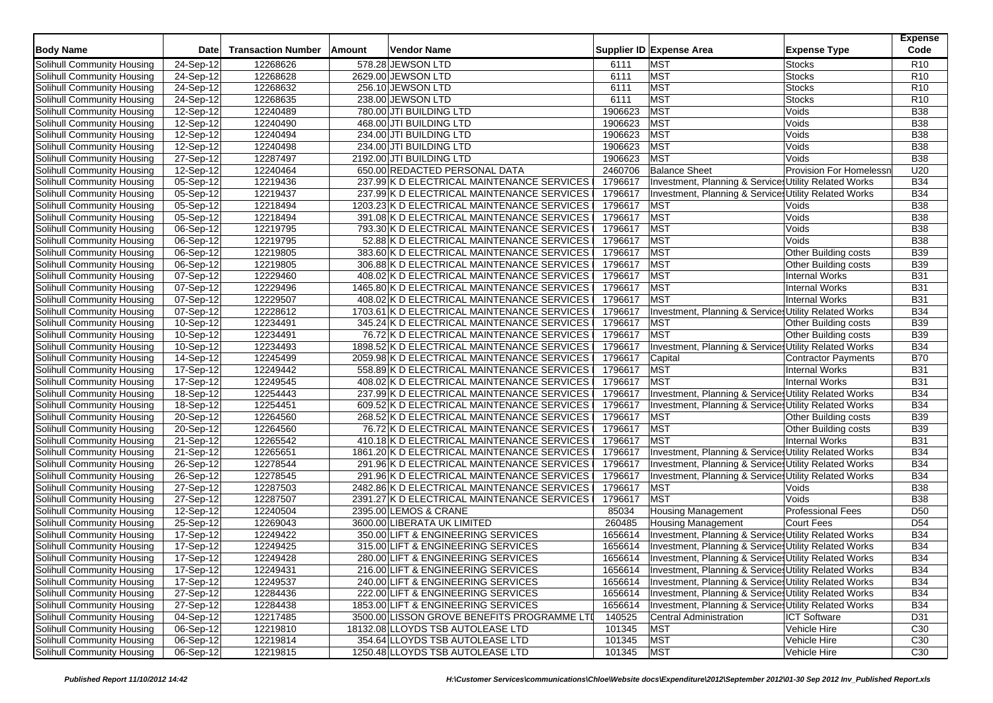| <b>Body Name</b>           | <b>Date</b>             | <b>Transaction Number</b> | Amount | Vendor Name                                 |         | Supplier ID Expense Area                              | <b>Expense Type</b>            | <b>Expense</b><br>Code |
|----------------------------|-------------------------|---------------------------|--------|---------------------------------------------|---------|-------------------------------------------------------|--------------------------------|------------------------|
| Solihull Community Housing | 24-Sep-12               | 12268626                  |        | 578.28 JEWSON LTD                           | 6111    | <b>MST</b>                                            | <b>Stocks</b>                  | R <sub>10</sub>        |
| Solihull Community Housing | 24-Sep-12               | 12268628                  |        | 2629.00 JEWSON LTD                          | 6111    | <b>MST</b>                                            | <b>Stocks</b>                  | R <sub>10</sub>        |
| Solihull Community Housing | 24-Sep-12               | 12268632                  |        | 256.10 JEWSON LTD                           | 6111    | <b>MST</b>                                            | <b>Stocks</b>                  | R <sub>10</sub>        |
| Solihull Community Housing | $24-Sep-12$             | 12268635                  |        | 238.00 JEWSON LTD                           | 6111    | <b>MST</b>                                            | <b>Stocks</b>                  | R <sub>10</sub>        |
| Solihull Community Housing | 12-Sep-12               | 12240489                  |        | 780.00 JTI BUILDING LTD                     | 1906623 | <b>MST</b>                                            | Voids                          | <b>B38</b>             |
| Solihull Community Housing | 12-Sep-12               | 12240490                  |        | 468.00 JTI BUILDING LTD                     | 1906623 | <b>MST</b>                                            | Voids                          | <b>B38</b>             |
| Solihull Community Housing | 12-Sep-12               | 12240494                  |        | 234.00 JTI BUILDING LTD                     | 1906623 | <b>MST</b>                                            | Voids                          | <b>B38</b>             |
| Solihull Community Housing | 12-Sep-12               | 12240498                  |        | 234.00 JTI BUILDING LTD                     | 1906623 | <b>MST</b>                                            | Voids                          | <b>B38</b>             |
| Solihull Community Housing | 27-Sep-12               | 12287497                  |        | 2192.00 JTI BUILDING LTD                    | 1906623 | <b>MST</b>                                            | Voids                          | <b>B38</b>             |
| Solihull Community Housing | $12-Sep-12$             | 12240464                  |        | 650.00 REDACTED PERSONAL DATA               | 2460706 | <b>Balance Sheet</b>                                  | <b>Provision For Homelessn</b> | U <sub>20</sub>        |
| Solihull Community Housing | 05-Sep-12               | 12219436                  |        | 237.99 K D ELECTRICAL MAINTENANCE SERVICES  | 1796617 | Investment, Planning & Services Utility Related Works |                                | <b>B34</b>             |
| Solihull Community Housing | 05-Sep-12               | 12219437                  |        | 237.99 K D ELECTRICAL MAINTENANCE SERVICES  | 1796617 | Investment, Planning & Services Utility Related Works |                                | <b>B34</b>             |
| Solihull Community Housing | 05-Sep-12               | 12218494                  |        | 1203.23 K D ELECTRICAL MAINTENANCE SERVICES | 1796617 | <b>MST</b>                                            | Voids                          | <b>B38</b>             |
| Solihull Community Housing | 05-Sep-12               | 12218494                  |        | 391.08 K D ELECTRICAL MAINTENANCE SERVICES  | 1796617 | <b>MST</b>                                            | Voids                          | <b>B38</b>             |
| Solihull Community Housing | $06-Sep-12$             | 12219795                  |        | 793.30 K D ELECTRICAL MAINTENANCE SERVICES  | 1796617 | MST                                                   | Voids                          | <b>B38</b>             |
| Solihull Community Housing | 06-Sep-12               | 12219795                  |        | 52.88 K D ELECTRICAL MAINTENANCE SERVICES   | 1796617 | <b>MST</b>                                            | Voids                          | <b>B38</b>             |
| Solihull Community Housing | 06-Sep-12               | 12219805                  |        | 383.60 K D ELECTRICAL MAINTENANCE SERVICES  | 1796617 | <b>MST</b>                                            | Other Building costs           | <b>B39</b>             |
| Solihull Community Housing | 06-Sep-12               | 12219805                  |        | 306.88 K D ELECTRICAL MAINTENANCE SERVICES  | 1796617 | <b>MST</b>                                            | Other Building costs           | <b>B39</b>             |
| Solihull Community Housing | 07-Sep-12               | 12229460                  |        | 408.02 K D ELECTRICAL MAINTENANCE SERVICES  | 1796617 | <b>MST</b>                                            | <b>Internal Works</b>          | <b>B31</b>             |
| Solihull Community Housing | 07-Sep-12               | 12229496                  |        | 1465.80 K D ELECTRICAL MAINTENANCE SERVICES | 1796617 | <b>MST</b>                                            | <b>Internal Works</b>          | <b>B31</b>             |
| Solihull Community Housing | 07-Sep-12               | 12229507                  |        | 408.02 K D ELECTRICAL MAINTENANCE SERVICES  | 1796617 | <b>MST</b>                                            | <b>Internal Works</b>          | <b>B31</b>             |
| Solihull Community Housing | 07-Sep-12               | 12228612                  |        | 1703.61 K D ELECTRICAL MAINTENANCE SERVICES | 1796617 | Investment, Planning & Services Utility Related Works |                                | <b>B34</b>             |
| Solihull Community Housing | 10-Sep-12               | 12234491                  |        | 345.24 K D ELECTRICAL MAINTENANCE SERVICES  | 1796617 | <b>MST</b>                                            | Other Building costs           | <b>B39</b>             |
| Solihull Community Housing | $10-Sep-12$             | 12234491                  |        | 76.72 K D ELECTRICAL MAINTENANCE SERVICES   | 1796617 | <b>MST</b>                                            | Other Building costs           | <b>B39</b>             |
| Solihull Community Housing | 10-Sep-12               | 12234493                  |        | 1898.52 K D ELECTRICAL MAINTENANCE SERVICES | 1796617 | Investment, Planning & Services Utility Related Works |                                | <b>B34</b>             |
| Solihull Community Housing | 14-Sep-12               | 12245499                  |        | 2059.98 K D ELECTRICAL MAINTENANCE SERVICES | 1796617 | Capital                                               | Contractor Payments            | <b>B70</b>             |
| Solihull Community Housing | 17-Sep-12               | 12249442                  |        | 558.89 K D ELECTRICAL MAINTENANCE SERVICES  | 1796617 | <b>MST</b>                                            | Internal Works                 | <b>B31</b>             |
| Solihull Community Housing | 17-Sep-12               | 12249545                  |        | 408.02 K D ELECTRICAL MAINTENANCE SERVICES  | 1796617 | <b>MST</b>                                            | <b>Internal Works</b>          | <b>B31</b>             |
| Solihull Community Housing | 18-Sep-12               | 12254443                  |        | 237.99 K D ELECTRICAL MAINTENANCE SERVICES  | 1796617 | Investment, Planning & Services Utility Related Works |                                | <b>B34</b>             |
| Solihull Community Housing | 18-Sep-12               | 12254451                  |        | 609.52 K D ELECTRICAL MAINTENANCE SERVICES  | 1796617 | Investment, Planning & Services Utility Related Works |                                | <b>B34</b>             |
| Solihull Community Housing | 20-Sep-12               | 12264560                  |        | 268.52 K D ELECTRICAL MAINTENANCE SERVICES  | 1796617 | <b>MST</b>                                            | <b>Other Building costs</b>    | <b>B39</b>             |
| Solihull Community Housing | $\overline{20}$ -Sep-12 | 12264560                  |        | 76.72 K D ELECTRICAL MAINTENANCE SERVICES   | 1796617 | <b>MST</b>                                            | <b>Other Building costs</b>    | <b>B39</b>             |
| Solihull Community Housing | 21-Sep-12               | 12265542                  |        | 410.18 K D ELECTRICAL MAINTENANCE SERVICES  | 1796617 | <b>MST</b>                                            | <b>Internal Works</b>          | <b>B31</b>             |
| Solihull Community Housing | 21-Sep-12               | 12265651                  |        | 1861.20 K D ELECTRICAL MAINTENANCE SERVICES | 1796617 | Investment, Planning & Services Utility Related Works |                                | <b>B34</b>             |
| Solihull Community Housing | 26-Sep-12               | 12278544                  |        | 291.96 K D ELECTRICAL MAINTENANCE SERVICES  | 1796617 | Investment, Planning & Services Utility Related Works |                                | <b>B34</b>             |
| Solihull Community Housing | 26-Sep-12               | 12278545                  |        | 291.96 K D ELECTRICAL MAINTENANCE SERVICES  | 1796617 | Investment, Planning & Services Utility Related Works |                                | <b>B34</b>             |
| Solihull Community Housing | 27-Sep-12               | 12287503                  |        | 2482.86 K D ELECTRICAL MAINTENANCE SERVICES | 1796617 | <b>MST</b>                                            | Voids                          | <b>B38</b>             |
| Solihull Community Housing | 27-Sep-12               | 12287507                  |        | 2391.27 K D ELECTRICAL MAINTENANCE SERVICES | 1796617 | <b>MST</b>                                            | Voids                          | <b>B38</b>             |
| Solihull Community Housing | 12-Sep-12               | 12240504                  |        | 2395.00 LEMOS & CRANE                       | 85034   | <b>Housing Management</b>                             | <b>Professional Fees</b>       | D <sub>50</sub>        |
| Solihull Community Housing | 25-Sep-12               | 12269043                  |        | 3600.00 LIBERATA UK LIMITED                 | 260485  | <b>Housing Management</b>                             | <b>Court Fees</b>              | D <sub>54</sub>        |
| Solihull Community Housing | 17-Sep-12               | 12249422                  |        | 350.00 LIFT & ENGINEERING SERVICES          | 1656614 | Investment, Planning & Services Utility Related Works |                                | <b>B34</b>             |
| Solihull Community Housing | 17-Sep-12               | 12249425                  |        | 315.00 LIFT & ENGINEERING SERVICES          | 1656614 | Investment, Planning & Services Utility Related Works |                                | <b>B34</b>             |
| Solihull Community Housing | 17-Sep-12               | 12249428                  |        | 280.00 LIFT & ENGINEERING SERVICES          | 1656614 | Investment, Planning & Services Utility Related Works |                                | <b>B34</b>             |
| Solihull Community Housing | 17-Sep-12               | 12249431                  |        | 216.00 LIFT & ENGINEERING SERVICES          | 1656614 | Investment, Planning & Services Utility Related Works |                                | <b>B34</b>             |
| Solihull Community Housing | 17-Sep-12               | 12249537                  |        | 240.00 LIFT & ENGINEERING SERVICES          | 1656614 | Investment, Planning & Services Utility Related Works |                                | <b>B34</b>             |
| Solihull Community Housing | 27-Sep-12               | 12284436                  |        | 222.00 LIFT & ENGINEERING SERVICES          | 1656614 | Investment, Planning & Services Utility Related Works |                                | <b>B34</b>             |
| Solihull Community Housing | 27-Sep-12               | 12284438                  |        | 1853.00 LIFT & ENGINEERING SERVICES         | 1656614 | Investment, Planning & Services Utility Related Works |                                | <b>B34</b>             |
| Solihull Community Housing | 04-Sep-12               | 12217485                  |        | 3500.00 LISSON GROVE BENEFITS PROGRAMME LTI | 140525  | Central Administration                                | <b>ICT Software</b>            | D31                    |
| Solihull Community Housing | 06-Sep-12               | 12219810                  |        | 18132.08 LLOYDS TSB AUTOLEASE LTD           | 101345  | <b>MST</b>                                            | Vehicle Hire                   | C <sub>30</sub>        |
| Solihull Community Housing | 06-Sep-12               | 12219814                  |        | 354.64 LLOYDS TSB AUTOLEASE LTD             | 101345  | <b>MST</b>                                            | Vehicle Hire                   | C30                    |
| Solihull Community Housing | 06-Sep-12               | 12219815                  |        | 1250.48 LLOYDS TSB AUTOLEASE LTD            | 101345  | <b>MST</b>                                            | Vehicle Hire                   | C <sub>30</sub>        |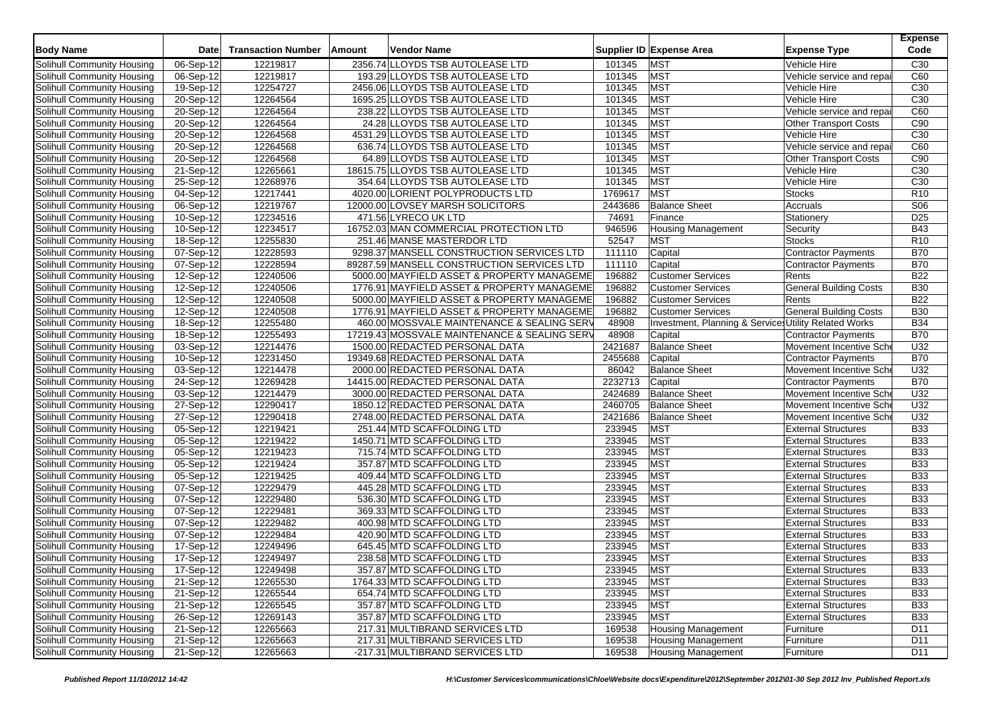| <b>Body Name</b>           | <b>Date</b>             | <b>Transaction Number</b> | Amount | Vendor Name                                  |         | Supplier ID Expense Area                              | <b>Expense Type</b>           | <b>Expense</b><br>Code |
|----------------------------|-------------------------|---------------------------|--------|----------------------------------------------|---------|-------------------------------------------------------|-------------------------------|------------------------|
| Solihull Community Housing | $\overline{06}$ -Sep-12 | 12219817                  |        | 2356.74 LLOYDS TSB AUTOLEASE LTD             | 101345  | <b>MST</b>                                            | Vehicle Hire                  | C <sub>30</sub>        |
| Solihull Community Housing | 06-Sep-12               | 12219817                  |        | 193.29 LLOYDS TSB AUTOLEASE LTD              | 101345  | <b>MST</b>                                            | Vehicle service and repai     | C60                    |
| Solihull Community Housing | 19-Sep-12               | 12254727                  |        | 2456.06 LLOYDS TSB AUTOLEASE LTD             | 101345  | <b>MST</b>                                            | Vehicle Hire                  | C30                    |
| Solihull Community Housing | 20-Sep-12               | 12264564                  |        | 1695.25 LLOYDS TSB AUTOLEASE LTD             | 101345  | <b>MST</b>                                            | Vehicle Hire                  | C30                    |
| Solihull Community Housing | 20-Sep-12               | 12264564                  |        | 238.22 LLOYDS TSB AUTOLEASE LTD              | 101345  | <b>MST</b>                                            | Vehicle service and repai     | C60                    |
| Solihull Community Housing | 20-Sep-12               | 12264564                  |        | 24.28 LLOYDS TSB AUTOLEASE LTD               | 101345  | MST                                                   | Other Transport Costs         | C90                    |
| Solihull Community Housing | 20-Sep-12               | 12264568                  |        | 4531.29 LLOYDS TSB AUTOLEASE LTD             | 101345  | <b>MST</b>                                            | Vehicle Hire                  | C30                    |
| Solihull Community Housing | 20-Sep-12               | 12264568                  |        | 636.74 LLOYDS TSB AUTOLEASE LTD              | 101345  | <b>MST</b>                                            | Vehicle service and repai     | C60                    |
| Solihull Community Housing | 20-Sep-12               | 12264568                  |        | 64.89 LLOYDS TSB AUTOLEASE LTD               | 101345  | <b>MST</b>                                            | Other Transport Costs         | C90                    |
| Solihull Community Housing | 21-Sep-12               | 12265661                  |        | 18615.75 LLOYDS TSB AUTOLEASE LTD            | 101345  | <b>MST</b>                                            | Vehicle Hire                  | C30                    |
| Solihull Community Housing | 25-Sep-12               | 12268976                  |        | 354.64 LLOYDS TSB AUTOLEASE LTD              | 101345  | <b>MST</b>                                            | Vehicle Hire                  | C30                    |
| Solihull Community Housing | 04-Sep-12               | 12217441                  |        | 4020.00 LORIENT POLYPRODUCTS LTD             | 1769617 | <b>MST</b>                                            | <b>Stocks</b>                 | R <sub>10</sub>        |
| Solihull Community Housing | 06-Sep-12               | 12219767                  |        | 12000.00 LOVSEY MARSH SOLICITORS             | 2443686 | <b>Balance Sheet</b>                                  | Accruals                      | S <sub>06</sub>        |
| Solihull Community Housing | 10-Sep-12               | 12234516                  |        | 471.56 LYRECO UK LTD                         | 74691   | Finance                                               | Stationery                    | D <sub>25</sub>        |
| Solihull Community Housing | 10-Sep-12               | 12234517                  |        | 16752.03 MAN COMMERCIAL PROTECTION LTD       | 946596  | <b>Housing Management</b>                             | Security                      | <b>B43</b>             |
| Solihull Community Housing | $\overline{18}$ -Sep-12 | 12255830                  |        | 251.46 MANSE MASTERDOR LTD                   | 52547   | <b>MST</b>                                            | <b>Stocks</b>                 | R <sub>10</sub>        |
| Solihull Community Housing | 07-Sep-12               | 12228593                  |        | 9298.37 MANSELL CONSTRUCTION SERVICES LTD    | 111110  | Capital                                               | <b>Contractor Payments</b>    | <b>B70</b>             |
| Solihull Community Housing | 07-Sep-12               | 12228594                  |        | 89287.59 MANSELL CONSTRUCTION SERVICES LTD   | 111110  | Capital                                               | <b>Contractor Payments</b>    | <b>B70</b>             |
| Solihull Community Housing | 12-Sep-12               | 12240506                  |        | 5000.00 MAYFIELD ASSET & PROPERTY MANAGEME   | 196882  | <b>Customer Services</b>                              | Rents                         | <b>B22</b>             |
| Solihull Community Housing | 12-Sep-12               | 12240506                  |        | 1776.91 MAYFIELD ASSET & PROPERTY MANAGEME   | 196882  | <b>Customer Services</b>                              | <b>General Building Costs</b> | <b>B30</b>             |
| Solihull Community Housing | 12-Sep-12               | 12240508                  |        | 5000.00 MAYFIELD ASSET & PROPERTY MANAGEME   | 196882  | <b>Customer Services</b>                              | Rents                         | <b>B22</b>             |
| Solihull Community Housing | 12-Sep-12               | 12240508                  |        | 1776.91 MAYFIELD ASSET & PROPERTY MANAGEME   | 196882  | <b>Customer Services</b>                              | <b>General Building Costs</b> | <b>B30</b>             |
| Solihull Community Housing | 18-Sep-12               | 12255480                  |        | 460.00 MOSSVALE MAINTENANCE & SEALING SERV   | 48908   | Investment, Planning & Services Utility Related Works |                               | <b>B34</b>             |
| Solihull Community Housing | 18-Sep-12               | 12255493                  |        | 17219.43 MOSSVALE MAINTENANCE & SEALING SERV | 48908   | Capital                                               | Contractor Payments           | <b>B70</b>             |
| Solihull Community Housing | 03-Sep-12               | 12214476                  |        | 1500.00 REDACTED PERSONAL DATA               | 2421687 | <b>Balance Sheet</b>                                  | Movement Incentive Sche       | U32                    |
| Solihull Community Housing | 10-Sep-12               | 12231450                  |        | 19349.68 REDACTED PERSONAL DATA              | 2455688 | Capital                                               | Contractor Payments           | <b>B70</b>             |
| Solihull Community Housing | 03-Sep-12               | 12214478                  |        | 2000.00 REDACTED PERSONAL DATA               | 86042   | <b>Balance Sheet</b>                                  | Movement Incentive Sche       | U32                    |
| Solihull Community Housing | $24-Sep-12$             | 12269428                  |        | 14415.00 REDACTED PERSONAL DATA              | 2232713 | Capital                                               | Contractor Payments           | <b>B70</b>             |
| Solihull Community Housing | 03-Sep-12               | 12214479                  |        | 3000.00 REDACTED PERSONAL DATA               | 2424689 | <b>Balance Sheet</b>                                  | Movement Incentive Sche       | U32                    |
| Solihull Community Housing | 27-Sep-12               | 12290417                  |        | 1850.12 REDACTED PERSONAL DATA               | 2460705 | <b>Balance Sheet</b>                                  | Movement Incentive Sche       | U32                    |
| Solihull Community Housing | 27-Sep-12               | 12290418                  |        | 2748.00 REDACTED PERSONAL DATA               | 2421686 | <b>Balance Sheet</b>                                  | Movement Incentive Sche       | U32                    |
| Solihull Community Housing | 05-Sep-12               | 12219421                  |        | 251.44 MTD SCAFFOLDING LTD                   | 233945  | <b>MST</b>                                            | <b>External Structures</b>    | <b>B33</b>             |
| Solihull Community Housing | 05-Sep-12               | 12219422                  |        | 1450.71 MTD SCAFFOLDING LTD                  | 233945  | <b>MST</b>                                            | <b>External Structures</b>    | <b>B33</b>             |
| Solihull Community Housing | 05-Sep-12               | 12219423                  |        | 715.74 MTD SCAFFOLDING LTD                   | 233945  | <b>MST</b>                                            | <b>External Structures</b>    | <b>B33</b>             |
| Solihull Community Housing | 05-Sep-12               | 12219424                  |        | 357.87 MTD SCAFFOLDING LTD                   | 233945  | MST                                                   | <b>External Structures</b>    | <b>B33</b>             |
| Solihull Community Housing | 05-Sep-12               | 12219425                  |        | 409.44 MTD SCAFFOLDING LTD                   | 233945  | <b>MST</b>                                            | <b>External Structures</b>    | <b>B33</b>             |
| Solihull Community Housing | 07-Sep-12               | 12229479                  |        | 445.28 MTD SCAFFOLDING LTD                   | 233945  | <b>MST</b>                                            | <b>External Structures</b>    | <b>B33</b>             |
| Solihull Community Housing | 07-Sep-12               | 12229480                  |        | 536.30 MTD SCAFFOLDING LTD                   | 233945  | MST                                                   | <b>External Structures</b>    | <b>B33</b>             |
| Solihull Community Housing | 07-Sep-12               | 12229481                  |        | 369.33 MTD SCAFFOLDING LTD                   | 233945  | <b>MST</b>                                            | <b>External Structures</b>    | <b>B33</b>             |
| Solihull Community Housing | 07-Sep-12               | 12229482                  |        | 400.98 MTD SCAFFOLDING LTD                   | 233945  | <b>MST</b>                                            | <b>External Structures</b>    | <b>B33</b>             |
| Solihull Community Housing | 07-Sep-12               | 12229484                  |        | 420.90 MTD SCAFFOLDING LTD                   | 233945  | <b>MST</b>                                            | <b>External Structures</b>    | <b>B33</b>             |
| Solihull Community Housing | 17-Sep-12               | 12249496                  |        | 645.45 MTD SCAFFOLDING LTD                   | 233945  | <b>MST</b>                                            | <b>External Structures</b>    | <b>B33</b>             |
| Solihull Community Housing | 17-Sep-12               | 12249497                  |        | 238.58 MTD SCAFFOLDING LTD                   | 233945  | <b>MST</b>                                            | <b>External Structures</b>    | <b>B33</b>             |
| Solihull Community Housing | 17-Sep-12               | 12249498                  |        | 357.87 MTD SCAFFOLDING LTD                   | 233945  | <b>MST</b>                                            | <b>External Structures</b>    | <b>B33</b>             |
| Solihull Community Housing | 21-Sep-12               | 12265530                  |        | 1764.33 MTD SCAFFOLDING LTD                  | 233945  | <b>MST</b>                                            | <b>External Structures</b>    | <b>B33</b>             |
| Solihull Community Housing | 21-Sep-12               | 12265544                  |        | 654.74 MTD SCAFFOLDING LTD                   | 233945  | <b>MST</b>                                            | <b>External Structures</b>    | <b>B33</b>             |
| Solihull Community Housing | 21-Sep-12               | 12265545                  |        | 357.87 MTD SCAFFOLDING LTD                   | 233945  | <b>MST</b>                                            | <b>External Structures</b>    | <b>B33</b>             |
| Solihull Community Housing | 26-Sep-12               | 12269143                  |        | 357.87 MTD SCAFFOLDING LTD                   | 233945  | <b>MST</b>                                            | <b>External Structures</b>    | <b>B33</b>             |
| Solihull Community Housing | 21-Sep-12               | 12265663                  |        | 217.31 MULTIBRAND SERVICES LTD               | 169538  | <b>Housing Management</b>                             | Furniture                     | D <sub>11</sub>        |
| Solihull Community Housing | 21-Sep-12               | 12265663                  |        | 217.31 MULTIBRAND SERVICES LTD               | 169538  | <b>Housing Management</b>                             | Furniture                     | D11                    |
| Solihull Community Housing | 21-Sep-12               | 12265663                  |        | -217.31 MULTIBRAND SERVICES LTD              | 169538  | <b>Housing Management</b>                             | Furniture                     | D11                    |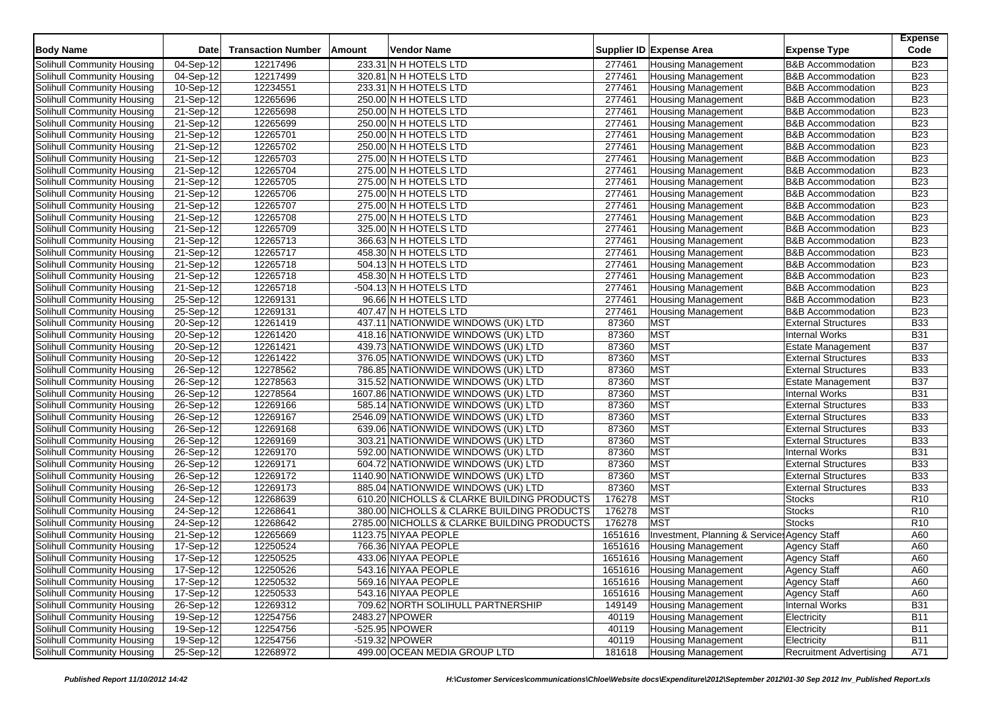| <b>Body Name</b>                  | <b>Date</b>             | <b>Transaction Number</b> | Amount | <b>Vendor Name</b>                                                  |                  | Supplier ID Expense Area                     | <b>Expense Type</b>            | <b>Expense</b><br>Code |
|-----------------------------------|-------------------------|---------------------------|--------|---------------------------------------------------------------------|------------------|----------------------------------------------|--------------------------------|------------------------|
| Solihull Community Housing        | $\overline{04}$ -Sep-12 | 12217496                  |        | 233.31 N H HOTELS LTD                                               | 277461           | <b>Housing Management</b>                    | <b>B&amp;B Accommodation</b>   | <b>B23</b>             |
| Solihull Community Housing        | 04-Sep-12               | 12217499                  |        | 320.81 N H HOTELS LTD                                               | 277461           | <b>Housing Management</b>                    | <b>B&amp;B Accommodation</b>   | <b>B23</b>             |
| Solihull Community Housing        | 10-Sep-12               | 12234551                  |        | 233.31 N H HOTELS LTD                                               | 277461           | <b>Housing Management</b>                    | <b>B&amp;B Accommodation</b>   | <b>B23</b>             |
| Solihull Community Housing        | 21-Sep-12               | 12265696                  |        | 250.00 N H HOTELS LTD                                               | 277461           | <b>Housing Management</b>                    | <b>B&amp;B Accommodation</b>   | <b>B23</b>             |
| Solihull Community Housing        | 21-Sep-12               | 12265698                  |        | 250.00 N H HOTELS LTD                                               | 277461           | <b>Housing Management</b>                    | <b>B&amp;B Accommodation</b>   | <b>B23</b>             |
| Solihull Community Housing        | 21-Sep-12               | 12265699                  |        | 250.00 N H HOTELS LTD                                               | 277461           | <b>Housing Management</b>                    | <b>B&amp;B</b> Accommodation   | <b>B23</b>             |
| Solihull Community Housing        | 21-Sep-12               | 12265701                  |        | 250.00 N H HOTELS LTD                                               | 277461           | <b>Housing Management</b>                    | <b>B&amp;B Accommodation</b>   | <b>B23</b>             |
| Solihull Community Housing        | 21-Sep-12               | 12265702                  |        | 250.00 N H HOTELS LTD                                               | 277461           | <b>Housing Management</b>                    | <b>B&amp;B Accommodation</b>   | <b>B23</b>             |
| Solihull Community Housing        | $\overline{21}$ -Sep-12 | 12265703                  |        | 275.00 N H HOTELS LTD                                               | 277461           | <b>Housing Management</b>                    | <b>B&amp;B Accommodation</b>   | <b>B23</b>             |
| Solihull Community Housing        | 21-Sep-12               | 12265704                  |        | 275.00 N H HOTELS LTD                                               | 277461           | <b>Housing Management</b>                    | <b>B&amp;B Accommodation</b>   | <b>B23</b>             |
| Solihull Community Housing        | 21-Sep-12               | 12265705                  |        | 275.00 N H HOTELS LTD                                               | 277461           | <b>Housing Management</b>                    | <b>B&amp;B Accommodation</b>   | <b>B23</b>             |
| Solihull Community Housing        | 21-Sep-12               | 12265706                  |        | 275.00 N H HOTELS LTD                                               | 277461           | Housing Management                           | <b>B&amp;B Accommodation</b>   | <b>B23</b>             |
| Solihull Community Housing        | 21-Sep-12               | 12265707                  |        | 275.00 N H HOTELS LTD                                               | 277461           | <b>Housing Management</b>                    | <b>B&amp;B</b> Accommodation   | <b>B23</b>             |
| Solihull Community Housing        | 21-Sep-12               | 12265708                  |        | 275.00 N H HOTELS LTD                                               | 277461           | <b>Housing Management</b>                    | <b>B&amp;B Accommodation</b>   | <b>B23</b>             |
| <b>Solihull Community Housing</b> | 21-Sep-12               | 12265709                  |        | 325.00 N H HOTELS LTD                                               | 277461           | <b>Housing Management</b>                    | <b>B&amp;B Accommodation</b>   | <b>B23</b>             |
| Solihull Community Housing        | 21-Sep-12               | 12265713                  |        | 366.63 N H HOTELS LTD                                               | 277461           | <b>Housing Management</b>                    | <b>B&amp;B Accommodation</b>   | <b>B23</b>             |
| Solihull Community Housing        | 21-Sep-12               | 12265717                  |        | 458.30 N H HOTELS LTD                                               | 277461           | <b>Housing Management</b>                    | <b>B&amp;B Accommodation</b>   | <b>B23</b>             |
| Solihull Community Housing        | 21-Sep-12               | 12265718                  |        | 504.13 N H HOTELS LTD                                               | 277461           | <b>Housing Management</b>                    | <b>B&amp;B Accommodation</b>   | <b>B23</b>             |
| Solihull Community Housing        | $\overline{21}$ -Sep-12 | 12265718                  |        | 458.30 N H HOTELS LTD                                               | 277461           | <b>Housing Management</b>                    | <b>B&amp;B</b> Accommodation   | <b>B23</b>             |
| Solihull Community Housing        | 21-Sep-12               | 12265718                  |        | $-504.13$ N H HOTELS LTD                                            | 277461           | <b>Housing Management</b>                    | <b>B&amp;B Accommodation</b>   | <b>B23</b>             |
| Solihull Community Housing        | 25-Sep-12               | 12269131                  |        | 96.66 N H HOTELS LTD                                                | 277461           | <b>Housing Management</b>                    | <b>B&amp;B Accommodation</b>   | <b>B23</b>             |
| Solihull Community Housing        | 25-Sep-12               | 12269131                  |        | 407.47 N H HOTELS LTD                                               | 277461           | <b>Housing Management</b>                    | <b>B&amp;B Accommodation</b>   | <b>B23</b>             |
| Solihull Community Housing        | 20-Sep-12               | 12261419                  |        | 437.11 NATIONWIDE WINDOWS (UK) LTD                                  | 87360            | <b>MST</b>                                   | <b>External Structures</b>     | <b>B33</b>             |
| Solihull Community Housing        | 20-Sep-12               | 12261420                  |        | 418.16 NATIONWIDE WINDOWS (UK) LTD                                  | 87360            | <b>MST</b>                                   | <b>Internal Works</b>          | <b>B31</b>             |
| Solihull Community Housing        | 20-Sep-12               | 12261421                  |        | 439.73 NATIONWIDE WINDOWS (UK) LTD                                  | 87360            | <b>MST</b>                                   | <b>Estate Management</b>       | <b>B37</b>             |
| Solihull Community Housing        | 20-Sep-12               | 12261422                  |        | 376.05 NATIONWIDE WINDOWS (UK) LTD                                  | 87360            | MST                                          | <b>External Structures</b>     | <b>B33</b>             |
| Solihull Community Housing        | $26-Sep-12$             | 12278562                  |        | 786.85 NATIONWIDE WINDOWS (UK) LTD                                  | 87360            | MST                                          | <b>External Structures</b>     | <b>B33</b>             |
| Solihull Community Housing        | 26-Sep-12               | 12278563                  |        | 315.52 NATIONWIDE WINDOWS (UK) LTD                                  | 87360            | <b>MST</b>                                   | Estate Management              | <b>B37</b>             |
| Solihull Community Housing        | 26-Sep-12               | 12278564                  |        | 1607.86 NATIONWIDE WINDOWS (UK) LTD                                 | 87360            | <b>MST</b>                                   | <b>Internal Works</b>          | <b>B31</b>             |
| Solihull Community Housing        | 26-Sep-12               | 12269166                  |        | 585.14 NATIONWIDE WINDOWS (UK) LTD                                  | 87360            | <b>MST</b>                                   | <b>External Structures</b>     | <b>B33</b>             |
| Solihull Community Housing        | $26$ -Sep-12            | 12269167                  |        | 2546.09 NATIONWIDE WINDOWS (UK) LTD                                 | 87360            | <b>MST</b>                                   | <b>External Structures</b>     | <b>B33</b>             |
| Solihull Community Housing        | 26-Sep-12               | 12269168                  |        | 639.06 NATIONWIDE WINDOWS (UK) LTD                                  | 87360            | MST                                          | <b>External Structures</b>     | <b>B33</b>             |
|                                   |                         | 12269169                  |        |                                                                     | 87360            | <b>MST</b>                                   |                                | <b>B33</b>             |
| Solihull Community Housing        | 26-Sep-12               |                           |        | 303.21 NATIONWIDE WINDOWS (UK) LTD                                  | 87360            | MST                                          | <b>External Structures</b>     | <b>B31</b>             |
| Solihull Community Housing        | 26-Sep-12               | 12269170                  |        | 592.00 NATIONWIDE WINDOWS (UK) LTD                                  |                  |                                              | <b>Internal Works</b>          |                        |
| Solihull Community Housing        | 26-Sep-12               | 12269171<br>12269172      |        | 604.72 NATIONWIDE WINDOWS (UK) LTD                                  | 87360            | MST                                          | <b>External Structures</b>     | <b>B33</b>             |
| Solihull Community Housing        | 26-Sep-12               |                           |        | 1140.90 NATIONWIDE WINDOWS (UK) LTD                                 | 87360            | <b>MST</b>                                   | <b>External Structures</b>     | <b>B33</b>             |
| Solihull Community Housing        | 26-Sep-12               | 12269173                  |        | 885.04 NATIONWIDE WINDOWS (UK) LTD                                  | 87360            | <b>MST</b>                                   | <b>External Structures</b>     | <b>B33</b>             |
| Solihull Community Housing        | 24-Sep-12               | 12268639                  |        | 610.20 NICHOLLS & CLARKE BUILDING PRODUCTS                          | 176278<br>176278 | MST<br><b>MST</b>                            | Stocks                         | R <sub>10</sub>        |
| Solihull Community Housing        | 24-Sep-12               | 12268641                  |        | 380.00 NICHOLLS & CLARKE BUILDING PRODUCTS                          | 176278           | <b>MST</b>                                   | <b>Stocks</b><br><b>Stocks</b> | R <sub>10</sub>        |
| Solihull Community Housing        | 24-Sep-12               | 12268642<br>12265669      |        | 2785.00 NICHOLLS & CLARKE BUILDING PRODUCTS<br>1123.75 NIYAA PEOPLE |                  |                                              |                                | R <sub>10</sub>        |
| Solihull Community Housing        | 21-Sep-12               |                           |        |                                                                     | 1651616          | Investment, Planning & Service: Agency Staff |                                | A60                    |
| Solihull Community Housing        | 17-Sep-12               | 12250524                  |        | 766.36 NIYAA PEOPLE                                                 | 1651616          | <b>Housing Management</b>                    | <b>Agency Staff</b>            | A60                    |
| Solihull Community Housing        | 17-Sep-12               | 12250525                  |        | 433.06 NIYAA PEOPLE                                                 | 1651616          | <b>Housing Management</b>                    | <b>Agency Staff</b>            | A60                    |
| Solihull Community Housing        | 17-Sep-12               | 12250526                  |        | 543.16 NIYAA PEOPLE                                                 | 1651616          | <b>Housing Management</b>                    | <b>Agency Staff</b>            | A60                    |
| Solihull Community Housing        | 17-Sep-12               | 12250532                  |        | 569.16 NIYAA PEOPLE                                                 | 1651616          | <b>Housing Management</b>                    | <b>Agency Staff</b>            | A60                    |
| Solihull Community Housing        | 17-Sep-12               | 12250533                  |        | 543.16 NIYAA PEOPLE                                                 | 1651616          | <b>Housing Management</b>                    | <b>Agency Staff</b>            | A60                    |
| Solihull Community Housing        | 26-Sep-12               | 12269312                  |        | 709.62 NORTH SOLIHULL PARTNERSHIP                                   | 149149           | <b>Housing Management</b>                    | Internal Works                 | <b>B31</b>             |
| Solihull Community Housing        | 19-Sep-12               | 12254756                  |        | 2483.27 NPOWER                                                      | 40119            | <b>Housing Management</b>                    | Electricity                    | <b>B11</b>             |
| Solihull Community Housing        | 19-Sep-12               | 12254756                  |        | -525.95 NPOWER                                                      | 40119            | <b>Housing Management</b>                    | Electricity                    | <b>B11</b>             |
| <b>Solihull Community Housing</b> | 19-Sep-12               | 12254756                  |        | -519.32 NPOWER                                                      | 40119            | <b>Housing Management</b>                    | Electricity                    | <b>B11</b>             |
| Solihull Community Housing        | 25-Sep-12               | 12268972                  |        | 499.00 OCEAN MEDIA GROUP LTD                                        | 181618           | <b>Housing Management</b>                    | <b>Recruitment Advertising</b> | A71                    |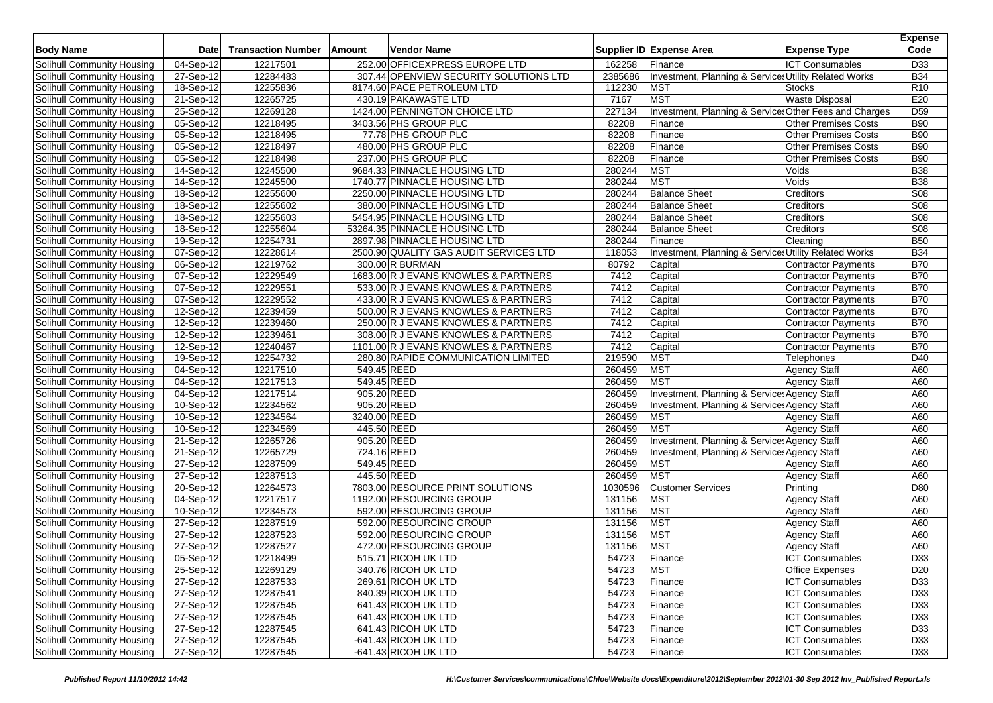| <b>Body Name</b>           | <b>Date</b>            | <b>Transaction Number</b> | Amount       | <b>Vendor Name</b>                     |         | Supplier ID Expense Area                               | <b>Expense Type</b>         | <b>Expense</b><br>Code |
|----------------------------|------------------------|---------------------------|--------------|----------------------------------------|---------|--------------------------------------------------------|-----------------------------|------------------------|
| Solihull Community Housing | 04-Sep-12              | 12217501                  |              | 252.00 OFFICEXPRESS EUROPE LTD         | 162258  | Finance                                                | <b>ICT Consumables</b>      | D33                    |
| Solihull Community Housing | 27-Sep-12              | 12284483                  |              | 307.44 OPENVIEW SECURITY SOLUTIONS LTD | 2385686 | Investment, Planning & Service Utility Related Works   |                             | <b>B34</b>             |
| Solihull Community Housing | 18-Sep-12              | 12255836                  |              | 8174.60 PACE PETROLEUM LTD             | 112230  | MST                                                    | Stocks                      | R <sub>10</sub>        |
| Solihull Community Housing | 21-Sep-12              | 12265725                  |              | 430.19 PAKAWASTE LTD                   | 7167    | <b>MST</b>                                             | <b>Waste Disposal</b>       | E20                    |
| Solihull Community Housing | 25-Sep-12              | 12269128                  |              | 1424.00 PENNINGTON CHOICE LTD          | 227134  | Investment, Planning & Services Other Fees and Charges |                             | D <sub>59</sub>        |
| Solihull Community Housing | 05-Sep-12              | 12218495                  |              | 3403.56 PHS GROUP PLC                  | 82208   | Finance                                                | Other Premises Costs        | <b>B90</b>             |
| Solihull Community Housing | 05-Sep-12              | 12218495                  |              | 77.78 PHS GROUP PLC                    | 82208   | Finance                                                | Other Premises Costs        | <b>B90</b>             |
| Solihull Community Housing | 05-Sep-12              | 12218497                  |              | 480.00 PHS GROUP PLC                   | 82208   | Finance                                                | <b>Other Premises Costs</b> | <b>B90</b>             |
| Solihull Community Housing | 05-Sep-12              | 12218498                  |              | 237.00 PHS GROUP PLC                   | 82208   | Finance                                                | Other Premises Costs        | <b>B90</b>             |
| Solihull Community Housing | 14-Sep-12              | 12245500                  |              | 9684.33 PINNACLE HOUSING LTD           | 280244  | <b>MST</b>                                             | Voids                       | <b>B38</b>             |
| Solihull Community Housing | 14-Sep-12              | 12245500                  |              | 1740.77 PINNACLE HOUSING LTD           | 280244  | <b>MST</b>                                             | Voids                       | <b>B38</b>             |
| Solihull Community Housing | 18-Sep-12              | 12255600                  |              | 2250.00 PINNACLE HOUSING LTD           | 280244  | <b>Balance Sheet</b>                                   | <b>Creditors</b>            | S08                    |
| Solihull Community Housing | 18-Sep-12              | 12255602                  |              | 380.00 PINNACLE HOUSING LTD            | 280244  | <b>Balance Sheet</b>                                   | Creditors                   | S <sub>08</sub>        |
| Solihull Community Housing | 18-Sep-12              | 12255603                  |              | 5454.95 PINNACLE HOUSING LTD           | 280244  | <b>Balance Sheet</b>                                   | Creditors                   | <b>S08</b>             |
| Solihull Community Housing | 18-Sep-12              | 12255604                  |              | 53264.35 PINNACLE HOUSING LTD          | 280244  | <b>Balance Sheet</b>                                   | Creditors                   | S <sub>08</sub>        |
| Solihull Community Housing | $19-Sep-12$            | 12254731                  |              | 2897.98 PINNACLE HOUSING LTD           | 280244  | Finance                                                | Cleaning                    | <b>B50</b>             |
| Solihull Community Housing | 07-Sep-12              | 12228614                  |              | 2500.90 QUALITY GAS AUDIT SERVICES LTD | 118053  | Investment, Planning & Services Utility Related Works  |                             | <b>B34</b>             |
| Solihull Community Housing | 06-Sep-12              | 12219762                  |              | 300.00 R BURMAN                        | 80792   | Capital                                                | <b>Contractor Payments</b>  | <b>B70</b>             |
| Solihull Community Housing | 07-Sep-12              | 12229549                  |              | 1683.00 R J EVANS KNOWLES & PARTNERS   | 7412    | Capital                                                | <b>Contractor Payments</b>  | <b>B70</b>             |
| Solihull Community Housing | 07-Sep-12              | 12229551                  |              | 533.00 R J EVANS KNOWLES & PARTNERS    | 7412    | Capital                                                | <b>Contractor Payments</b>  | <b>B70</b>             |
| Solihull Community Housing | 07-Sep-12              | 12229552                  |              | 433.00 R J EVANS KNOWLES & PARTNERS    | 7412    | Capital                                                | <b>Contractor Payments</b>  | <b>B70</b>             |
| Solihull Community Housing | 12-Sep-12              | 12239459                  |              | 500.00 R J EVANS KNOWLES & PARTNERS    | 7412    | Capital                                                | <b>Contractor Payments</b>  | <b>B70</b>             |
| Solihull Community Housing | 12-Sep-12              | 12239460                  |              | 250.00 R J EVANS KNOWLES & PARTNERS    | 7412    | Capital                                                | Contractor Payments         | <b>B70</b>             |
| Solihull Community Housing | 12-Sep-12              | 12239461                  |              | 308.00 R J EVANS KNOWLES & PARTNERS    | 7412    | Capital                                                | <b>Contractor Payments</b>  | <b>B70</b>             |
| Solihull Community Housing | 12-Sep-12              | 12240467                  |              | 1101.00 R J EVANS KNOWLES & PARTNERS   | 7412    | Capital                                                | Contractor Payments         | <b>B70</b>             |
| Solihull Community Housing | 19-Sep-12              | 12254732                  |              | 280.80 RAPIDE COMMUNICATION LIMITED    | 219590  | <b>MST</b>                                             | Telephones                  | D40                    |
| Solihull Community Housing | 04-Sep-12              | 12217510                  |              | 549.45 REED                            | 260459  | <b>MST</b>                                             | Agency Staff                | A60                    |
| Solihull Community Housing | 04-Sep-12              | 12217513                  |              | 549.45 REED                            | 260459  | <b>MST</b>                                             | <b>Agency Staff</b>         | A60                    |
| Solihull Community Housing | $\overline{04-Sep-12}$ | 12217514                  |              | 905.20 REED                            | 260459  | Investment, Planning & Services Agency Staff           |                             | A60                    |
| Solihull Community Housing | $10-Sep-12$            | 12234562                  |              | 905.20 REED                            | 260459  | Investment, Planning & Service Agency Staff            |                             | A60                    |
| Solihull Community Housing | 10-Sep-12              | 12234564                  | 3240.00 REED |                                        | 260459  | <b>MST</b>                                             | <b>Agency Staff</b>         | A60                    |
| Solihull Community Housing | 10-Sep-12              | 12234569                  |              | 445.50 REED                            | 260459  | <b>MST</b>                                             | <b>Agency Staff</b>         | A60                    |
| Solihull Community Housing | 21-Sep-12              | 12265726                  |              | 905.20 REED                            | 260459  | Investment, Planning & Services Agency Staff           |                             | A60                    |
| Solihull Community Housing | 21-Sep-12              | 12265729                  |              | 724.16 REED                            | 260459  | Investment, Planning & Services Agency Staff           |                             | A60                    |
| Solihull Community Housing | 27-Sep-12              | 12287509                  |              | 549.45 REED                            | 260459  | MST                                                    | <b>Agency Staff</b>         | A60                    |
| Solihull Community Housing | 27-Sep-12              | 12287513                  |              | 445.50 REED                            | 260459  | MST                                                    | <b>Agency Staff</b>         | A60                    |
| Solihull Community Housing | 20-Sep-12              | 12264573                  |              | 7803.00 RESOURCE PRINT SOLUTIONS       | 1030596 | <b>Customer Services</b>                               | Printing                    | D80                    |
| Solihull Community Housing | 04-Sep-12              | 12217517                  |              | 1192.00 RESOURCING GROUP               | 131156  | <b>MST</b>                                             | <b>Agency Staff</b>         | A60                    |
| Solihull Community Housing | 10-Sep-12              | 12234573                  |              | 592.00 RESOURCING GROUP                | 131156  | <b>MST</b>                                             | <b>Agency Staff</b>         | A60                    |
| Solihull Community Housing | 27-Sep-12              | 12287519                  |              | 592.00 RESOURCING GROUP                | 131156  | <b>MST</b>                                             | <b>Agency Staff</b>         | A60                    |
| Solihull Community Housing | 27-Sep-12              | 12287523                  |              | 592.00 RESOURCING GROUP                | 131156  | <b>MST</b>                                             | <b>Agency Staff</b>         | A60                    |
| Solihull Community Housing | 27-Sep-12              | 12287527                  |              | 472.00 RESOURCING GROUP                | 131156  | <b>MST</b>                                             | <b>Agency Staff</b>         | A60                    |
| Solihull Community Housing | 05-Sep-12              | 12218499                  |              | 515.71 RICOH UK LTD                    | 54723   | Finance                                                | <b>ICT Consumables</b>      | D33                    |
| Solihull Community Housing | 25-Sep-12              | 12269129                  |              | 340.76 RICOH UK LTD                    | 54723   | <b>MST</b>                                             | <b>Office Expenses</b>      | D <sub>20</sub>        |
| Solihull Community Housing | 27-Sep-12              | 12287533                  |              | 269.61 RICOH UK LTD                    | 54723   | Finance                                                | <b>ICT Consumables</b>      | D33                    |
| Solihull Community Housing | 27-Sep-12              | 12287541                  |              | 840.39 RICOH UK LTD                    | 54723   | Finance                                                | <b>ICT Consumables</b>      | D33                    |
| Solihull Community Housing | 27-Sep-12              | 12287545                  |              | 641.43 RICOH UK LTD                    | 54723   | Finance                                                | <b>ICT Consumables</b>      | D33                    |
| Solihull Community Housing | 27-Sep-12              | 12287545                  |              | 641.43 RICOH UK LTD                    | 54723   | Finance                                                | <b>ICT Consumables</b>      | D33                    |
| Solihull Community Housing | 27-Sep-12              | 12287545                  |              | 641.43 RICOH UK LTD                    | 54723   | Finance                                                | <b>ICT Consumables</b>      | D33                    |
| Solihull Community Housing | 27-Sep-12              | 12287545                  |              | $-641.43$ RICOH UK LTD                 | 54723   | Finance                                                | <b>ICT Consumables</b>      | D33                    |
| Solihull Community Housing | 27-Sep-12              | 12287545                  |              | -641.43 RICOH UK LTD                   | 54723   | Finance                                                | <b>ICT Consumables</b>      | D33                    |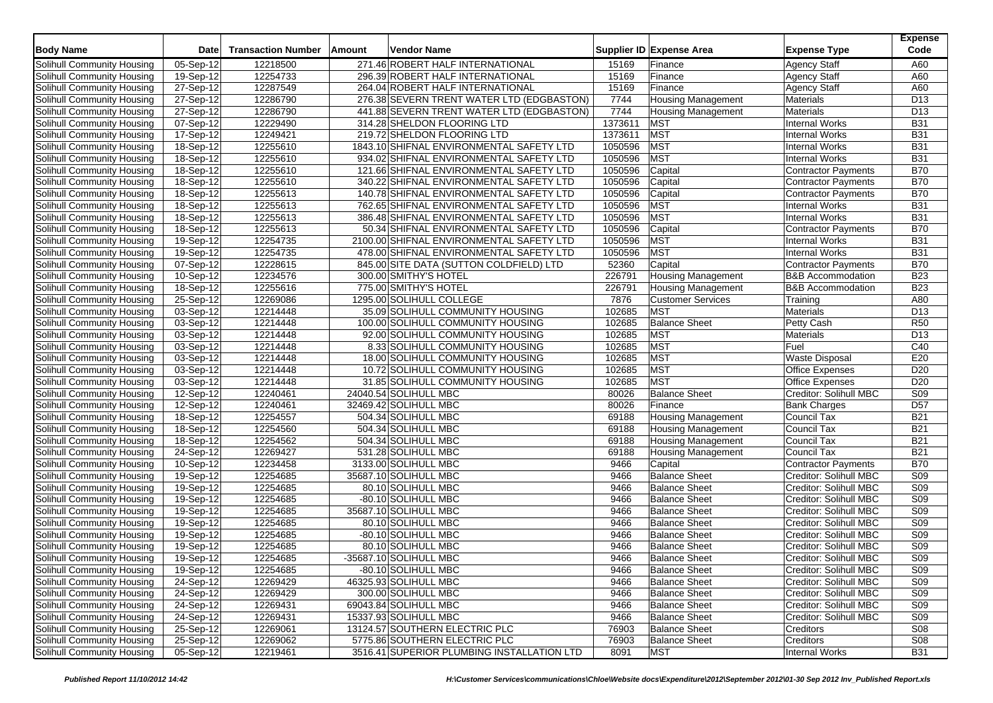| <b>Body Name</b>           | <b>Date</b>             | <b>Transaction Number</b> | Amount | <b>Vendor Name</b>                                           |         | Supplier ID Expense Area  | <b>Expense Type</b>          | <b>Expense</b><br>Code |
|----------------------------|-------------------------|---------------------------|--------|--------------------------------------------------------------|---------|---------------------------|------------------------------|------------------------|
| Solihull Community Housing | 05-Sep-12               | 12218500                  |        | 271.46 ROBERT HALF INTERNATIONAL                             | 15169   | Finance                   | <b>Agency Staff</b>          | A60                    |
| Solihull Community Housing | 19-Sep-12               | 12254733                  |        | 296.39 ROBERT HALF INTERNATIONAL                             | 15169   | Finance                   | <b>Agency Staff</b>          | A60                    |
| Solihull Community Housing | 27-Sep-12               | 12287549                  |        | 264.04 ROBERT HALF INTERNATIONAL                             | 15169   | Finance                   | <b>Agency Staff</b>          | A60                    |
| Solihull Community Housing | 27-Sep-12               | 12286790                  |        | 276.38 SEVERN TRENT WATER LTD (EDGBASTON)                    | 7744    | <b>Housing Management</b> | Materials                    | D <sub>13</sub>        |
| Solihull Community Housing | 27-Sep-12               | 12286790                  |        | 441.88 SEVERN TRENT WATER LTD (EDGBASTON)                    | 7744    | <b>Housing Management</b> | <b>Materials</b>             | D <sub>13</sub>        |
| Solihull Community Housing | $\overline{07}$ -Sep-12 | 12229490                  |        | 314.28 SHELDON FLOORING LTD                                  | 1373611 | <b>MST</b>                | <b>Internal Works</b>        | <b>B31</b>             |
| Solihull Community Housing | 17-Sep-12               | 12249421                  |        | 219.72 SHELDON FLOORING LTD                                  | 1373611 | MST                       | <b>Internal Works</b>        | <b>B31</b>             |
| Solihull Community Housing | 18-Sep-12               | 12255610                  |        | 1843.10 SHIFNAL ENVIRONMENTAL SAFETY LTD                     | 1050596 | <b>MST</b>                | <b>Internal Works</b>        | <b>B31</b>             |
| Solihull Community Housing | 18-Sep-12               | 12255610                  |        | 934.02 SHIFNAL ENVIRONMENTAL SAFETY LTD                      | 1050596 | MST                       | <b>Internal Works</b>        | <b>B31</b>             |
| Solihull Community Housing | 18-Sep-12               | 12255610                  |        | 121.66 SHIFNAL ENVIRONMENTAL SAFETY LTD                      | 1050596 | Capital                   | Contractor Payments          | <b>B70</b>             |
| Solihull Community Housing | 18-Sep-12               | 12255610                  |        | 340.22 SHIFNAL ENVIRONMENTAL SAFETY LTD                      | 1050596 | Capital                   | <b>Contractor Payments</b>   | <b>B70</b>             |
| Solihull Community Housing | 18-Sep-12               | 12255613                  |        | 140.78 SHIFNAL ENVIRONMENTAL SAFETY LTD                      | 1050596 | Capital                   | <b>Contractor Payments</b>   | <b>B70</b>             |
| Solihull Community Housing | 18-Sep-12               | 12255613                  |        | 762.65 SHIFNAL ENVIRONMENTAL SAFETY LTD                      | 1050596 | <b>MST</b>                | <b>Internal Works</b>        | <b>B31</b>             |
| Solihull Community Housing | 18-Sep-12               | 12255613                  |        | 386.48 SHIFNAL ENVIRONMENTAL SAFETY LTD                      | 1050596 | MST                       | <b>Internal Works</b>        | <b>B31</b>             |
| Solihull Community Housing | $18-Sep-12$             | 12255613                  |        | 50.34 SHIFNAL ENVIRONMENTAL SAFETY LTD                       | 1050596 | Capital                   | <b>Contractor Payments</b>   | <b>B70</b>             |
| Solihull Community Housing | 19-Sep-12               | 12254735                  |        | 2100.00 SHIFNAL ENVIRONMENTAL SAFETY LTD                     | 1050596 | <b>MST</b>                | <b>Internal Works</b>        | <b>B31</b>             |
| Solihull Community Housing | 19-Sep-12               | 12254735                  |        | 478.00 SHIFNAL ENVIRONMENTAL SAFETY LTD                      | 1050596 | <b>MST</b>                | <b>Internal Works</b>        | <b>B31</b>             |
| Solihull Community Housing | 07-Sep-12               | 12228615                  |        | 845.00 SITE DATA (SUTTON COLDFIELD) LTD                      | 52360   | Capital                   | Contractor Payments          | <b>B70</b>             |
|                            | 10-Sep-12               | 12234576                  |        | 300.00 SMITHY'S HOTEL                                        | 226791  | <b>Housing Management</b> | <b>B&amp;B Accommodation</b> | <b>B23</b>             |
| Solihull Community Housing | 18-Sep-12               | 12255616                  |        | 775.00 SMITHY'S HOTEL                                        | 226791  | <b>Housing Management</b> | <b>B&amp;B Accommodation</b> | <b>B23</b>             |
| Solihull Community Housing |                         | 12269086                  |        |                                                              | 7876    | <b>Customer Services</b>  |                              | A80                    |
| Solihull Community Housing | 25-Sep-12               |                           |        | 1295.00 SOLIHULL COLLEGE<br>35.09 SOLIHULL COMMUNITY HOUSING |         | <b>MST</b>                | Training                     |                        |
| Solihull Community Housing | 03-Sep-12               | 12214448                  |        |                                                              | 102685  |                           | Materials                    | D13                    |
| Solihull Community Housing | 03-Sep-12               | 12214448                  |        | 100.00 SOLIHULL COMMUNITY HOUSING                            | 102685  | <b>Balance Sheet</b>      | Petty Cash                   | <b>R50</b>             |
| Solihull Community Housing | 03-Sep-12               | 12214448                  |        | 92.00 SOLIHULL COMMUNITY HOUSING                             | 102685  | <b>MST</b>                | Materials                    | D <sub>13</sub>        |
| Solihull Community Housing | 03-Sep-12               | 12214448                  |        | 8.33 SOLIHULL COMMUNITY HOUSING                              | 102685  | <b>MST</b>                | Fuel                         | C40                    |
| Solihull Community Housing | 03-Sep-12               | 12214448                  |        | 18.00 SOLIHULL COMMUNITY HOUSING                             | 102685  | <b>MST</b>                | <b>Waste Disposal</b>        | E20                    |
| Solihull Community Housing | 03-Sep-12               | 12214448                  |        | 10.72 SOLIHULL COMMUNITY HOUSING                             | 102685  | <b>MST</b>                | <b>Office Expenses</b>       | D <sub>20</sub>        |
| Solihull Community Housing | $\overline{03}$ -Sep-12 | 12214448                  |        | 31.85 SOLIHULL COMMUNITY HOUSING                             | 102685  | <b>MST</b>                | Office Expenses              | D <sub>20</sub>        |
| Solihull Community Housing | $12-Sep-12$             | 12240461                  |        | 24040.54 SOLIHULL MBC                                        | 80026   | <b>Balance Sheet</b>      | Creditor: Solihull MBC       | S <sub>09</sub>        |
| Solihull Community Housing | 12-Sep-12               | 12240461                  |        | 32469.42 SOLIHULL MBC                                        | 80026   | Finance                   | <b>Bank Charges</b>          | D <sub>57</sub>        |
| Solihull Community Housing | 18-Sep-12               | 12254557                  |        | 504.34 SOLIHULL MBC                                          | 69188   | <b>Housing Management</b> | Council Tax                  | <b>B21</b>             |
| Solihull Community Housing | 18-Sep-12               | 12254560                  |        | 504.34 SOLIHULL MBC                                          | 69188   | <b>Housing Management</b> | Council Tax                  | <b>B21</b>             |
| Solihull Community Housing | 18-Sep-12               | 12254562                  |        | 504.34 SOLIHULL MBC                                          | 69188   | <b>Housing Management</b> | <b>Council Tax</b>           | <b>B21</b>             |
| Solihull Community Housing | $24-Sep-12$             | 12269427                  |        | 531.28 SOLIHULL MBC                                          | 69188   | <b>Housing Management</b> | Council Tax                  | <b>B21</b>             |
| Solihull Community Housing | 10-Sep-12               | 12234458                  |        | 3133.00 SOLIHULL MBC                                         | 9466    | Capital                   | <b>Contractor Payments</b>   | <b>B70</b>             |
| Solihull Community Housing | $19-Sep-12$             | 12254685                  |        | 35687.10 SOLIHULL MBC                                        | 9466    | <b>Balance Sheet</b>      | Creditor: Solihull MBC       | S <sub>09</sub>        |
| Solihull Community Housing | 19-Sep-12               | 12254685                  |        | 80.10 SOLIHULL MBC                                           | 9466    | <b>Balance Sheet</b>      | Creditor: Solihull MBC       | <b>S09</b>             |
| Solihull Community Housing | 19-Sep-12               | 12254685                  |        | -80.10 SOLIHULL MBC                                          | 9466    | <b>Balance Sheet</b>      | Creditor: Solihull MBC       | S09                    |
| Solihull Community Housing | 19-Sep-12               | 12254685                  |        | 35687.10 SOLIHULL MBC                                        | 9466    | <b>Balance Sheet</b>      | Creditor: Solihull MBC       | S <sub>09</sub>        |
| Solihull Community Housing | 19-Sep-12               | 12254685                  |        | 80.10 SOLIHULL MBC                                           | 9466    | <b>Balance Sheet</b>      | Creditor: Solihull MBC       | S <sub>09</sub>        |
| Solihull Community Housing | 19-Sep-12               | 12254685                  |        | -80.10 SOLIHULL MBC                                          | 9466    | <b>Balance Sheet</b>      | Creditor: Solihull MBC       | S09                    |
| Solihull Community Housing | 19-Sep-12               | 12254685                  |        | 80.10 SOLIHULL MBC                                           | 9466    | <b>Balance Sheet</b>      | Creditor: Solihull MBC       | <b>S09</b>             |
| Solihull Community Housing | 19-Sep-12               | 12254685                  |        | -35687.10 SOLIHULL MBC                                       | 9466    | <b>Balance Sheet</b>      | Creditor: Solihull MBC       | S <sub>09</sub>        |
| Solihull Community Housing | 19-Sep-12               | 12254685                  |        | -80.10 SOLIHULL MBC                                          | 9466    | <b>Balance Sheet</b>      | Creditor: Solihull MBC       | S09                    |
| Solihull Community Housing | 24-Sep-12               | 12269429                  |        | 46325.93 SOLIHULL MBC                                        | 9466    | <b>Balance Sheet</b>      | Creditor: Solihull MBC       | S09                    |
| Solihull Community Housing | 24-Sep-12               | 12269429                  |        | 300.00 SOLIHULL MBC                                          | 9466    | <b>Balance Sheet</b>      | Creditor: Solihull MBC       | S09                    |
| Solihull Community Housing | 24-Sep-12               | 12269431                  |        | 69043.84 SOLIHULL MBC                                        | 9466    | <b>Balance Sheet</b>      | Creditor: Solihull MBC       | S <sub>09</sub>        |
| Solihull Community Housing | 24-Sep-12               | 12269431                  |        | 15337.93 SOLIHULL MBC                                        | 9466    | <b>Balance Sheet</b>      | Creditor: Solihull MBC       | S09                    |
| Solihull Community Housing | 25-Sep-12               | 12269061                  |        | 13124.57 SOUTHERN ELECTRIC PLC                               | 76903   | <b>Balance Sheet</b>      | <b>Creditors</b>             | <b>S08</b>             |
| Solihull Community Housing | 25-Sep-12               | 12269062                  |        | 5775.86 SOUTHERN ELECTRIC PLC                                | 76903   | <b>Balance Sheet</b>      | Creditors                    | S08                    |
| Solihull Community Housing | 05-Sep-12               | 12219461                  |        | 3516.41 SUPERIOR PLUMBING INSTALLATION LTD                   | 8091    | <b>MST</b>                | Internal Works               | <b>B31</b>             |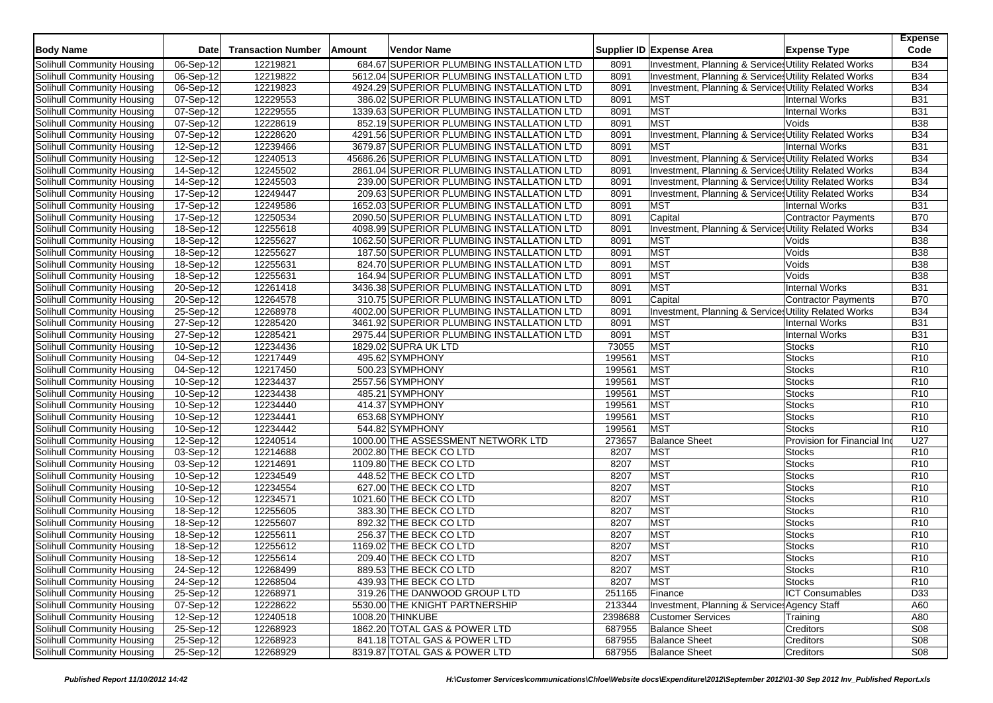| <b>Body Name</b>                  | <b>Date</b>             | <b>Transaction Number</b> | Amount | <b>Vendor Name</b>                                                                      |         | Supplier ID Expense Area                              | <b>Expense Type</b>        | <b>Expense</b><br>Code |
|-----------------------------------|-------------------------|---------------------------|--------|-----------------------------------------------------------------------------------------|---------|-------------------------------------------------------|----------------------------|------------------------|
| Solihull Community Housing        | 06-Sep-12               | 12219821                  |        | 684.67 SUPERIOR PLUMBING INSTALLATION LTD                                               | 8091    | Investment, Planning & Services Utility Related Works |                            | <b>B34</b>             |
| Solihull Community Housing        | 06-Sep-12               | 12219822                  |        | 5612.04 SUPERIOR PLUMBING INSTALLATION LTD                                              | 8091    | Investment, Planning & Services Utility Related Works |                            | <b>B34</b>             |
| Solihull Community Housing        | $06-Sep-12$             | 12219823                  |        | 4924.29 SUPERIOR PLUMBING INSTALLATION LTD                                              | 8091    | Investment, Planning & Services Utility Related Works |                            | <b>B34</b>             |
| Solihull Community Housing        | 07-Sep-12               | 12229553                  |        | 386.02 SUPERIOR PLUMBING INSTALLATION LTD                                               | 8091    | <b>MST</b>                                            | Internal Works             | <b>B31</b>             |
| Solihull Community Housing        | 07-Sep-12               | 12229555                  |        | 1339.63 SUPERIOR PLUMBING INSTALLATION LTD                                              | 8091    | <b>MST</b>                                            | <b>Internal Works</b>      | <b>B31</b>             |
| Solihull Community Housing        | 07-Sep-12               | 12228619                  |        | 852.19 SUPERIOR PLUMBING INSTALLATION LTD                                               | 8091    | <b>MST</b>                                            | Voids                      | <b>B38</b>             |
| Solihull Community Housing        | 07-Sep-12               | 12228620                  |        | 4291.56 SUPERIOR PLUMBING INSTALLATION LTD                                              | 8091    | Investment, Planning & Services Utility Related Works |                            | <b>B34</b>             |
| Solihull Community Housing        | 12-Sep-12               | 12239466                  |        | 3679.87 SUPERIOR PLUMBING INSTALLATION LTD                                              | 8091    | <b>MST</b>                                            | <b>Internal Works</b>      | <b>B31</b>             |
| Solihull Community Housing        | 12-Sep-12               | 12240513                  |        | 45686.26 SUPERIOR PLUMBING INSTALLATION LTD                                             | 8091    | Investment, Planning & Services Utility Related Works |                            | <b>B34</b>             |
| Solihull Community Housing        | 14-Sep-12               | 12245502                  |        | 2861.04 SUPERIOR PLUMBING INSTALLATION LTD                                              | 8091    | Investment, Planning & Services Utility Related Works |                            | <b>B34</b>             |
| Solihull Community Housing        | 14-Sep-12               | 12245503                  |        | 239.00 SUPERIOR PLUMBING INSTALLATION LTD                                               | 8091    | Investment, Planning & Services Utility Related Works |                            | <b>B34</b>             |
| Solihull Community Housing        | 17-Sep-12               | 12249447                  |        | 209.63 SUPERIOR PLUMBING INSTALLATION LTD                                               | 8091    | Investment, Planning & Services Utility Related Works |                            | <b>B34</b>             |
| Solihull Community Housing        | 17-Sep-12               | 12249586                  |        | 1652.03 SUPERIOR PLUMBING INSTALLATION LTD                                              | 8091    | <b>MST</b>                                            | Internal Works             | <b>B31</b>             |
| Solihull Community Housing        | 17-Sep-12               | 12250534                  |        | 2090.50 SUPERIOR PLUMBING INSTALLATION LTD                                              | 8091    | Capital                                               | Contractor Payments        | <b>B70</b>             |
| Solihull Community Housing        | 18-Sep-12               | 12255618                  |        | 4098.99 SUPERIOR PLUMBING INSTALLATION LTD                                              | 8091    | Investment, Planning & Services Utility Related Works |                            | <b>B34</b>             |
| Solihull Community Housing        | $18-Sep-12$             | 12255627                  |        | 1062.50 SUPERIOR PLUMBING INSTALLATION LTD                                              | 8091    | <b>MST</b>                                            | Voids                      | <b>B</b> 38            |
| Solihull Community Housing        | 18-Sep-12               | 12255627                  |        | 187.50 SUPERIOR PLUMBING INSTALLATION LTD                                               | 8091    | <b>MST</b>                                            | Voids                      | <b>B38</b>             |
| Solihull Community Housing        | 18-Sep-12               | 12255631                  |        | 824.70 SUPERIOR PLUMBING INSTALLATION LTD                                               | 8091    | <b>MST</b>                                            | Voids                      | <b>B38</b>             |
| Solihull Community Housing        | 18-Sep-12               | 12255631                  |        | 164.94 SUPERIOR PLUMBING INSTALLATION LTD                                               | 8091    | <b>MST</b>                                            | Voids                      | <b>B</b> 38            |
| Solihull Community Housing        | 20-Sep-12               | 12261418                  |        | 3436.38 SUPERIOR PLUMBING INSTALLATION LTD                                              | 8091    | <b>MST</b>                                            | <b>Internal Works</b>      | <b>B31</b>             |
| Solihull Community Housing        |                         | 12264578                  |        |                                                                                         | 8091    |                                                       | Contractor Payments        | <b>B70</b>             |
|                                   | 20-Sep-12               | 12268978                  |        | 310.75 SUPERIOR PLUMBING INSTALLATION LTD<br>4002.00 SUPERIOR PLUMBING INSTALLATION LTD |         | Capital                                               |                            | <b>B34</b>             |
| Solihull Community Housing        | 25-Sep-12               |                           |        |                                                                                         | 8091    | Investment, Planning & Services Utility Related Works |                            |                        |
| Solihull Community Housing        | 27-Sep-12               | 12285420                  |        | 3461.92 SUPERIOR PLUMBING INSTALLATION LTD                                              | 8091    | <b>MST</b>                                            | <b>Internal Works</b>      | <b>B31</b>             |
| Solihull Community Housing        | 27-Sep-12               | 12285421                  |        | 2975.44 SUPERIOR PLUMBING INSTALLATION LTD                                              | 8091    | <b>MST</b>                                            | <b>Internal Works</b>      | <b>B31</b>             |
| Solihull Community Housing        | 10-Sep-12               | 12234436                  |        | 1829.02 SUPRA UK LTD                                                                    | 73055   | <b>MST</b>                                            | <b>Stocks</b>              | R <sub>10</sub>        |
| Solihull Community Housing        | 04-Sep-12               | 12217449                  |        | 495.62 SYMPHONY                                                                         | 199561  | MST                                                   | Stocks                     | R <sub>10</sub>        |
| Solihull Community Housing        | 04-Sep-12               | 12217450                  |        | 500.23 SYMPHONY                                                                         | 199561  | <b>MST</b>                                            | <b>Stocks</b>              | R <sub>10</sub>        |
| Solihull Community Housing        | 10-Sep-12               | 12234437                  |        | 2557.56 SYMPHONY                                                                        | 199561  | <b>MST</b>                                            | <b>Stocks</b>              | R <sub>10</sub>        |
| Solihull Community Housing        | 10-Sep-12               | 12234438                  |        | 485.21 SYMPHONY                                                                         | 199561  | <b>MST</b>                                            | <b>Stocks</b>              | R <sub>10</sub>        |
| Solihull Community Housing        | 10-Sep-12               | 12234440                  |        | 414.37 SYMPHONY                                                                         | 199561  | <b>MST</b>                                            | <b>Stocks</b>              | R <sub>10</sub>        |
| Solihull Community Housing        | 10-Sep-12               | 12234441                  |        | 653.68 SYMPHONY                                                                         | 199561  | <b>MST</b>                                            | <b>Stocks</b>              | R <sub>10</sub>        |
| Solihull Community Housing        | 10-Sep-12               | 12234442                  |        | 544.82 SYMPHONY                                                                         | 199561  | <b>MST</b>                                            | <b>Stocks</b>              | R <sub>10</sub>        |
| Solihull Community Housing        | 12-Sep-12               | 12240514                  |        | 1000.00 THE ASSESSMENT NETWORK LTD                                                      | 273657  | <b>Balance Sheet</b>                                  | Provision for Financial In | U27                    |
| Solihull Community Housing        | 03-Sep-12               | 12214688                  |        | 2002.80 THE BECK CO LTD                                                                 | 8207    | <b>MST</b>                                            | <b>Stocks</b>              | R <sub>10</sub>        |
| Solihull Community Housing        | 03-Sep-12               | 12214691                  |        | 1109.80 THE BECK CO LTD                                                                 | 8207    | <b>MST</b>                                            | <b>Stocks</b>              | R <sub>10</sub>        |
| Solihull Community Housing        | 10-Sep-12               | 12234549                  |        | 448.52 THE BECK CO LTD                                                                  | 8207    | <b>MST</b>                                            | <b>Stocks</b>              | R <sub>10</sub>        |
| Solihull Community Housing        | 10-Sep-12               | 12234554                  |        | 627.00 THE BECK CO LTD                                                                  | 8207    | <b>MST</b>                                            | <b>Stocks</b>              | R <sub>10</sub>        |
| Solihull Community Housing        | 10-Sep-12               | 12234571                  |        | 1021.60 THE BECK CO LTD                                                                 | 8207    | <b>MST</b>                                            | Stocks                     | R <sub>10</sub>        |
| Solihull Community Housing        | 18-Sep-12               | 12255605                  |        | 383.30 THE BECK CO LTD                                                                  | 8207    | <b>MST</b>                                            | <b>Stocks</b>              | R <sub>10</sub>        |
| Solihull Community Housing        | 18-Sep-12               | 12255607                  |        | 892.32 THE BECK CO LTD                                                                  | 8207    | <b>MST</b>                                            | <b>Stocks</b>              | R <sub>10</sub>        |
| Solihull Community Housing        | $\overline{18}$ -Sep-12 | 12255611                  |        | 256.37 THE BECK CO LTD                                                                  | 8207    | <b>MST</b>                                            | <b>Stocks</b>              | R <sub>10</sub>        |
| Solihull Community Housing        | 18-Sep-12               | 12255612                  |        | 1169.02 THE BECK CO LTD                                                                 | 8207    | <b>MST</b>                                            | <b>Stocks</b>              | R <sub>10</sub>        |
| Solihull Community Housing        | 18-Sep-12               | 12255614                  |        | 209.40 THE BECK CO LTD                                                                  | 8207    | MST                                                   | <b>Stocks</b>              | R <sub>10</sub>        |
| Solihull Community Housing        | 24-Sep-12               | 12268499                  |        | 889.53 THE BECK CO LTD                                                                  | 8207    | <b>MST</b>                                            | <b>Stocks</b>              | R <sub>10</sub>        |
| Solihull Community Housing        | 24-Sep-12               | 12268504                  |        | 439.93 THE BECK CO LTD                                                                  | 8207    | MST                                                   | <b>Stocks</b>              | R <sub>10</sub>        |
| Solihull Community Housing        | 25-Sep-12               | 12268971                  |        | 319.26 THE DANWOOD GROUP LTD                                                            | 251165  | Finance                                               | <b>ICT Consumables</b>     | D33                    |
| Solihull Community Housing        | 07-Sep-12               | 12228622                  |        | 5530.00 THE KNIGHT PARTNERSHIP                                                          | 213344  | Investment, Planning & Services Agency Staff          |                            | A60                    |
| Solihull Community Housing        | 12-Sep-12               | 12240518                  |        | 1008.20 THINKUBE                                                                        | 2398688 | <b>Customer Services</b>                              | Training                   | A80                    |
| Solihull Community Housing        | 25-Sep-12               | 12268923                  |        | 1862.20 TOTAL GAS & POWER LTD                                                           | 687955  | <b>Balance Sheet</b>                                  | Creditors                  | S08                    |
| <b>Solihull Community Housing</b> | 25-Sep-12               | 12268923                  |        | 841.18 TOTAL GAS & POWER LTD                                                            | 687955  | <b>Balance Sheet</b>                                  | Creditors                  | S08                    |
| Solihull Community Housing        | 25-Sep-12               | 12268929                  |        | 8319.87 TOTAL GAS & POWER LTD                                                           | 687955  | <b>Balance Sheet</b>                                  | <b>Creditors</b>           | S <sub>08</sub>        |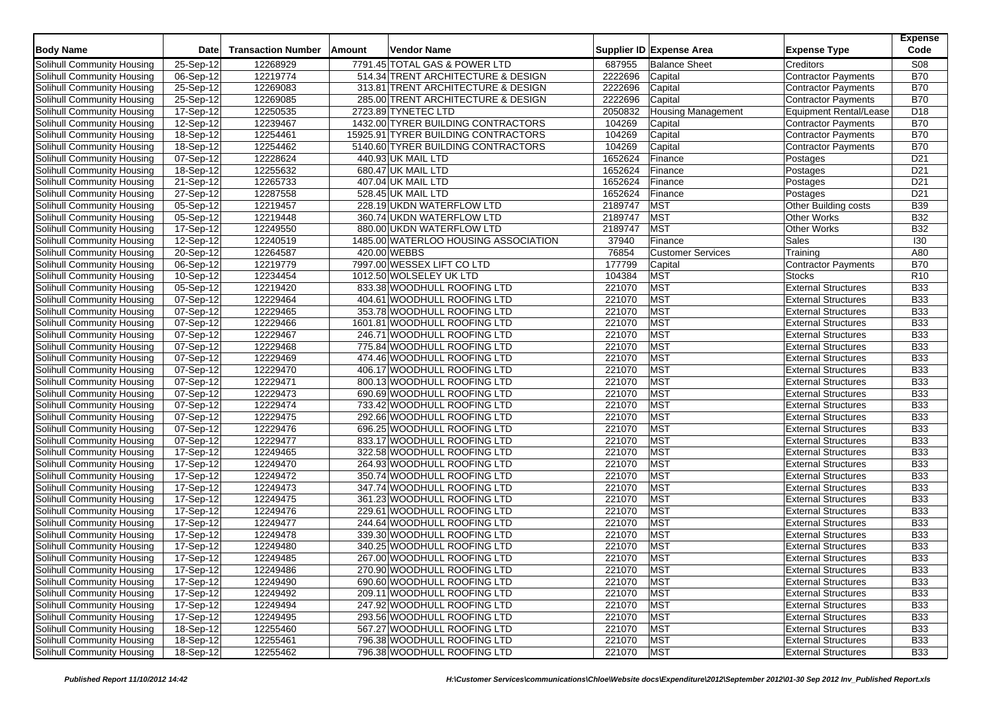| 7791.45 TOTAL GAS & POWER LTD<br>Solihull Community Housing<br>12268929<br><b>Balance Sheet</b><br>Creditors<br>S08<br>25-Sep-12<br>687955<br>2222696<br><b>B70</b><br>06-Sep-12<br>12219774<br>514.34 TRENT ARCHITECTURE & DESIGN<br>Solihull Community Housing<br>Capital<br><b>Contractor Payments</b><br>12269083<br>313.81 TRENT ARCHITECTURE & DESIGN<br>2222696<br>Capital<br><b>B70</b><br>Solihull Community Housing<br>25-Sep-12<br><b>Contractor Payments</b><br><b>B70</b><br>Solihull Community Housing<br>25-Sep-12<br>12269085<br>285.00 TRENT ARCHITECTURE & DESIGN<br>2222696<br>Capital<br>Contractor Payments<br>D <sub>18</sub><br>17-Sep-12<br>12250535<br>2723.89 TYNETEC LTD<br>2050832<br><b>Housing Management</b><br>Equipment Rental/Lease<br>Solihull Community Housing<br>12239467<br>1432.00 TYRER BUILDING CONTRACTORS<br>104269<br><b>B70</b><br>$12-Sep-12$<br>Solihull Community Housing<br>Capital<br><b>Contractor Payments</b><br>104269<br><b>B70</b><br>Solihull Community Housing<br>18-Sep-12<br>12254461<br>15925.91 TYRER BUILDING CONTRACTORS<br>Capital<br><b>Contractor Payments</b><br>104269<br><b>B70</b><br>18-Sep-12<br>12254462<br>5140.60 TYRER BUILDING CONTRACTORS<br>Capital<br>Solihull Community Housing<br><b>Contractor Payments</b><br>12228624<br>1652624<br>07-Sep-12<br>Finance<br>D <sub>21</sub><br>Solihull Community Housing<br>440.93 UK MAIL LTD<br>Postages<br>D <sub>21</sub><br>Solihull Community Housing<br>18-Sep-12<br>12255632<br>680.47 UK MAIL LTD<br>1652624<br>Finance<br>Postages<br>21-Sep-12<br>12265733<br>1652624<br>D <sub>21</sub><br>Solihull Community Housing<br>407.04 UK MAIL LTD<br>Finance<br>Postages<br>12287558<br>1652624<br>27-Sep-12<br>528.45 UK MAIL LTD<br>D <sub>21</sub><br>Solihull Community Housing<br>Finance<br>Postages<br>12219457<br>2189747<br><b>MST</b><br>Solihull Community Housing<br>$\overline{05}$ -Sep-12<br>228.19 UKDN WATERFLOW LTD<br>Other Building costs<br><b>B39</b><br><b>MST</b><br>2189747<br>05-Sep-12<br>12219448<br>360.74 UKDN WATERFLOW LTD<br>Other Works<br><b>B32</b><br>Solihull Community Housing<br>2189747<br><b>MST</b><br><b>B32</b><br>17-Sep-12<br>12249550<br>880.00 UKDN WATERFLOW LTD<br><b>Other Works</b><br>Solihull Community Housing | <b>Expense</b><br>Code |
|------------------------------------------------------------------------------------------------------------------------------------------------------------------------------------------------------------------------------------------------------------------------------------------------------------------------------------------------------------------------------------------------------------------------------------------------------------------------------------------------------------------------------------------------------------------------------------------------------------------------------------------------------------------------------------------------------------------------------------------------------------------------------------------------------------------------------------------------------------------------------------------------------------------------------------------------------------------------------------------------------------------------------------------------------------------------------------------------------------------------------------------------------------------------------------------------------------------------------------------------------------------------------------------------------------------------------------------------------------------------------------------------------------------------------------------------------------------------------------------------------------------------------------------------------------------------------------------------------------------------------------------------------------------------------------------------------------------------------------------------------------------------------------------------------------------------------------------------------------------------------------------------------------------------------------------------------------------------------------------------------------------------------------------------------------------------------------------------------------------------------------------------------------------------------------------------------------------------------------------------------------------------------------------------------|------------------------|
|                                                                                                                                                                                                                                                                                                                                                                                                                                                                                                                                                                                                                                                                                                                                                                                                                                                                                                                                                                                                                                                                                                                                                                                                                                                                                                                                                                                                                                                                                                                                                                                                                                                                                                                                                                                                                                                                                                                                                                                                                                                                                                                                                                                                                                                                                                      |                        |
|                                                                                                                                                                                                                                                                                                                                                                                                                                                                                                                                                                                                                                                                                                                                                                                                                                                                                                                                                                                                                                                                                                                                                                                                                                                                                                                                                                                                                                                                                                                                                                                                                                                                                                                                                                                                                                                                                                                                                                                                                                                                                                                                                                                                                                                                                                      |                        |
|                                                                                                                                                                                                                                                                                                                                                                                                                                                                                                                                                                                                                                                                                                                                                                                                                                                                                                                                                                                                                                                                                                                                                                                                                                                                                                                                                                                                                                                                                                                                                                                                                                                                                                                                                                                                                                                                                                                                                                                                                                                                                                                                                                                                                                                                                                      |                        |
|                                                                                                                                                                                                                                                                                                                                                                                                                                                                                                                                                                                                                                                                                                                                                                                                                                                                                                                                                                                                                                                                                                                                                                                                                                                                                                                                                                                                                                                                                                                                                                                                                                                                                                                                                                                                                                                                                                                                                                                                                                                                                                                                                                                                                                                                                                      |                        |
|                                                                                                                                                                                                                                                                                                                                                                                                                                                                                                                                                                                                                                                                                                                                                                                                                                                                                                                                                                                                                                                                                                                                                                                                                                                                                                                                                                                                                                                                                                                                                                                                                                                                                                                                                                                                                                                                                                                                                                                                                                                                                                                                                                                                                                                                                                      |                        |
|                                                                                                                                                                                                                                                                                                                                                                                                                                                                                                                                                                                                                                                                                                                                                                                                                                                                                                                                                                                                                                                                                                                                                                                                                                                                                                                                                                                                                                                                                                                                                                                                                                                                                                                                                                                                                                                                                                                                                                                                                                                                                                                                                                                                                                                                                                      |                        |
|                                                                                                                                                                                                                                                                                                                                                                                                                                                                                                                                                                                                                                                                                                                                                                                                                                                                                                                                                                                                                                                                                                                                                                                                                                                                                                                                                                                                                                                                                                                                                                                                                                                                                                                                                                                                                                                                                                                                                                                                                                                                                                                                                                                                                                                                                                      |                        |
|                                                                                                                                                                                                                                                                                                                                                                                                                                                                                                                                                                                                                                                                                                                                                                                                                                                                                                                                                                                                                                                                                                                                                                                                                                                                                                                                                                                                                                                                                                                                                                                                                                                                                                                                                                                                                                                                                                                                                                                                                                                                                                                                                                                                                                                                                                      |                        |
|                                                                                                                                                                                                                                                                                                                                                                                                                                                                                                                                                                                                                                                                                                                                                                                                                                                                                                                                                                                                                                                                                                                                                                                                                                                                                                                                                                                                                                                                                                                                                                                                                                                                                                                                                                                                                                                                                                                                                                                                                                                                                                                                                                                                                                                                                                      |                        |
|                                                                                                                                                                                                                                                                                                                                                                                                                                                                                                                                                                                                                                                                                                                                                                                                                                                                                                                                                                                                                                                                                                                                                                                                                                                                                                                                                                                                                                                                                                                                                                                                                                                                                                                                                                                                                                                                                                                                                                                                                                                                                                                                                                                                                                                                                                      |                        |
|                                                                                                                                                                                                                                                                                                                                                                                                                                                                                                                                                                                                                                                                                                                                                                                                                                                                                                                                                                                                                                                                                                                                                                                                                                                                                                                                                                                                                                                                                                                                                                                                                                                                                                                                                                                                                                                                                                                                                                                                                                                                                                                                                                                                                                                                                                      |                        |
|                                                                                                                                                                                                                                                                                                                                                                                                                                                                                                                                                                                                                                                                                                                                                                                                                                                                                                                                                                                                                                                                                                                                                                                                                                                                                                                                                                                                                                                                                                                                                                                                                                                                                                                                                                                                                                                                                                                                                                                                                                                                                                                                                                                                                                                                                                      |                        |
|                                                                                                                                                                                                                                                                                                                                                                                                                                                                                                                                                                                                                                                                                                                                                                                                                                                                                                                                                                                                                                                                                                                                                                                                                                                                                                                                                                                                                                                                                                                                                                                                                                                                                                                                                                                                                                                                                                                                                                                                                                                                                                                                                                                                                                                                                                      |                        |
|                                                                                                                                                                                                                                                                                                                                                                                                                                                                                                                                                                                                                                                                                                                                                                                                                                                                                                                                                                                                                                                                                                                                                                                                                                                                                                                                                                                                                                                                                                                                                                                                                                                                                                                                                                                                                                                                                                                                                                                                                                                                                                                                                                                                                                                                                                      |                        |
|                                                                                                                                                                                                                                                                                                                                                                                                                                                                                                                                                                                                                                                                                                                                                                                                                                                                                                                                                                                                                                                                                                                                                                                                                                                                                                                                                                                                                                                                                                                                                                                                                                                                                                                                                                                                                                                                                                                                                                                                                                                                                                                                                                                                                                                                                                      |                        |
| 130<br>12-Sep-12<br>12240519<br>1485.00 WATERLOO HOUSING ASSOCIATION<br>37940<br>Finance<br>Sales<br>Solihull Community Housing                                                                                                                                                                                                                                                                                                                                                                                                                                                                                                                                                                                                                                                                                                                                                                                                                                                                                                                                                                                                                                                                                                                                                                                                                                                                                                                                                                                                                                                                                                                                                                                                                                                                                                                                                                                                                                                                                                                                                                                                                                                                                                                                                                      |                        |
| 76854<br>Solihull Community Housing<br>$20-Sep-12$<br>12264587<br>420.00 WEBBS<br><b>Customer Services</b><br>A80<br>Training                                                                                                                                                                                                                                                                                                                                                                                                                                                                                                                                                                                                                                                                                                                                                                                                                                                                                                                                                                                                                                                                                                                                                                                                                                                                                                                                                                                                                                                                                                                                                                                                                                                                                                                                                                                                                                                                                                                                                                                                                                                                                                                                                                        |                        |
| 12219779<br>$\overline{06}$ -Sep-12<br>7997.00 WESSEX LIFT CO LTD<br>177799<br><b>B70</b><br>Solihull Community Housing<br>Capital<br>Contractor Payments                                                                                                                                                                                                                                                                                                                                                                                                                                                                                                                                                                                                                                                                                                                                                                                                                                                                                                                                                                                                                                                                                                                                                                                                                                                                                                                                                                                                                                                                                                                                                                                                                                                                                                                                                                                                                                                                                                                                                                                                                                                                                                                                            |                        |
| <b>MST</b><br>R10<br>$10-Sep-12$<br>12234454<br>1012.50 WOLSELEY UK LTD<br>104384<br><b>Stocks</b><br>Solihull Community Housing                                                                                                                                                                                                                                                                                                                                                                                                                                                                                                                                                                                                                                                                                                                                                                                                                                                                                                                                                                                                                                                                                                                                                                                                                                                                                                                                                                                                                                                                                                                                                                                                                                                                                                                                                                                                                                                                                                                                                                                                                                                                                                                                                                     |                        |
| <b>MST</b><br><b>B33</b><br>05-Sep-12<br>12219420<br>833.38 WOODHULL ROOFING LTD<br>221070<br><b>External Structures</b><br>Solihull Community Housing                                                                                                                                                                                                                                                                                                                                                                                                                                                                                                                                                                                                                                                                                                                                                                                                                                                                                                                                                                                                                                                                                                                                                                                                                                                                                                                                                                                                                                                                                                                                                                                                                                                                                                                                                                                                                                                                                                                                                                                                                                                                                                                                               |                        |
| MST<br><b>B33</b><br>Solihull Community Housing<br>07-Sep-12<br>12229464<br>404.61 WOODHULL ROOFING LTD<br>221070<br><b>External Structures</b>                                                                                                                                                                                                                                                                                                                                                                                                                                                                                                                                                                                                                                                                                                                                                                                                                                                                                                                                                                                                                                                                                                                                                                                                                                                                                                                                                                                                                                                                                                                                                                                                                                                                                                                                                                                                                                                                                                                                                                                                                                                                                                                                                      |                        |
| <b>MST</b><br><b>B33</b><br>12229465<br>353.78 WOODHULL ROOFING LTD<br>221070<br>Solihull Community Housing<br>07-Sep-12<br><b>External Structures</b>                                                                                                                                                                                                                                                                                                                                                                                                                                                                                                                                                                                                                                                                                                                                                                                                                                                                                                                                                                                                                                                                                                                                                                                                                                                                                                                                                                                                                                                                                                                                                                                                                                                                                                                                                                                                                                                                                                                                                                                                                                                                                                                                               |                        |
| <b>MST</b><br>12229466<br>221070<br><b>B33</b><br>07-Sep-12<br>1601.81 WOODHULL ROOFING LTD<br><b>External Structures</b><br>Solihull Community Housing                                                                                                                                                                                                                                                                                                                                                                                                                                                                                                                                                                                                                                                                                                                                                                                                                                                                                                                                                                                                                                                                                                                                                                                                                                                                                                                                                                                                                                                                                                                                                                                                                                                                                                                                                                                                                                                                                                                                                                                                                                                                                                                                              |                        |
| 12229467<br>MST<br><b>B33</b><br>Solihull Community Housing<br>07-Sep-12<br>246.71 WOODHULL ROOFING LTD<br>221070<br><b>External Structures</b>                                                                                                                                                                                                                                                                                                                                                                                                                                                                                                                                                                                                                                                                                                                                                                                                                                                                                                                                                                                                                                                                                                                                                                                                                                                                                                                                                                                                                                                                                                                                                                                                                                                                                                                                                                                                                                                                                                                                                                                                                                                                                                                                                      |                        |
| 221070<br><b>MST</b><br><b>B33</b><br>07-Sep-12<br>12229468<br>775.84 WOODHULL ROOFING LTD<br><b>External Structures</b><br>Solihull Community Housing                                                                                                                                                                                                                                                                                                                                                                                                                                                                                                                                                                                                                                                                                                                                                                                                                                                                                                                                                                                                                                                                                                                                                                                                                                                                                                                                                                                                                                                                                                                                                                                                                                                                                                                                                                                                                                                                                                                                                                                                                                                                                                                                               |                        |
| 12229469<br>221070<br><b>MST</b><br><b>B33</b><br>07-Sep-12<br>474.46 WOODHULL ROOFING LTD<br><b>External Structures</b><br>Solihull Community Housing                                                                                                                                                                                                                                                                                                                                                                                                                                                                                                                                                                                                                                                                                                                                                                                                                                                                                                                                                                                                                                                                                                                                                                                                                                                                                                                                                                                                                                                                                                                                                                                                                                                                                                                                                                                                                                                                                                                                                                                                                                                                                                                                               |                        |
| 12229470<br>221070<br>MST<br><b>B33</b><br>07-Sep-12<br>406.17 WOODHULL ROOFING LTD<br><b>External Structures</b><br>Solihull Community Housing                                                                                                                                                                                                                                                                                                                                                                                                                                                                                                                                                                                                                                                                                                                                                                                                                                                                                                                                                                                                                                                                                                                                                                                                                                                                                                                                                                                                                                                                                                                                                                                                                                                                                                                                                                                                                                                                                                                                                                                                                                                                                                                                                      |                        |
| 221070<br><b>MST</b><br><b>B33</b><br>07-Sep-12<br>12229471<br>800.13 WOODHULL ROOFING LTD<br><b>External Structures</b><br>Solihull Community Housing                                                                                                                                                                                                                                                                                                                                                                                                                                                                                                                                                                                                                                                                                                                                                                                                                                                                                                                                                                                                                                                                                                                                                                                                                                                                                                                                                                                                                                                                                                                                                                                                                                                                                                                                                                                                                                                                                                                                                                                                                                                                                                                                               |                        |
| 12229473<br><b>MST</b><br>690.69 WOODHULL ROOFING LTD<br>221070<br><b>External Structures</b><br><b>B33</b><br>Solihull Community Housing<br>07-Sep-12                                                                                                                                                                                                                                                                                                                                                                                                                                                                                                                                                                                                                                                                                                                                                                                                                                                                                                                                                                                                                                                                                                                                                                                                                                                                                                                                                                                                                                                                                                                                                                                                                                                                                                                                                                                                                                                                                                                                                                                                                                                                                                                                               |                        |
| 12229474<br>221070<br>MST<br><b>B33</b><br>Solihull Community Housing<br>07-Sep-12<br>733.42 WOODHULL ROOFING LTD<br><b>External Structures</b>                                                                                                                                                                                                                                                                                                                                                                                                                                                                                                                                                                                                                                                                                                                                                                                                                                                                                                                                                                                                                                                                                                                                                                                                                                                                                                                                                                                                                                                                                                                                                                                                                                                                                                                                                                                                                                                                                                                                                                                                                                                                                                                                                      |                        |
| 221070<br><b>MST</b><br><b>B33</b><br>Solihull Community Housing<br>07-Sep-12<br>12229475<br>292.66 WOODHULL ROOFING LTD<br><b>External Structures</b>                                                                                                                                                                                                                                                                                                                                                                                                                                                                                                                                                                                                                                                                                                                                                                                                                                                                                                                                                                                                                                                                                                                                                                                                                                                                                                                                                                                                                                                                                                                                                                                                                                                                                                                                                                                                                                                                                                                                                                                                                                                                                                                                               |                        |
| MST<br>12229476<br>696.25 WOODHULL ROOFING LTD<br>221070<br><b>External Structures</b><br><b>B33</b><br>Solihull Community Housing<br>07-Sep-12                                                                                                                                                                                                                                                                                                                                                                                                                                                                                                                                                                                                                                                                                                                                                                                                                                                                                                                                                                                                                                                                                                                                                                                                                                                                                                                                                                                                                                                                                                                                                                                                                                                                                                                                                                                                                                                                                                                                                                                                                                                                                                                                                      |                        |
| 12229477<br>221070<br>MST<br><b>B33</b><br>Solihull Community Housing<br>07-Sep-12<br>833.17 WOODHULL ROOFING LTD<br><b>External Structures</b>                                                                                                                                                                                                                                                                                                                                                                                                                                                                                                                                                                                                                                                                                                                                                                                                                                                                                                                                                                                                                                                                                                                                                                                                                                                                                                                                                                                                                                                                                                                                                                                                                                                                                                                                                                                                                                                                                                                                                                                                                                                                                                                                                      |                        |
| <b>MST</b><br><b>B33</b><br>12249465<br>221070<br>Solihull Community Housing<br>17-Sep-12<br>322.58 WOODHULL ROOFING LTD<br><b>External Structures</b>                                                                                                                                                                                                                                                                                                                                                                                                                                                                                                                                                                                                                                                                                                                                                                                                                                                                                                                                                                                                                                                                                                                                                                                                                                                                                                                                                                                                                                                                                                                                                                                                                                                                                                                                                                                                                                                                                                                                                                                                                                                                                                                                               |                        |
| MST<br>17-Sep-12<br>12249470<br>264.93 WOODHULL ROOFING LTD<br>221070<br><b>External Structures</b><br><b>B33</b><br>Solihull Community Housing                                                                                                                                                                                                                                                                                                                                                                                                                                                                                                                                                                                                                                                                                                                                                                                                                                                                                                                                                                                                                                                                                                                                                                                                                                                                                                                                                                                                                                                                                                                                                                                                                                                                                                                                                                                                                                                                                                                                                                                                                                                                                                                                                      |                        |
| 12249472<br>221070<br><b>MST</b><br><b>B33</b><br>17-Sep-12<br>350.74 WOODHULL ROOFING LTD<br><b>External Structures</b><br>Solihull Community Housing                                                                                                                                                                                                                                                                                                                                                                                                                                                                                                                                                                                                                                                                                                                                                                                                                                                                                                                                                                                                                                                                                                                                                                                                                                                                                                                                                                                                                                                                                                                                                                                                                                                                                                                                                                                                                                                                                                                                                                                                                                                                                                                                               |                        |
| <b>MST</b><br><b>B33</b><br>Solihull Community Housing<br>17-Sep-12<br>12249473<br>347.74 WOODHULL ROOFING LTD<br>221070<br><b>External Structures</b>                                                                                                                                                                                                                                                                                                                                                                                                                                                                                                                                                                                                                                                                                                                                                                                                                                                                                                                                                                                                                                                                                                                                                                                                                                                                                                                                                                                                                                                                                                                                                                                                                                                                                                                                                                                                                                                                                                                                                                                                                                                                                                                                               |                        |
| MST<br>12249475<br>361.23 WOODHULL ROOFING LTD<br>221070<br><b>External Structures</b><br><b>B33</b><br>Solihull Community Housing<br>17-Sep-12                                                                                                                                                                                                                                                                                                                                                                                                                                                                                                                                                                                                                                                                                                                                                                                                                                                                                                                                                                                                                                                                                                                                                                                                                                                                                                                                                                                                                                                                                                                                                                                                                                                                                                                                                                                                                                                                                                                                                                                                                                                                                                                                                      |                        |
| 221070<br><b>MST</b><br><b>B33</b><br>17-Sep-12<br>12249476<br>229.61 WOODHULL ROOFING LTD<br><b>External Structures</b><br>Solihull Community Housing                                                                                                                                                                                                                                                                                                                                                                                                                                                                                                                                                                                                                                                                                                                                                                                                                                                                                                                                                                                                                                                                                                                                                                                                                                                                                                                                                                                                                                                                                                                                                                                                                                                                                                                                                                                                                                                                                                                                                                                                                                                                                                                                               |                        |
| <b>MST</b><br><b>B33</b><br>12249477<br>221070<br>Solihull Community Housing<br>17-Sep-12<br>244.64 WOODHULL ROOFING LTD<br><b>External Structures</b>                                                                                                                                                                                                                                                                                                                                                                                                                                                                                                                                                                                                                                                                                                                                                                                                                                                                                                                                                                                                                                                                                                                                                                                                                                                                                                                                                                                                                                                                                                                                                                                                                                                                                                                                                                                                                                                                                                                                                                                                                                                                                                                                               |                        |
| <b>MST</b><br>17-Sep-12<br>12249478<br>339.30 WOODHULL ROOFING LTD<br>221070<br><b>External Structures</b><br><b>B33</b><br>Solihull Community Housing                                                                                                                                                                                                                                                                                                                                                                                                                                                                                                                                                                                                                                                                                                                                                                                                                                                                                                                                                                                                                                                                                                                                                                                                                                                                                                                                                                                                                                                                                                                                                                                                                                                                                                                                                                                                                                                                                                                                                                                                                                                                                                                                               |                        |
| <b>MST</b><br>12249480<br>221070<br><b>B33</b><br>Solihull Community Housing<br>17-Sep-12<br>340.25 WOODHULL ROOFING LTD<br><b>External Structures</b>                                                                                                                                                                                                                                                                                                                                                                                                                                                                                                                                                                                                                                                                                                                                                                                                                                                                                                                                                                                                                                                                                                                                                                                                                                                                                                                                                                                                                                                                                                                                                                                                                                                                                                                                                                                                                                                                                                                                                                                                                                                                                                                                               |                        |
| <b>MST</b><br><b>B33</b><br>12249485<br>221070<br>Solihull Community Housing<br>17-Sep-12<br>267.00 WOODHULL ROOFING LTD<br><b>External Structures</b>                                                                                                                                                                                                                                                                                                                                                                                                                                                                                                                                                                                                                                                                                                                                                                                                                                                                                                                                                                                                                                                                                                                                                                                                                                                                                                                                                                                                                                                                                                                                                                                                                                                                                                                                                                                                                                                                                                                                                                                                                                                                                                                                               |                        |
| Solihull Community Housing<br>17-Sep-12<br>270.90 WOODHULL ROOFING LTD<br><b>MST</b><br><b>External Structures</b><br><b>B33</b><br>12249486<br>221070                                                                                                                                                                                                                                                                                                                                                                                                                                                                                                                                                                                                                                                                                                                                                                                                                                                                                                                                                                                                                                                                                                                                                                                                                                                                                                                                                                                                                                                                                                                                                                                                                                                                                                                                                                                                                                                                                                                                                                                                                                                                                                                                               |                        |
| Solihull Community Housing<br>17-Sep-12<br>12249490<br>690.60 WOODHULL ROOFING LTD<br>221070<br><b>MST</b><br><b>External Structures</b><br><b>B33</b>                                                                                                                                                                                                                                                                                                                                                                                                                                                                                                                                                                                                                                                                                                                                                                                                                                                                                                                                                                                                                                                                                                                                                                                                                                                                                                                                                                                                                                                                                                                                                                                                                                                                                                                                                                                                                                                                                                                                                                                                                                                                                                                                               |                        |
| Solihull Community Housing<br>17-Sep-12<br>209.11 WOODHULL ROOFING LTD<br><b>MST</b><br>12249492<br>221070<br><b>External Structures</b><br><b>B33</b>                                                                                                                                                                                                                                                                                                                                                                                                                                                                                                                                                                                                                                                                                                                                                                                                                                                                                                                                                                                                                                                                                                                                                                                                                                                                                                                                                                                                                                                                                                                                                                                                                                                                                                                                                                                                                                                                                                                                                                                                                                                                                                                                               |                        |
| <b>MST</b><br>Solihull Community Housing<br>17-Sep-12<br>12249494<br>247.92 WOODHULL ROOFING LTD<br>221070<br><b>B33</b><br><b>External Structures</b>                                                                                                                                                                                                                                                                                                                                                                                                                                                                                                                                                                                                                                                                                                                                                                                                                                                                                                                                                                                                                                                                                                                                                                                                                                                                                                                                                                                                                                                                                                                                                                                                                                                                                                                                                                                                                                                                                                                                                                                                                                                                                                                                               |                        |
| <b>MST</b><br>Solihull Community Housing<br>17-Sep-12<br>12249495<br>293.56 WOODHULL ROOFING LTD<br>221070<br><b>B33</b><br><b>External Structures</b>                                                                                                                                                                                                                                                                                                                                                                                                                                                                                                                                                                                                                                                                                                                                                                                                                                                                                                                                                                                                                                                                                                                                                                                                                                                                                                                                                                                                                                                                                                                                                                                                                                                                                                                                                                                                                                                                                                                                                                                                                                                                                                                                               |                        |
| <b>MST</b><br>Solihull Community Housing<br>18-Sep-12<br>567.27 WOODHULL ROOFING LTD<br>12255460<br>221070<br><b>External Structures</b><br><b>B33</b>                                                                                                                                                                                                                                                                                                                                                                                                                                                                                                                                                                                                                                                                                                                                                                                                                                                                                                                                                                                                                                                                                                                                                                                                                                                                                                                                                                                                                                                                                                                                                                                                                                                                                                                                                                                                                                                                                                                                                                                                                                                                                                                                               |                        |
| <b>MST</b><br>18-Sep-12<br>12255461<br>796.38 WOODHULL ROOFING LTD<br>221070<br><b>B33</b><br>Solihull Community Housing<br><b>External Structures</b>                                                                                                                                                                                                                                                                                                                                                                                                                                                                                                                                                                                                                                                                                                                                                                                                                                                                                                                                                                                                                                                                                                                                                                                                                                                                                                                                                                                                                                                                                                                                                                                                                                                                                                                                                                                                                                                                                                                                                                                                                                                                                                                                               |                        |
| <b>MST</b><br>Solihull Community Housing<br>18-Sep-12<br>12255462<br>796.38 WOODHULL ROOFING LTD<br>221070<br><b>External Structures</b><br><b>B33</b>                                                                                                                                                                                                                                                                                                                                                                                                                                                                                                                                                                                                                                                                                                                                                                                                                                                                                                                                                                                                                                                                                                                                                                                                                                                                                                                                                                                                                                                                                                                                                                                                                                                                                                                                                                                                                                                                                                                                                                                                                                                                                                                                               |                        |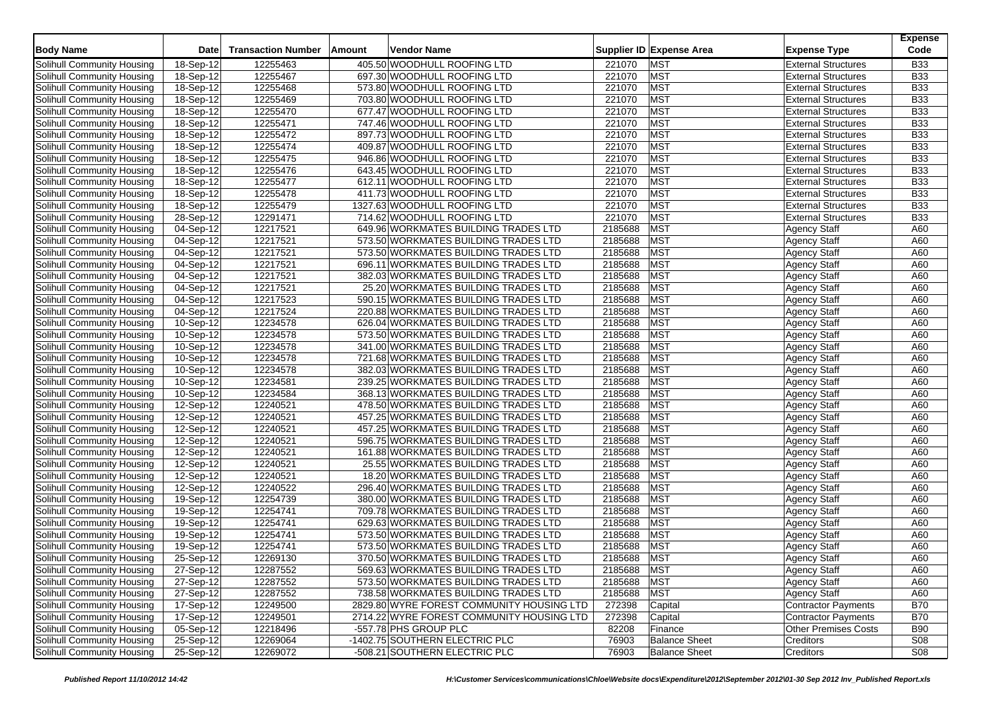| <b>Body Name</b>           | <b>Date</b>             | <b>Transaction Number</b> | Amount | Vendor Name                               |         | Supplier ID Expense Area | <b>Expense Type</b>         | <b>Expense</b><br>Code |
|----------------------------|-------------------------|---------------------------|--------|-------------------------------------------|---------|--------------------------|-----------------------------|------------------------|
| Solihull Community Housing | 18-Sep-12               | 12255463                  |        | 405.50 WOODHULL ROOFING LTD               | 221070  | <b>MST</b>               | <b>External Structures</b>  | <b>B33</b>             |
| Solihull Community Housing | 18-Sep-12               | 12255467                  |        | 697.30 WOODHULL ROOFING LTD               | 221070  | <b>MST</b>               | <b>External Structures</b>  | <b>B33</b>             |
| Solihull Community Housing | 18-Sep-12               | 12255468                  |        | 573.80 WOODHULL ROOFING LTD               | 221070  | <b>MST</b>               | <b>External Structures</b>  | <b>B33</b>             |
| Solihull Community Housing | 18-Sep-12               | 12255469                  |        | 703.80 WOODHULL ROOFING LTD               | 221070  | <b>MST</b>               | <b>External Structures</b>  | <b>B33</b>             |
| Solihull Community Housing | 18-Sep-12               | 12255470                  |        | 677.47 WOODHULL ROOFING LTD               | 221070  | <b>MST</b>               | <b>External Structures</b>  | <b>B33</b>             |
| Solihull Community Housing | 18-Sep-12               | 12255471                  |        | 747.46 WOODHULL ROOFING LTD               | 221070  | MST                      | <b>External Structures</b>  | <b>B33</b>             |
| Solihull Community Housing | 18-Sep-12               | 12255472                  |        | 897.73 WOODHULL ROOFING LTD               | 221070  | <b>MST</b>               | <b>External Structures</b>  | <b>B33</b>             |
| Solihull Community Housing | 18-Sep-12               | 12255474                  |        | 409.87 WOODHULL ROOFING LTD               | 221070  | <b>MST</b>               | <b>External Structures</b>  | <b>B33</b>             |
| Solihull Community Housing | 18-Sep-12               | 12255475                  |        | 946.86 WOODHULL ROOFING LTD               | 221070  | MST                      | <b>External Structures</b>  | <b>B33</b>             |
| Solihull Community Housing | 18-Sep-12               | 12255476                  |        | 643.45 WOODHULL ROOFING LTD               | 221070  | <b>MST</b>               | <b>External Structures</b>  | <b>B33</b>             |
| Solihull Community Housing | 18-Sep-12               | 12255477                  |        | 612.11 WOODHULL ROOFING LTD               | 221070  | <b>MST</b>               | <b>External Structures</b>  | <b>B33</b>             |
| Solihull Community Housing | 18-Sep-12               | 12255478                  |        | 411.73 WOODHULL ROOFING LTD               | 221070  | MST                      | <b>External Structures</b>  | <b>B33</b>             |
| Solihull Community Housing | 18-Sep-12               | 12255479                  |        | 1327.63 WOODHULL ROOFING LTD              | 221070  | <b>MST</b>               | <b>External Structures</b>  | <b>B33</b>             |
| Solihull Community Housing | 28-Sep-12               | 12291471                  |        | 714.62 WOODHULL ROOFING LTD               | 221070  | MST                      | <b>External Structures</b>  | <b>B33</b>             |
| Solihull Community Housing | 04-Sep-12               | 12217521                  |        | 649.96 WORKMATES BUILDING TRADES LTD      | 2185688 | <b>MST</b>               | <b>Agency Staff</b>         | A60                    |
| Solihull Community Housing | 04-Sep-12               | 12217521                  |        | 573.50 WORKMATES BUILDING TRADES LTD      | 2185688 | <b>MST</b>               | <b>Agency Staff</b>         | A60                    |
| Solihull Community Housing | 04-Sep-12               | 12217521                  |        | 573.50 WORKMATES BUILDING TRADES LTD      | 2185688 | <b>MST</b>               | <b>Agency Staff</b>         | A60                    |
| Solihull Community Housing | 04-Sep-12               | 12217521                  |        | 696.11 WORKMATES BUILDING TRADES LTD      | 2185688 | <b>MST</b>               | <b>Agency Staff</b>         | A60                    |
| Solihull Community Housing | 04-Sep-12               | 12217521                  |        | 382.03 WORKMATES BUILDING TRADES LTD      | 2185688 | <b>MST</b>               | <b>Agency Staff</b>         | A60                    |
| Solihull Community Housing | 04-Sep-12               | 12217521                  |        | 25.20 WORKMATES BUILDING TRADES LTD       | 2185688 | <b>MST</b>               | <b>Agency Staff</b>         | A60                    |
| Solihull Community Housing | 04-Sep-12               | 12217523                  |        | 590.15 WORKMATES BUILDING TRADES LTD      | 2185688 | <b>MST</b>               | <b>Agency Staff</b>         | A60                    |
| Solihull Community Housing | $\overline{04}$ -Sep-12 | 12217524                  |        | 220.88 WORKMATES BUILDING TRADES LTD      | 2185688 | <b>MST</b>               | <b>Agency Staff</b>         | A60                    |
| Solihull Community Housing | 10-Sep-12               | 12234578                  |        | 626.04 WORKMATES BUILDING TRADES LTD      | 2185688 | <b>MST</b>               | <b>Agency Staff</b>         | A60                    |
| Solihull Community Housing | 10-Sep-12               | 12234578                  |        | 573.50 WORKMATES BUILDING TRADES LTD      | 2185688 | MST                      | <b>Agency Staff</b>         | A60                    |
| Solihull Community Housing | 10-Sep-12               | 12234578                  |        | 341.00 WORKMATES BUILDING TRADES LTD      | 2185688 | <b>MST</b>               | <b>Agency Staff</b>         | A60                    |
| Solihull Community Housing | 10-Sep-12               | 12234578                  |        | 721.68 WORKMATES BUILDING TRADES LTD      | 2185688 | MST                      | <b>Agency Staff</b>         | A60                    |
| Solihull Community Housing | 10-Sep-12               | 12234578                  |        | 382.03 WORKMATES BUILDING TRADES LTD      | 2185688 | <b>MST</b>               | <b>Agency Staff</b>         | A60                    |
| Solihull Community Housing | 10-Sep-12               | 12234581                  |        | 239.25 WORKMATES BUILDING TRADES LTD      | 2185688 | <b>MST</b>               | <b>Agency Staff</b>         | A60                    |
| Solihull Community Housing | 10-Sep-12               | 12234584                  |        | 368.13 WORKMATES BUILDING TRADES LTD      | 2185688 | <b>MST</b>               | <b>Agency Staff</b>         | A60                    |
| Solihull Community Housing | 12-Sep-12               | 12240521                  |        | 478.50 WORKMATES BUILDING TRADES LTD      | 2185688 | <b>MST</b>               | <b>Agency Staff</b>         | A60                    |
| Solihull Community Housing | 12-Sep-12               | 12240521                  |        | 457.25 WORKMATES BUILDING TRADES LTD      | 2185688 | MST                      | <b>Agency Staff</b>         | A60                    |
| Solihull Community Housing | 12-Sep-12               | 12240521                  |        | 457.25 WORKMATES BUILDING TRADES LTD      | 2185688 | MST                      | <b>Agency Staff</b>         | A60                    |
| Solihull Community Housing | 12-Sep-12               | 12240521                  |        | 596.75 WORKMATES BUILDING TRADES LTD      | 2185688 | <b>MST</b>               | <b>Agency Staff</b>         | A60                    |
| Solihull Community Housing | 12-Sep-12               | 12240521                  |        | 161.88 WORKMATES BUILDING TRADES LTD      | 2185688 | <b>MST</b>               | <b>Agency Staff</b>         | A60                    |
| Solihull Community Housing | 12-Sep-12               | 12240521                  |        | 25.55 WORKMATES BUILDING TRADES LTD       | 2185688 | MST                      | <b>Agency Staff</b>         | A60                    |
| Solihull Community Housing | 12-Sep-12               | 12240521                  |        | 18.20 WORKMATES BUILDING TRADES LTD       | 2185688 | <b>MST</b>               | <b>Agency Staff</b>         | A60                    |
| Solihull Community Housing | 12-Sep-12               | 12240522                  |        | 296.40 WORKMATES BUILDING TRADES LTD      | 2185688 | MST                      | <b>Agency Staff</b>         | A60                    |
| Solihull Community Housing | 19-Sep-12               | 12254739                  |        | 380.00 WORKMATES BUILDING TRADES LTD      | 2185688 | MST                      | <b>Agency Staff</b>         | A60                    |
| Solihull Community Housing | $\overline{19}$ -Sep-12 | 12254741                  |        | 709.78 WORKMATES BUILDING TRADES LTD      | 2185688 | <b>MST</b>               | <b>Agency Staff</b>         | A60                    |
| Solihull Community Housing | 19-Sep-12               | 12254741                  |        | 629.63 WORKMATES BUILDING TRADES LTD      | 2185688 | <b>MST</b>               | <b>Agency Staff</b>         | A60                    |
| Solihull Community Housing | 19-Sep-12               | 12254741                  |        | 573.50 WORKMATES BUILDING TRADES LTD      | 2185688 | <b>MST</b>               | <b>Agency Staff</b>         | A60                    |
| Solihull Community Housing | 19-Sep-12               | 12254741                  |        | 573.50 WORKMATES BUILDING TRADES LTD      | 2185688 | <b>MST</b>               | <b>Agency Staff</b>         | A60                    |
| Solihull Community Housing | 25-Sep-12               | 12269130                  |        | 370.50 WORKMATES BUILDING TRADES LTD      | 2185688 | <b>MST</b>               | <b>Agency Staff</b>         | A60                    |
| Solihull Community Housing | 27-Sep-12               | 12287552                  |        | 569.63 WORKMATES BUILDING TRADES LTD      | 2185688 | <b>MST</b>               | <b>Agency Staff</b>         | A60                    |
| Solihull Community Housing | 27-Sep-12               | 12287552                  |        | 573.50 WORKMATES BUILDING TRADES LTD      | 2185688 | <b>MST</b>               | <b>Agency Staff</b>         | A60                    |
| Solihull Community Housing | $27-Sep-12$             | 12287552                  |        | 738.58 WORKMATES BUILDING TRADES LTD      | 2185688 | <b>MST</b>               | <b>Agency Staff</b>         | A60                    |
| Solihull Community Housing | 17-Sep-12               | 12249500                  |        | 2829.80 WYRE FOREST COMMUNITY HOUSING LTD | 272398  | Capital                  | Contractor Payments         | <b>B70</b>             |
| Solihull Community Housing | 17-Sep-12               | 12249501                  |        | 2714.22 WYRE FOREST COMMUNITY HOUSING LTD | 272398  | Capital                  | Contractor Payments         | <b>B70</b>             |
| Solihull Community Housing | 05-Sep-12               | 12218496                  |        | -557.78 PHS GROUP PLC                     | 82208   | Finance                  | <b>Other Premises Costs</b> | <b>B90</b>             |
| Solihull Community Housing | 25-Sep-12               | 12269064                  |        | -1402.75 SOUTHERN ELECTRIC PLC            | 76903   | <b>Balance Sheet</b>     | Creditors                   | S08                    |
| Solihull Community Housing | 25-Sep-12               | 12269072                  |        | -508.21 SOUTHERN ELECTRIC PLC             | 76903   | <b>Balance Sheet</b>     | Creditors                   | S08                    |